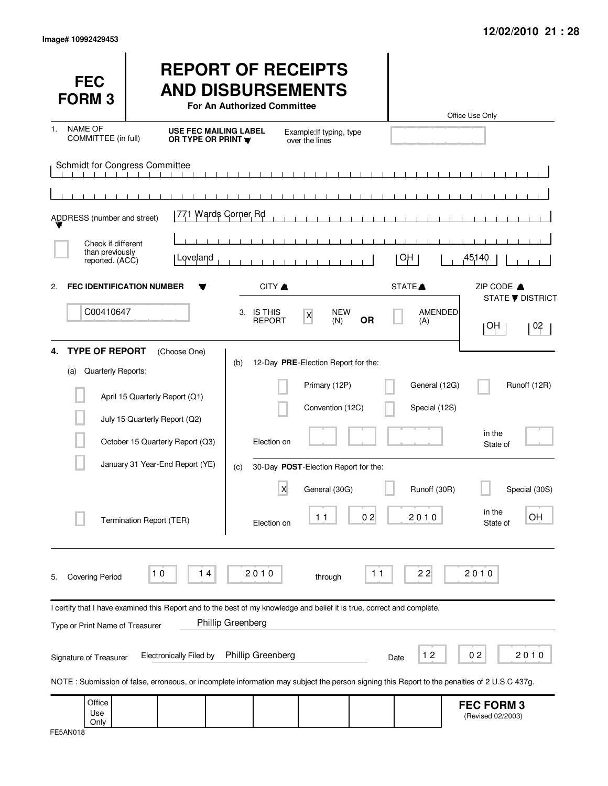| <b>FEC</b><br><b>FORM3</b>                               |                                                                                                                                                                                | <b>REPORT OF RECEIPTS</b><br><b>AND DISBURSEMENTS</b><br>For An Authorized Committee |                                                                          |           |                                | Office Use Only                        |                         |
|----------------------------------------------------------|--------------------------------------------------------------------------------------------------------------------------------------------------------------------------------|--------------------------------------------------------------------------------------|--------------------------------------------------------------------------|-----------|--------------------------------|----------------------------------------|-------------------------|
| <b>NAME OF</b><br>1.<br>COMMITTEE (in full)              | <b>USE FEC MAILING LABEL</b><br>OR TYPE OR PRINT <b>W</b>                                                                                                                      |                                                                                      | Example: If typing, type<br>over the lines                               |           |                                |                                        |                         |
| Schmidt for Congress Committee                           |                                                                                                                                                                                |                                                                                      | $\blacksquare$<br>$\sim$ 1                                               |           |                                |                                        |                         |
| ADDRESS (number and street)                              | 771 Wards Corner Rd                                                                                                                                                            |                                                                                      |                                                                          |           |                                |                                        |                         |
| Check if different<br>than previously<br>reported. (ACC) | Loveland                                                                                                                                                                       |                                                                                      |                                                                          |           | OH.                            | 45140                                  |                         |
| <b>FEC IDENTIFICATION NUMBER</b><br>2.                   |                                                                                                                                                                                | CITY A                                                                               |                                                                          |           | STATE <sup></sup>              | ZIP CODE A                             | <b>STATE ▼ DISTRICT</b> |
| C00410647                                                |                                                                                                                                                                                | 3. IS THIS<br><b>REPORT</b>                                                          | <b>NEW</b><br>$\mathsf X$<br>(N)                                         | <b>OR</b> | AMENDED<br>(A)                 | ΗΟΙ                                    | 02                      |
| <b>TYPE OF REPORT</b><br>Quarterly Reports:<br>(a)       | (Choose One)<br>April 15 Quarterly Report (Q1)<br>July 15 Quarterly Report (Q2)                                                                                                | (b)                                                                                  | 12-Day PRE-Election Report for the:<br>Primary (12P)<br>Convention (12C) |           | General (12G)<br>Special (12S) |                                        | Runoff (12R)            |
|                                                          | October 15 Quarterly Report (Q3)                                                                                                                                               | Election on                                                                          |                                                                          |           |                                | in the<br>State of                     |                         |
|                                                          | January 31 Year-End Report (YE)                                                                                                                                                | (c)                                                                                  | 30-Day POST-Election Report for the:                                     |           |                                |                                        |                         |
|                                                          | Termination Report (TER)                                                                                                                                                       | X<br>Election on                                                                     | General (30G)<br>11                                                      | 02        | Runoff (30R)<br>2,0,1,0        | in the<br>State of                     | Special (30S)<br>OH     |
| <b>Covering Period</b><br>5.                             | 10<br>14                                                                                                                                                                       | 2010                                                                                 | through                                                                  | $11$      | 22                             | 2010                                   |                         |
| Type or Print Name of Treasurer                          | I certify that I have examined this Report and to the best of my knowledge and belief it is true, correct and complete.                                                        | Phillip Greenberg                                                                    |                                                                          |           |                                |                                        |                         |
| Signature of Treasurer                                   | <b>Electronically Filed by</b><br>NOTE: Submission of false, erroneous, or incomplete information may subject the person signing this Report to the penalties of 2 U.S.C 437g. | Phillip Greenberg                                                                    |                                                                          |           | 12<br>Date                     | 02                                     | 2010                    |
| Office<br>Use<br>Only                                    |                                                                                                                                                                                |                                                                                      |                                                                          |           |                                | <b>FEC FORM 3</b><br>(Revised 02/2003) |                         |

| FE5AN018 |
|----------|
|----------|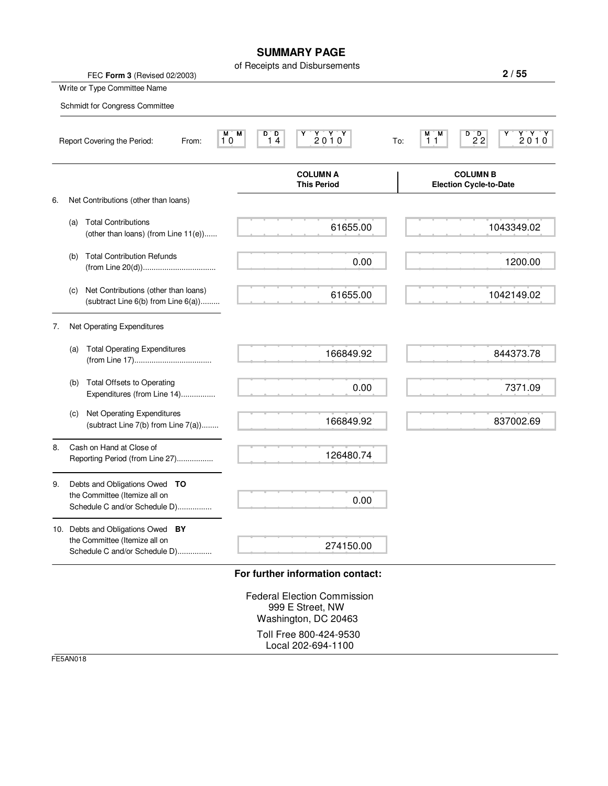#### **SUMMARY PAGE**

|    |                                                                                                     | of Receipts and Disbursements                                                  | 2/55                                                                                        |
|----|-----------------------------------------------------------------------------------------------------|--------------------------------------------------------------------------------|---------------------------------------------------------------------------------------------|
|    | FEC Form 3 (Revised 02/2003)<br>Write or Type Committee Name                                        |                                                                                |                                                                                             |
|    | Schmidt for Congress Committee                                                                      |                                                                                |                                                                                             |
|    |                                                                                                     |                                                                                |                                                                                             |
|    | M,<br>10<br>Report Covering the Period:<br>From:                                                    | D D<br>$\begin{array}{c}\nY & Y \\ 2010\n\end{array}$<br>M<br>14               | $D$ <sub>22</sub><br>$\begin{array}{c}\nY'Y'Y\\ 2010\n\end{array}$<br>M M<br>Y<br>11<br>To: |
|    |                                                                                                     | <b>COLUMN A</b><br><b>This Period</b>                                          | <b>COLUMN B</b><br><b>Election Cycle-to-Date</b>                                            |
| 6. | Net Contributions (other than loans)                                                                |                                                                                |                                                                                             |
|    | <b>Total Contributions</b><br>(a)<br>(other than loans) (from Line 11(e))                           | 61655.00                                                                       | 1043349.02                                                                                  |
|    | <b>Total Contribution Refunds</b><br>(b)                                                            | 0.00                                                                           | 1200.00                                                                                     |
|    | Net Contributions (other than loans)<br>(c)<br>(subtract Line 6(b) from Line 6(a))                  | 61655.00                                                                       | 1042149.02                                                                                  |
| 7. | Net Operating Expenditures                                                                          |                                                                                |                                                                                             |
|    | <b>Total Operating Expenditures</b><br>(a)                                                          | 166849.92                                                                      | 844373.78                                                                                   |
|    | <b>Total Offsets to Operating</b><br>(b)<br>Expenditures (from Line 14)                             | 0.00                                                                           | 7371.09                                                                                     |
|    | Net Operating Expenditures<br>(c)<br>(subtract Line 7(b) from Line 7(a))                            | 166849.92                                                                      | 837002.69                                                                                   |
| 8. | Cash on Hand at Close of<br>Reporting Period (from Line 27)                                         | 126480.74                                                                      |                                                                                             |
| 9. | Debts and Obligations Owed TO<br>the Committee (Itemize all on<br>Schedule C and/or Schedule D)     | 0.00                                                                           |                                                                                             |
|    | 10. Debts and Obligations Owed BY<br>the Committee (Itemize all on<br>Schedule C and/or Schedule D) | 274150.00                                                                      |                                                                                             |
|    |                                                                                                     | For further information contact:                                               |                                                                                             |
|    |                                                                                                     | <b>Federal Election Commission</b><br>999 E Street, NW<br>Washington, DC 20463 |                                                                                             |
|    |                                                                                                     | Toll Free 800-424-9530<br>Local 202-694-1100                                   |                                                                                             |

FE5AN018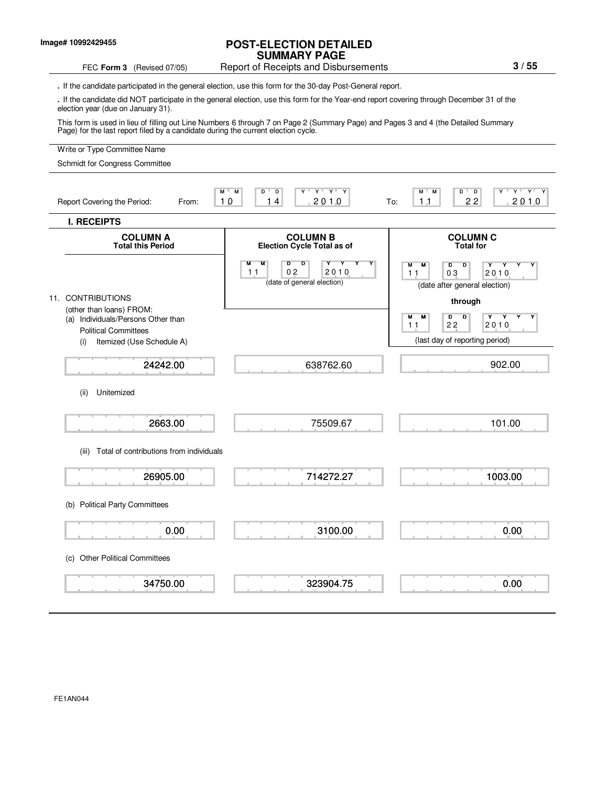#### **Image# 10992429455**

#### **POST-ELECTION DETAILED SUMMARY PAGE**

#### FEC Form 3 (Revised 07/05) Report of Receipts and Disbursements

**.** If the candidate participated in the general election, use this form for the 30-day Post-General report.

**.** If the candidate did NOT participate in the general election, use this form for the Year-end report covering through December 31 of the election year (due on January 31).

This form is used in lieu of filling out Line Numbers 6 through 7 on Page 2 (Summary Page) and Pages 3 and 4 (the Detailed Summary Page) for the last report filed by a candidate during the current election cycle.

#### Write or Type Committee Name M M D D Y Y Y Y M M D D Y Y Y Y Report Covering the Period: From: 10 14 2010 To: **I. RECEIPTS COLUMN A COLUMN B COLUMN C COLUMN C COLUMN C COLUMN C COLUMN C COLUMN C COLUMN C COLUMN C COLUMN C COLUMN C COLUMN C COLUMN C COLUMN C COLUMN C COLUMN C COLUMN C C Election Cycle Total as of** M M D D Y Y Y Y M M D D Y Y Y Y (date of general election) (date after general election) 11. CONTRIBUTIONS **through** (other than loans) FROM: (a) Individuals/Persons Other than M M D D Y Y Y Y Political Committees (i) Itemized (Use Schedule A) (i) Itemized (Use Schedule A) (ii) Unitemized (iii) Total of contributions from individuals (b) Political Party Committees (c) Other Political Committees 10 14 2010 To: 11 22 2010  $2010$ Schmidt for Congress Committee 24242.00 2663.00 26905.00 0.00 34750.00 638762.60 75509.67 714272.27 3100.00 323904.75 11 02 2010 11 03 2010 902.00 101.00 1003.00 0.00 0.00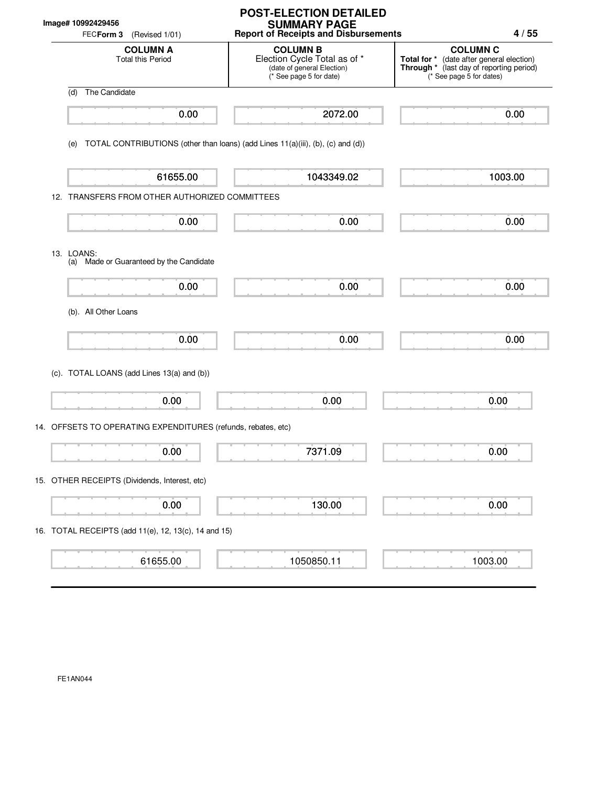|  | Image# 10992429456<br>FECForm 3<br>(Revised 1/01)                                      | <b>POST-ELECTION DETAILED</b><br><b>SUMMARY PAGE</b><br><b>Report of Receipts and Disbursements</b>      | 4/55                                                                                                                                 |
|--|----------------------------------------------------------------------------------------|----------------------------------------------------------------------------------------------------------|--------------------------------------------------------------------------------------------------------------------------------------|
|  | <b>COLUMN A</b><br><b>Total this Period</b>                                            | <b>COLUMN B</b><br>Election Cycle Total as of *<br>(date of general Election)<br>(* See page 5 for date) | <b>COLUMN C</b><br>Total for * (date after general election)<br>Through * (last day of reporting period)<br>(* See page 5 for dates) |
|  | The Candidate<br>(d)                                                                   |                                                                                                          |                                                                                                                                      |
|  | 0.00                                                                                   | 2072.00                                                                                                  | 0.00                                                                                                                                 |
|  | TOTAL CONTRIBUTIONS (other than loans) (add Lines 11(a)(iii), (b), (c) and (d))<br>(e) |                                                                                                          |                                                                                                                                      |
|  | 61655.00                                                                               | 1043349.02                                                                                               | 1003.00                                                                                                                              |
|  | 12. TRANSFERS FROM OTHER AUTHORIZED COMMITTEES                                         |                                                                                                          |                                                                                                                                      |
|  | 0.00                                                                                   | 0.00                                                                                                     | 0.00                                                                                                                                 |
|  | 13. LOANS:<br>(a) Made or Guaranteed by the Candidate                                  |                                                                                                          |                                                                                                                                      |
|  | 0.00                                                                                   | 0.00                                                                                                     | 0.00                                                                                                                                 |
|  | (b). All Other Loans                                                                   |                                                                                                          |                                                                                                                                      |
|  | 0.00                                                                                   | 0.00                                                                                                     | 0.00                                                                                                                                 |
|  | (c). TOTAL LOANS (add Lines 13(a) and (b))                                             |                                                                                                          |                                                                                                                                      |
|  | 0.00                                                                                   | 0.00                                                                                                     | 0.00                                                                                                                                 |
|  | 14. OFFSETS TO OPERATING EXPENDITURES (refunds, rebates, etc)                          |                                                                                                          |                                                                                                                                      |
|  | ┳<br>0.00                                                                              | 7371.09                                                                                                  | 0.00                                                                                                                                 |
|  | 15. OTHER RECEIPTS (Dividends, Interest, etc)                                          |                                                                                                          |                                                                                                                                      |
|  | 0.00                                                                                   | 130.00                                                                                                   | 0.00                                                                                                                                 |
|  | 16. TOTAL RECEIPTS (add 11(e), 12, 13(c), 14 and 15)                                   |                                                                                                          |                                                                                                                                      |
|  | 61655.00                                                                               | 1050850.11                                                                                               | 1003.00                                                                                                                              |

FE1AN044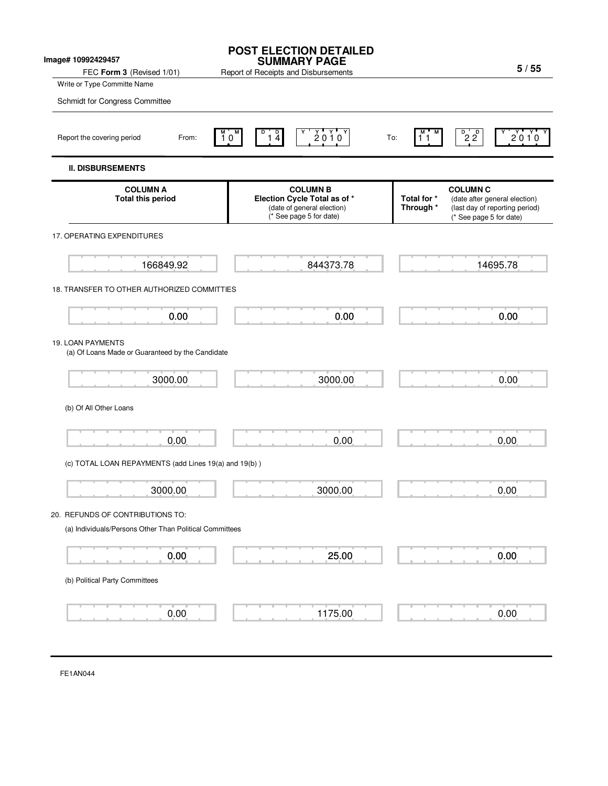| Image# 10992429457<br>FEC Form 3 (Revised 1/01)                                                            | <b>POST ELECTION DETAILED</b><br><b>SUMMARY PAGE</b><br>Report of Receipts and Disbursements             | 5/55                                                                                                                                      |  |
|------------------------------------------------------------------------------------------------------------|----------------------------------------------------------------------------------------------------------|-------------------------------------------------------------------------------------------------------------------------------------------|--|
| Write or Type Committe Name                                                                                |                                                                                                          |                                                                                                                                           |  |
| Schmidt for Congress Committee                                                                             |                                                                                                          |                                                                                                                                           |  |
| Report the covering period<br>From:                                                                        | $2010^{\circ}$<br>$\frac{1}{4}$<br>$10^{\circ}$                                                          | $\overline{2}$ $\overline{2}$<br>2010<br>To:<br>11                                                                                        |  |
| <b>II. DISBURSEMENTS</b>                                                                                   |                                                                                                          |                                                                                                                                           |  |
| <b>COLUMN A</b><br><b>Total this period</b>                                                                | <b>COLUMN B</b><br>Election Cycle Total as of *<br>(date of general election)<br>(* See page 5 for date) | <b>COLUMN C</b><br>Total for *<br>(date after general election)<br>Through *<br>(last day of reporting period)<br>(* See page 5 for date) |  |
| 17. OPERATING EXPENDITURES                                                                                 |                                                                                                          |                                                                                                                                           |  |
| 166849.92                                                                                                  | 844373.78                                                                                                | 14695.78                                                                                                                                  |  |
| 18. TRANSFER TO OTHER AUTHORIZED COMMITTIES                                                                |                                                                                                          |                                                                                                                                           |  |
| 0.00                                                                                                       | 0.00                                                                                                     | 0.00                                                                                                                                      |  |
| 19. LOAN PAYMENTS<br>(a) Of Loans Made or Guaranteed by the Candidate<br>3000.00<br>(b) Of All Other Loans | 3000.00                                                                                                  | 0.00                                                                                                                                      |  |
| 0.00                                                                                                       | 0.00                                                                                                     | 0.00                                                                                                                                      |  |
| (c) TOTAL LOAN REPAYMENTS (add Lines 19(a) and 19(b))                                                      |                                                                                                          |                                                                                                                                           |  |
| 3000.00                                                                                                    | 3000.00                                                                                                  | 0.00                                                                                                                                      |  |
| 20. REFUNDS OF CONTRIBUTIONS TO:<br>(a) Individuals/Persons Other Than Political Committees                |                                                                                                          |                                                                                                                                           |  |
| 0.00                                                                                                       | 25.00                                                                                                    | 0.00                                                                                                                                      |  |
| (b) Political Party Committees                                                                             |                                                                                                          |                                                                                                                                           |  |
| 0.00                                                                                                       | 1175.00                                                                                                  | 0.00                                                                                                                                      |  |

FE1AN044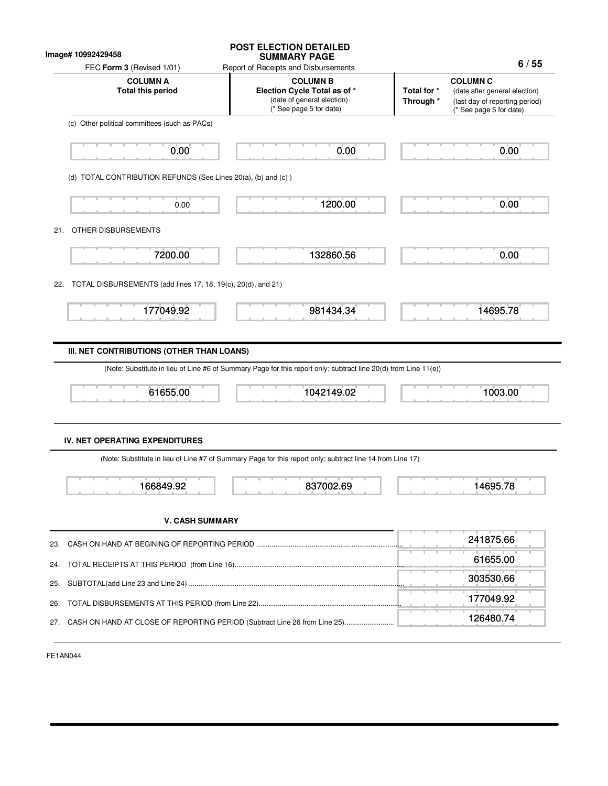|                                                                     | <b>SUMMARY PAGE</b>                                                                                             |                                                                                                                                           |
|---------------------------------------------------------------------|-----------------------------------------------------------------------------------------------------------------|-------------------------------------------------------------------------------------------------------------------------------------------|
| FEC Form 3 (Revised 1/01)                                           | Report of Receipts and Disbursements                                                                            | 6/55                                                                                                                                      |
| <b>COLUMN A</b><br><b>Total this period</b>                         | <b>COLUMN B</b><br>Election Cycle Total as of *<br>(date of general election)<br>* See page 5 for date)         | <b>COLUMN C</b><br>Total for *<br>(date after general election)<br>Through *<br>(last day of reporting period)<br>(* See page 5 for date) |
| (c) Other political committees (such as PACs)                       |                                                                                                                 |                                                                                                                                           |
| 0.00                                                                | 0.00                                                                                                            | 0.00                                                                                                                                      |
| (d) TOTAL CONTRIBUTION REFUNDS (See Lines 20(a), (b) and (c))       |                                                                                                                 |                                                                                                                                           |
| 0.00                                                                | 1200.00                                                                                                         | 0.00                                                                                                                                      |
| OTHER DISBURSEMENTS<br>21.                                          |                                                                                                                 |                                                                                                                                           |
| 7200.00                                                             | 132860.56                                                                                                       | 0.00                                                                                                                                      |
| TOTAL DISBURSEMENTS (add lines 17, 18, 19(c), 20(d), and 21)<br>22. |                                                                                                                 |                                                                                                                                           |
| 177049.92                                                           | 981434.34                                                                                                       | 14695.78                                                                                                                                  |
|                                                                     |                                                                                                                 |                                                                                                                                           |
|                                                                     |                                                                                                                 |                                                                                                                                           |
|                                                                     |                                                                                                                 |                                                                                                                                           |
| III. NET CONTRIBUTIONS (OTHER THAN LOANS)                           | (Note: Substitute in lieu of Line #6 of Summary Page for this report only; subtract line 20(d) from Line 11(e)) |                                                                                                                                           |
| 61655.00                                                            | 1042149.02                                                                                                      | 1003.00                                                                                                                                   |
|                                                                     |                                                                                                                 |                                                                                                                                           |
| <b>IV. NET OPERATING EXPENDITURES</b>                               | (Note: Substitute in lieu of Line #7 of Summary Page for this report only; subtract line 14 from Line 17)       |                                                                                                                                           |
| 166849.92                                                           | 837002.69                                                                                                       | 14695.78                                                                                                                                  |
| <b>V. CASH SUMMARY</b>                                              |                                                                                                                 |                                                                                                                                           |
|                                                                     |                                                                                                                 | 241875.66                                                                                                                                 |
|                                                                     |                                                                                                                 | 61655.00                                                                                                                                  |
|                                                                     |                                                                                                                 | 303530.66                                                                                                                                 |
| 23.<br>24.<br>25.<br>26.                                            |                                                                                                                 | 177049.92                                                                                                                                 |

FE1AN044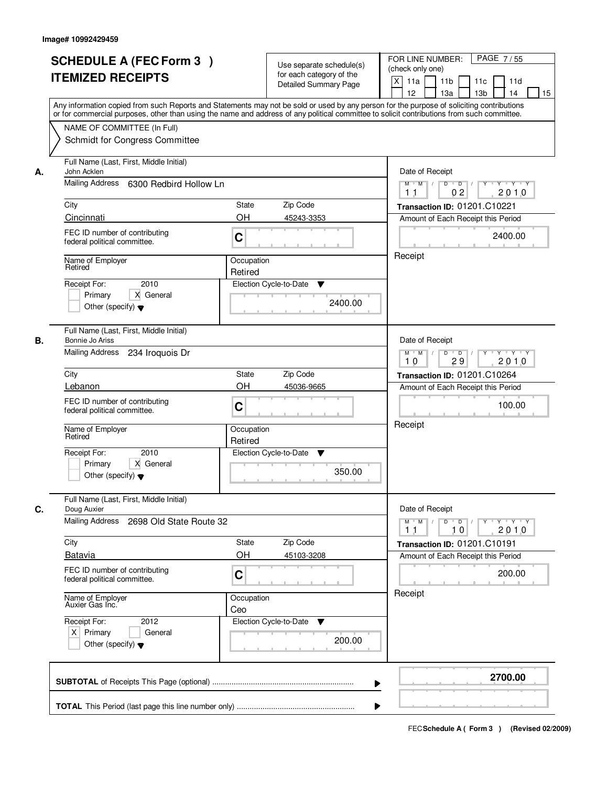|    | <b>SCHEDULE A (FEC Form 3)</b><br><b>ITEMIZED RECEIPTS</b><br>Any information copied from such Reports and Statements may not be sold or used by any person for the purpose of soliciting contributions<br>or for commercial purposes, other than using the name and address of any political committee to solicit contributions from such committee. | Use separate schedule(s)<br>for each category of the<br>Detailed Summary Page | PAGE 7/55<br>FOR LINE NUMBER:<br>(check only one)<br>$\mathsf{X}$<br>11 <sub>b</sub><br>11a<br>11c<br>11d<br>12<br>13 <sub>b</sub><br>14<br>13a<br>15                                                                                                                                                                                                                                                                                                                   |
|----|-------------------------------------------------------------------------------------------------------------------------------------------------------------------------------------------------------------------------------------------------------------------------------------------------------------------------------------------------------|-------------------------------------------------------------------------------|-------------------------------------------------------------------------------------------------------------------------------------------------------------------------------------------------------------------------------------------------------------------------------------------------------------------------------------------------------------------------------------------------------------------------------------------------------------------------|
|    | NAME OF COMMITTEE (In Full)<br>Schmidt for Congress Committee                                                                                                                                                                                                                                                                                         |                                                                               |                                                                                                                                                                                                                                                                                                                                                                                                                                                                         |
| А. | Full Name (Last, First, Middle Initial)<br>John Acklen<br>Mailing Address 6300 Redbird Hollow Ln                                                                                                                                                                                                                                                      |                                                                               | Date of Receipt<br>$Y + Y + Y$<br>$M$ $M$ /<br>$D$ $D$ $/$<br>$\overline{Y}$<br>02<br>2010<br>1 <sub>1</sub>                                                                                                                                                                                                                                                                                                                                                            |
|    | City<br>Cincinnati                                                                                                                                                                                                                                                                                                                                    | State<br>Zip Code<br>OH<br>45243-3353                                         | Transaction ID: 01201.C10221<br>Amount of Each Receipt this Period                                                                                                                                                                                                                                                                                                                                                                                                      |
|    | FEC ID number of contributing<br>federal political committee.                                                                                                                                                                                                                                                                                         | C                                                                             | 2400.00                                                                                                                                                                                                                                                                                                                                                                                                                                                                 |
|    | Name of Employer<br>Retired<br>2010<br>Receipt For:<br>X General<br>Primary<br>Other (specify) $\blacktriangledown$                                                                                                                                                                                                                                   | Occupation<br>Retired<br>Election Cycle-to-Date<br>▼<br>2400.00               | Receipt                                                                                                                                                                                                                                                                                                                                                                                                                                                                 |
| В. | Full Name (Last, First, Middle Initial)<br>Bonnie Jo Ariss<br>Mailing Address<br>234 Iroquois Dr                                                                                                                                                                                                                                                      |                                                                               | Date of Receipt<br>$Y \vdash Y \vdash Y$<br>$M$ $M$ /<br>D<br>$\overline{D}$ /<br>29<br>2010<br>10                                                                                                                                                                                                                                                                                                                                                                      |
|    | City                                                                                                                                                                                                                                                                                                                                                  | Zip Code<br><b>State</b>                                                      | <b>Transaction ID: 01201.C10264</b>                                                                                                                                                                                                                                                                                                                                                                                                                                     |
|    | Lebanon<br>FEC ID number of contributing<br>federal political committee.                                                                                                                                                                                                                                                                              | OH<br>45036-9665<br>C                                                         | Amount of Each Receipt this Period<br>100.00                                                                                                                                                                                                                                                                                                                                                                                                                            |
|    | Name of Employer<br>Retired                                                                                                                                                                                                                                                                                                                           | Occupation<br>Retired                                                         | Receipt                                                                                                                                                                                                                                                                                                                                                                                                                                                                 |
|    | Receipt For:<br>2010<br>Primary<br>X General<br>Other (specify) $\blacktriangledown$                                                                                                                                                                                                                                                                  | Election Cycle-to-Date<br>v<br>350.00                                         |                                                                                                                                                                                                                                                                                                                                                                                                                                                                         |
| C. | Full Name (Last, First, Middle Initial)<br>Doug Auxier<br><b>Mailing Address</b><br>2698 Old State Route 32                                                                                                                                                                                                                                           |                                                                               | Date of Receipt<br>$\begin{array}{c c c c c c c c} \hline \textbf{O} & \textbf{O} & \textbf{O} & \textbf{O} & \textbf{O} & \textbf{O} & \textbf{O} & \textbf{O} & \textbf{O} & \textbf{O} & \textbf{O} & \textbf{O} & \textbf{O} & \textbf{O} & \textbf{O} & \textbf{O} & \textbf{O} & \textbf{O} & \textbf{O} & \textbf{O} & \textbf{O} & \textbf{O} & \textbf{O} & \textbf{O} & \textbf{O} & \textbf{O} & \textbf{O} & \textbf{O} &$<br>$M$ $M$ /<br>2010<br>11<br>10 |
|    | City<br><b>Batavia</b>                                                                                                                                                                                                                                                                                                                                | Zip Code<br>State<br>OH<br>45103-3208                                         | Transaction ID: 01201.C10191<br>Amount of Each Receipt this Period                                                                                                                                                                                                                                                                                                                                                                                                      |
|    | FEC ID number of contributing<br>federal political committee.                                                                                                                                                                                                                                                                                         | C                                                                             | 200.00                                                                                                                                                                                                                                                                                                                                                                                                                                                                  |
|    | Name of Employer<br>Auxier Gas Inc.                                                                                                                                                                                                                                                                                                                   | Occupation<br>Ceo                                                             | Receipt                                                                                                                                                                                                                                                                                                                                                                                                                                                                 |
|    | Receipt For:<br>2012<br>$X$ Primary<br>General<br>Other (specify) $\blacktriangledown$                                                                                                                                                                                                                                                                | Election Cycle-to-Date ▼<br>200.00                                            |                                                                                                                                                                                                                                                                                                                                                                                                                                                                         |
|    |                                                                                                                                                                                                                                                                                                                                                       |                                                                               | 2700.00<br>▶                                                                                                                                                                                                                                                                                                                                                                                                                                                            |
|    |                                                                                                                                                                                                                                                                                                                                                       |                                                                               |                                                                                                                                                                                                                                                                                                                                                                                                                                                                         |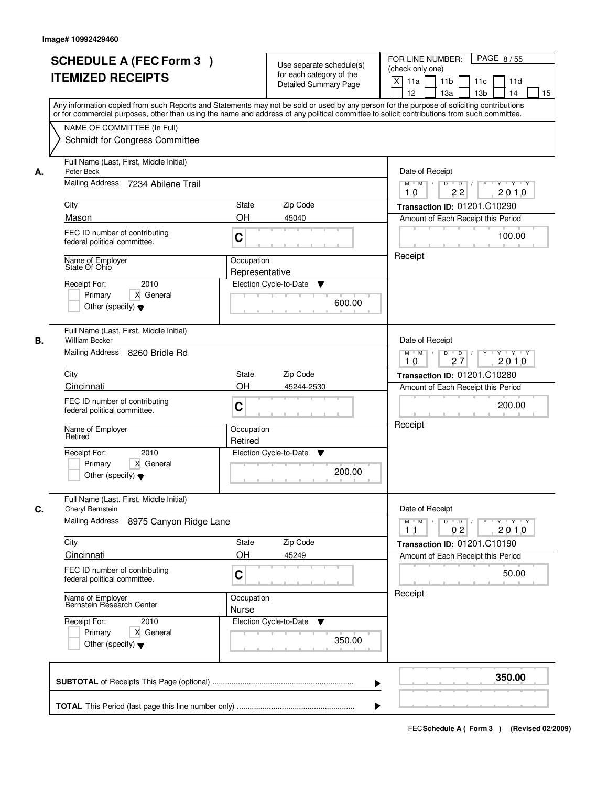|    | <b>SCHEDULE A (FEC Form 3)</b><br><b>ITEMIZED RECEIPTS</b><br>Any information copied from such Reports and Statements may not be sold or used by any person for the purpose of soliciting contributions<br>or for commercial purposes, other than using the name and address of any political committee to solicit contributions from such committee. |                                                  | Use separate schedule(s)<br>for each category of the<br><b>Detailed Summary Page</b> | PAGE 8/55<br>FOR LINE NUMBER:<br>(check only one)<br>X<br>11a<br>11 <sub>b</sub><br>11c<br>11d<br>12<br>13 <sub>b</sub><br>13a<br>14<br>15                                                |
|----|-------------------------------------------------------------------------------------------------------------------------------------------------------------------------------------------------------------------------------------------------------------------------------------------------------------------------------------------------------|--------------------------------------------------|--------------------------------------------------------------------------------------|-------------------------------------------------------------------------------------------------------------------------------------------------------------------------------------------|
|    | NAME OF COMMITTEE (In Full)<br>Schmidt for Congress Committee                                                                                                                                                                                                                                                                                         |                                                  |                                                                                      |                                                                                                                                                                                           |
| А. | Full Name (Last, First, Middle Initial)<br>Peter Beck<br>Mailing Address 7234 Abilene Trail<br>City<br>Mason<br>FEC ID number of contributing<br>federal political committee.<br>Name of Employer<br>State Of Ohio<br>2010<br>Receipt For:                                                                                                            | State<br>OH<br>C<br>Occupation<br>Representative | Zip Code<br>45040<br>Election Cycle-to-Date<br>▼                                     | Date of Receipt<br>$Y$ $Y$ $Y$<br>$M$ $M$<br>$D$ $D$ $/$<br>$\overline{Y}$<br>22<br>2010<br>10<br>Transaction ID: 01201.C10290<br>Amount of Each Receipt this Period<br>100.00<br>Receipt |
|    | X General<br>Primary<br>Other (specify) $\blacktriangledown$<br>Full Name (Last, First, Middle Initial)                                                                                                                                                                                                                                               |                                                  | 600.00                                                                               |                                                                                                                                                                                           |
| В. | <b>William Becker</b><br>Mailing Address 8260 Bridle Rd<br>City<br>Cincinnati                                                                                                                                                                                                                                                                         | State<br>OH                                      | Zip Code<br>45244-2530                                                               | Date of Receipt<br>$Y \vdash Y \vdash Y$<br>$M$ $M$ /<br>D<br>$\overline{\phantom{0}}$<br>Y<br>2010<br>27<br>10<br>Transaction ID: 01201.C10280<br>Amount of Each Receipt this Period     |
|    | FEC ID number of contributing<br>federal political committee.<br>Name of Employer<br>Retired<br>2010<br>Receipt For:                                                                                                                                                                                                                                  | C<br>Occupation<br>Retired                       | Election Cycle-to-Date<br>v                                                          | 200.00<br>Receipt                                                                                                                                                                         |
|    | Primary<br>X General<br>Other (specify) $\blacktriangledown$                                                                                                                                                                                                                                                                                          |                                                  | 200.00                                                                               |                                                                                                                                                                                           |
| C. | Full Name (Last, First, Middle Initial)<br>Cheryl Bernstein<br><b>Mailing Address</b><br>8975 Canyon Ridge Lane                                                                                                                                                                                                                                       |                                                  |                                                                                      | Date of Receipt<br>$D$ $D$ $l$<br>$M$ $M$ /<br>$Y$ <sup>-1</sup><br>$Y + Y + Y$<br>0 <sub>2</sub><br>2010<br>11                                                                           |
|    | City<br>Cincinnati<br>FEC ID number of contributing                                                                                                                                                                                                                                                                                                   | State<br>OH<br>C                                 | Zip Code<br>45249                                                                    | Transaction ID: 01201.C10190<br>Amount of Each Receipt this Period<br>50.00                                                                                                               |
|    | federal political committee.<br>Name of Employer<br>Bernstein Research Center<br>Receipt For:<br>2010<br>Primary<br>X General<br>Other (specify) $\blacktriangledown$                                                                                                                                                                                 | Occupation<br>Nurse                              | Election Cycle-to-Date<br>v<br>350.00                                                | Receipt                                                                                                                                                                                   |
|    |                                                                                                                                                                                                                                                                                                                                                       |                                                  |                                                                                      | 350.00                                                                                                                                                                                    |
|    |                                                                                                                                                                                                                                                                                                                                                       |                                                  |                                                                                      |                                                                                                                                                                                           |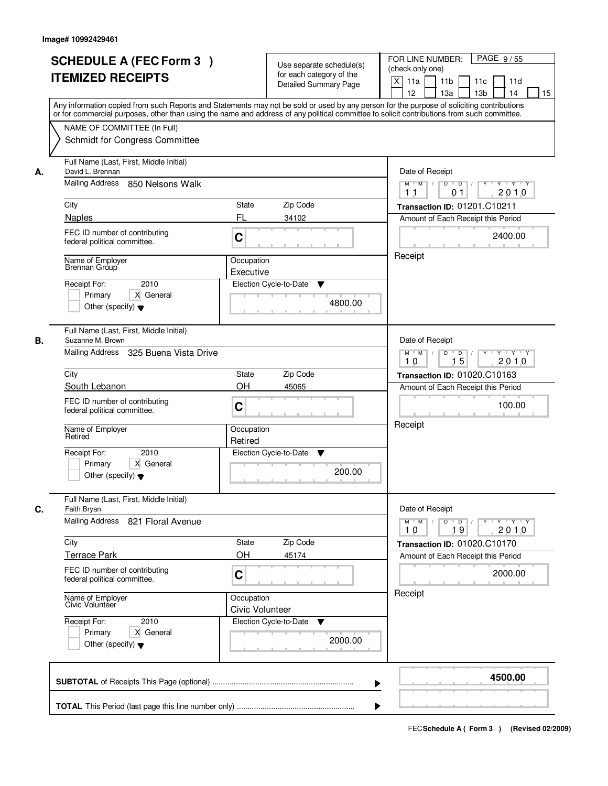|    | <b>SCHEDULE A (FEC Form 3)</b><br><b>ITEMIZED RECEIPTS</b>                                                                                                                                                                                                                                                            | Use separate schedule(s)<br>for each category of the<br><b>Detailed Summary Page</b><br>Any information copied from such Reports and Statements may not be sold or used by any person for the purpose of soliciting contributions | PAGE 9/55<br>FOR LINE NUMBER:<br>(check only one)<br>$\boldsymbol{\mathsf{X}}$<br>11 <sub>b</sub><br>11a<br>11c<br>11d<br>12<br>13 <sub>b</sub><br>14<br>13a<br>15                               |
|----|-----------------------------------------------------------------------------------------------------------------------------------------------------------------------------------------------------------------------------------------------------------------------------------------------------------------------|-----------------------------------------------------------------------------------------------------------------------------------------------------------------------------------------------------------------------------------|--------------------------------------------------------------------------------------------------------------------------------------------------------------------------------------------------|
|    | NAME OF COMMITTEE (In Full)<br>Schmidt for Congress Committee                                                                                                                                                                                                                                                         | or for commercial purposes, other than using the name and address of any political committee to solicit contributions from such committee.                                                                                        |                                                                                                                                                                                                  |
| А. | Full Name (Last, First, Middle Initial)<br>David L. Brennan<br>Mailing Address 850 Nelsons Walk<br>City<br><b>Naples</b><br>FEC ID number of contributing<br>federal political committee.<br>Name of Emplover<br>Brennan Group<br>2010<br>Receipt For:                                                                | <b>State</b><br>Zip Code<br>FL<br>34102<br>C<br>Occupation<br>Executive<br>Election Cycle-to-Date<br>▼                                                                                                                            | Date of Receipt<br>$D$ $D$ $/$<br>$Y^+$<br>Y Y Y Y<br>$M$ $M$ /<br>2010<br>1 <sub>1</sub><br>01<br>Transaction ID: 01201.C10211<br>Amount of Each Receipt this Period<br>2400.00<br>Receipt      |
|    | X General<br>Primary<br>Other (specify) $\blacktriangledown$<br>Full Name (Last, First, Middle Initial)                                                                                                                                                                                                               | 4800.00                                                                                                                                                                                                                           |                                                                                                                                                                                                  |
| В. | Suzanne M. Brown<br>Mailing Address 325 Buena Vista Drive<br>City<br>South Lebanon<br>FEC ID number of contributing<br>federal political committee.<br>Name of Employer<br>Retired<br>2010<br>Receipt For:<br>Primary<br>X General<br>Other (specify) $\blacktriangledown$<br>Full Name (Last, First, Middle Initial) | Zip Code<br>State<br>OH<br>45065<br>C<br>Occupation<br>Retired<br>Election Cycle-to-Date<br>v<br>200.00                                                                                                                           | Date of Receipt<br>Y Y Y Y<br>$M$ $M$ /<br>D<br>$\Box$<br>$Y$ <sup>U</sup><br>15<br>2010<br>10<br><b>Transaction ID: 01020.C10163</b><br>Amount of Each Receipt this Period<br>100.00<br>Receipt |
| C. | Faith Bryan<br>Mailing Address 821 Floral Avenue<br>City<br><b>Terrace Park</b><br>FEC ID number of contributing<br>federal political committee.<br>Name of Employer<br>Civic Volunteer<br>Receipt For:<br>2010<br>Primary<br>X General<br>Other (specify) $\blacktriangledown$                                       | Zip Code<br>State<br>OH<br>45174<br>C<br>Occupation<br>Civic Volunteer<br>Election Cycle-to-Date<br>v<br>2000.00                                                                                                                  | Date of Receipt<br>$M$ $M$<br>$D$ $D$ $l$<br><u> Y LY LY LY</u><br>2010<br>10<br>19<br>Transaction ID: 01020.C10170<br>Amount of Each Receipt this Period<br>2000.00<br>Receipt                  |
|    |                                                                                                                                                                                                                                                                                                                       |                                                                                                                                                                                                                                   | 4500.00                                                                                                                                                                                          |
|    |                                                                                                                                                                                                                                                                                                                       |                                                                                                                                                                                                                                   |                                                                                                                                                                                                  |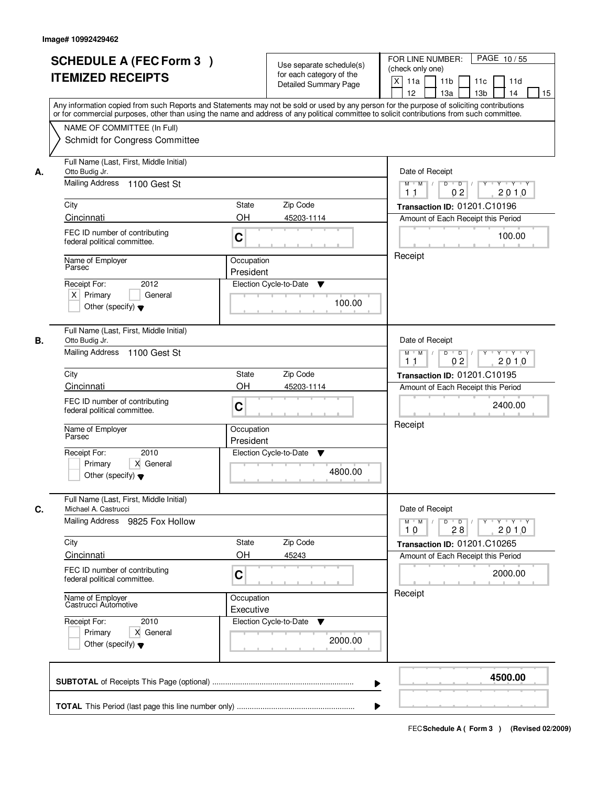| <b>SCHEDULE A (FEC Form 3)</b><br><b>ITEMIZED RECEIPTS</b>                                                                                                                                                                                                                                                                          | Use separate schedule(s)<br>for each category of the<br><b>Detailed Summary Page</b><br>Any information copied from such Reports and Statements may not be sold or used by any person for the purpose of soliciting contributions<br>or for commercial purposes, other than using the name and address of any political committee to solicit contributions from such committee. | PAGE 10/55<br>FOR LINE NUMBER:<br>(check only one)<br>X<br>11 <sub>b</sub><br>11a<br>11c<br>11d<br>12<br>13 <sub>b</sub><br>13a<br>14<br>15                                                                                  |
|-------------------------------------------------------------------------------------------------------------------------------------------------------------------------------------------------------------------------------------------------------------------------------------------------------------------------------------|---------------------------------------------------------------------------------------------------------------------------------------------------------------------------------------------------------------------------------------------------------------------------------------------------------------------------------------------------------------------------------|------------------------------------------------------------------------------------------------------------------------------------------------------------------------------------------------------------------------------|
| NAME OF COMMITTEE (In Full)<br>Schmidt for Congress Committee                                                                                                                                                                                                                                                                       |                                                                                                                                                                                                                                                                                                                                                                                 |                                                                                                                                                                                                                              |
| Full Name (Last, First, Middle Initial)<br>Otto Budig Jr.<br>А.<br>Mailing Address<br>1100 Gest St<br>City<br>Cincinnati<br>FEC ID number of contributing<br>federal political committee.<br>Name of Employer<br>Parsec<br>2012<br>Receipt For:<br>$X$ Primary<br>General<br>Other (specify) $\blacktriangledown$                   | Zip Code<br>State<br>OH<br>45203-1114<br>C<br>Occupation<br>President<br>Election Cycle-to-Date<br>▼<br>100.00                                                                                                                                                                                                                                                                  | Date of Receipt<br>$D$ $D$ $l$<br>$Y + Y + Y$<br>$\overline{Y}$<br>$M$ $M$ /<br>2010<br>1 <sub>1</sub><br>0 <sub>2</sub><br>Transaction ID: 01201.C10196<br>Amount of Each Receipt this Period<br>100.00<br>Receipt          |
| Full Name (Last, First, Middle Initial)<br>В.<br>Otto Budig Jr.<br>Mailing Address 1100 Gest St<br>City<br>Cincinnati<br>FEC ID number of contributing<br>federal political committee.<br>Name of Employer<br>Parsec<br>Receipt For:<br>2010<br>Primary<br>X General<br>Other (specify) $\blacktriangledown$                        | Zip Code<br><b>State</b><br>OH<br>45203-1114<br>C<br>Occupation<br>President<br>Election Cycle-to-Date<br>v<br>4800.00                                                                                                                                                                                                                                                          | Date of Receipt<br>$M$ $M$ /<br>$D$ $D$ $/$<br>Y 'Y 'Y<br>02<br>2010<br>11<br>Transaction ID: 01201.C10195<br>Amount of Each Receipt this Period<br>2400.00<br>Receipt                                                       |
| Full Name (Last, First, Middle Initial)<br>C.<br>Michael A. Castrucci<br>Mailing Address 9825 Fox Hollow<br>City<br>Cincinnati<br>FEC ID number of contributing<br>federal political committee.<br>Name of Employer<br>Castrucci Automotive<br>Receipt For:<br>2010<br>Primary<br>X General<br>Other (specify) $\blacktriangledown$ | Zip Code<br>State<br>OH<br>45243<br>C<br>Occupation<br>Executive<br>Election Cycle-to-Date<br>v<br>2000.00                                                                                                                                                                                                                                                                      | Date of Receipt<br>$M^{\prime}$ M $\rightarrow$ /<br>$\mathsf D$<br>$Y - Y - Y - Y$<br>$\overline{D}$ /<br>Y<br>2010<br>28<br>10<br>Transaction ID: 01201.C10265<br>Amount of Each Receipt this Period<br>2000.00<br>Receipt |
|                                                                                                                                                                                                                                                                                                                                     | ▶                                                                                                                                                                                                                                                                                                                                                                               | 4500.00                                                                                                                                                                                                                      |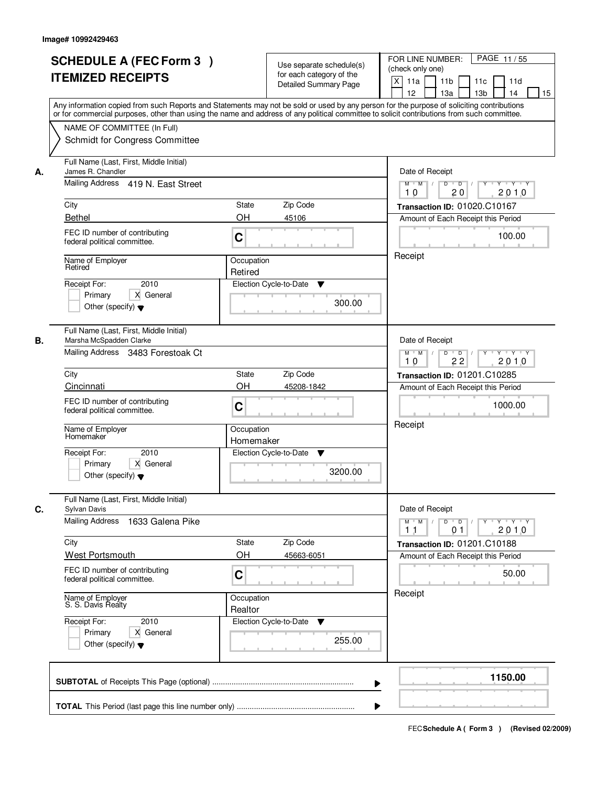|    | <b>SCHEDULE A (FEC Form 3)</b><br><b>ITEMIZED RECEIPTS</b><br>Any information copied from such Reports and Statements may not be sold or used by any person for the purpose of soliciting contributions     | Use separate schedule(s)<br>for each category of the<br><b>Detailed Summary Page</b>           | PAGE 11/55<br>FOR LINE NUMBER:<br>(check only one)<br>$\boldsymbol{\mathsf{X}}$<br>11 <sub>b</sub><br>11a<br>11c<br>11d<br>12<br>13 <sub>b</sub><br>14<br>13a<br>15 |
|----|-------------------------------------------------------------------------------------------------------------------------------------------------------------------------------------------------------------|------------------------------------------------------------------------------------------------|---------------------------------------------------------------------------------------------------------------------------------------------------------------------|
|    | or for commercial purposes, other than using the name and address of any political committee to solicit contributions from such committee.<br>NAME OF COMMITTEE (In Full)<br>Schmidt for Congress Committee |                                                                                                |                                                                                                                                                                     |
| А. | Full Name (Last, First, Middle Initial)<br>James R. Chandler<br>Mailing Address 419 N. East Street                                                                                                          | Date of Receipt<br>$D$ $D$ $/$<br>$Y$ <sup>U</sup><br>Y Y Y Y<br>$M$ $M$ /<br>20<br>2010<br>10 |                                                                                                                                                                     |
|    | City<br><b>Bethel</b>                                                                                                                                                                                       | <b>State</b><br>Zip Code<br><b>OH</b><br>45106                                                 | Transaction ID: 01020.C10167<br>Amount of Each Receipt this Period                                                                                                  |
|    | FEC ID number of contributing<br>federal political committee.                                                                                                                                               | C                                                                                              | 100.00                                                                                                                                                              |
|    | Name of Employer<br>Retired<br>2010<br>Receipt For:<br>X General<br>Primary<br>Other (specify) $\blacktriangledown$                                                                                         | Occupation<br>Retired<br>Election Cycle-to-Date<br>▼<br>300.00                                 | Receipt                                                                                                                                                             |
| В. | Full Name (Last, First, Middle Initial)<br>Marsha McSpadden Clarke<br>Mailing Address 3483 Forestoak Ct                                                                                                     |                                                                                                | Date of Receipt<br>Y Y Y Y<br>$M$ $M$ /<br>D<br>$\overline{D}$<br>$Y$ <sup>U</sup><br>22<br>2010<br>10                                                              |
|    | City                                                                                                                                                                                                        | Zip Code<br>State                                                                              | <b>Transaction ID: 01201.C10285</b>                                                                                                                                 |
|    | Cincinnati<br>FEC ID number of contributing<br>federal political committee.                                                                                                                                 | OH<br>45208-1842<br>C                                                                          | Amount of Each Receipt this Period<br>1000.00                                                                                                                       |
|    | Name of Employer<br>Homemaker <sup>'</sup>                                                                                                                                                                  | Occupation<br>Homemaker                                                                        | Receipt                                                                                                                                                             |
|    | Receipt For:<br>2010<br>Primary<br>X General<br>Other (specify) $\blacktriangledown$                                                                                                                        | Election Cycle-to-Date<br>Y<br>3200.00                                                         |                                                                                                                                                                     |
| C. | Full Name (Last, First, Middle Initial)<br>Sylvan Davis<br><b>Mailing Address</b>                                                                                                                           |                                                                                                | Date of Receipt                                                                                                                                                     |
|    | 1633 Galena Pike<br>City                                                                                                                                                                                    | Zip Code<br>State                                                                              | $D$ $D$ $/$<br>$M$ $M$<br><b>EXPLAIN A SEX</b><br>2010<br>11<br>01<br>Transaction ID: 01201.C10188                                                                  |
|    | <b>West Portsmouth</b>                                                                                                                                                                                      | OH<br>45663-6051                                                                               | Amount of Each Receipt this Period                                                                                                                                  |
|    | FEC ID number of contributing<br>federal political committee.                                                                                                                                               | C                                                                                              | 50.00                                                                                                                                                               |
|    | Name of Employer<br>S. S. Davis Realty                                                                                                                                                                      | Occupation<br>Realtor                                                                          | Receipt                                                                                                                                                             |
|    | Receipt For:<br>2010<br>Primary<br>X General<br>Other (specify) $\blacktriangledown$                                                                                                                        | Election Cycle-to-Date<br>▼<br>255.00                                                          |                                                                                                                                                                     |
|    |                                                                                                                                                                                                             |                                                                                                | 1150.00                                                                                                                                                             |
|    |                                                                                                                                                                                                             |                                                                                                |                                                                                                                                                                     |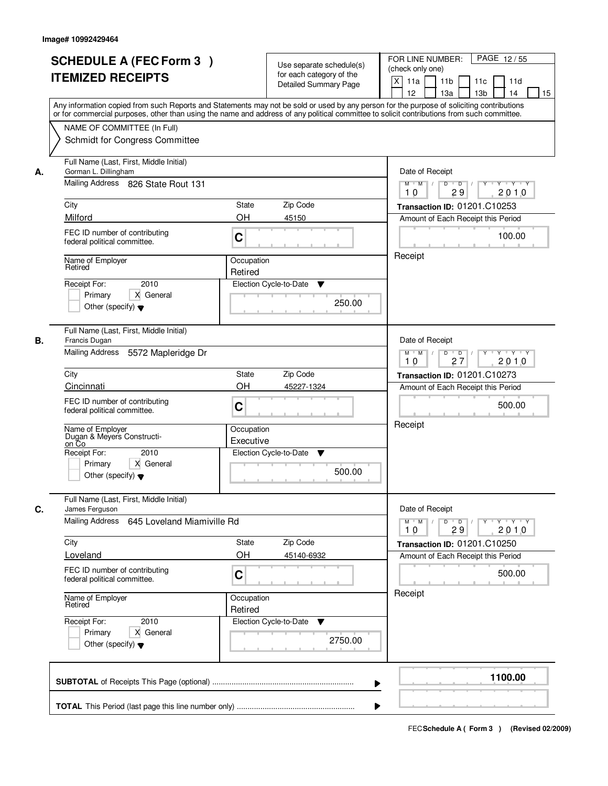|    | <b>SCHEDULE A (FEC Form 3)</b><br><b>ITEMIZED RECEIPTS</b><br>Any information copied from such Reports and Statements may not be sold or used by any person for the purpose of soliciting contributions<br>or for commercial purposes, other than using the name and address of any political committee to solicit contributions from such committee. | Use separate schedule(s)<br>for each category of the<br><b>Detailed Summary Page</b> |         | PAGE 12/55<br>FOR LINE NUMBER:<br>(check only one)<br>$\boldsymbol{\mathsf{X}}$<br>11 <sub>b</sub><br>11a<br>11c<br>11d<br>12<br>13 <sub>b</sub><br>14<br>13a<br>15 |
|----|-------------------------------------------------------------------------------------------------------------------------------------------------------------------------------------------------------------------------------------------------------------------------------------------------------------------------------------------------------|--------------------------------------------------------------------------------------|---------|---------------------------------------------------------------------------------------------------------------------------------------------------------------------|
|    | NAME OF COMMITTEE (In Full)<br>Schmidt for Congress Committee                                                                                                                                                                                                                                                                                         |                                                                                      |         |                                                                                                                                                                     |
| А. | Full Name (Last, First, Middle Initial)<br>Gorman L. Dillingham<br>Mailing Address 826 State Rout 131                                                                                                                                                                                                                                                 |                                                                                      |         | Date of Receipt<br>$D$ $D$<br>Y<br>$Y - Y - Y - Y$<br>$M$ $M$ /<br>29<br>2010<br>10                                                                                 |
|    | City                                                                                                                                                                                                                                                                                                                                                  | <b>State</b><br>Zip Code                                                             |         | Transaction ID: 01201.C10253                                                                                                                                        |
|    | Milford                                                                                                                                                                                                                                                                                                                                               | <b>OH</b><br>45150                                                                   |         | Amount of Each Receipt this Period                                                                                                                                  |
|    | FEC ID number of contributing<br>federal political committee.                                                                                                                                                                                                                                                                                         | C                                                                                    |         | 100.00                                                                                                                                                              |
|    | Name of Employer<br>Retired                                                                                                                                                                                                                                                                                                                           | Occupation                                                                           |         | Receipt                                                                                                                                                             |
|    | 2010<br>Receipt For:                                                                                                                                                                                                                                                                                                                                  | Retired<br>Election Cycle-to-Date                                                    |         |                                                                                                                                                                     |
|    | X General<br>Primary<br>Other (specify) $\blacktriangledown$                                                                                                                                                                                                                                                                                          | ▼                                                                                    | 250.00  |                                                                                                                                                                     |
| В. | Full Name (Last, First, Middle Initial)<br>Francis Dugan                                                                                                                                                                                                                                                                                              |                                                                                      |         | Date of Receipt                                                                                                                                                     |
|    | Mailing Address<br>5572 Mapleridge Dr                                                                                                                                                                                                                                                                                                                 |                                                                                      |         | $M$ $M$ /<br>D<br>$\Box$<br>Y<br>$Y + Y + Y$<br>2010<br>27<br>10                                                                                                    |
|    | City                                                                                                                                                                                                                                                                                                                                                  | Zip Code<br>State                                                                    |         | <b>Transaction ID: 01201.C10273</b>                                                                                                                                 |
|    | Cincinnati                                                                                                                                                                                                                                                                                                                                            | OH<br>45227-1324                                                                     |         | Amount of Each Receipt this Period                                                                                                                                  |
|    | FEC ID number of contributing<br>federal political committee.                                                                                                                                                                                                                                                                                         | C                                                                                    |         | 500.00                                                                                                                                                              |
|    | Name of Employer<br>Dugan & Meyers Constructi-<br>on Co                                                                                                                                                                                                                                                                                               | Occupation<br>Executive                                                              |         | Receipt                                                                                                                                                             |
|    | Receipt For:<br>2010                                                                                                                                                                                                                                                                                                                                  | Election Cycle-to-Date<br>v                                                          |         |                                                                                                                                                                     |
|    | Primary<br>X General<br>Other (specify) $\blacktriangledown$                                                                                                                                                                                                                                                                                          |                                                                                      | 500.00  |                                                                                                                                                                     |
| C. | Full Name (Last, First, Middle Initial)<br>James Ferguson                                                                                                                                                                                                                                                                                             |                                                                                      |         | Date of Receipt                                                                                                                                                     |
|    | Mailing Address<br>645 Loveland Miamiville Rd                                                                                                                                                                                                                                                                                                         |                                                                                      |         | $M$ $M$ $/$<br>$D$ $D$ $/$<br>$Y - Y - Y - Y$<br>$Y^+$<br>2010<br>10<br>29                                                                                          |
|    | City                                                                                                                                                                                                                                                                                                                                                  | Zip Code<br>State                                                                    |         | Transaction ID: 01201.C10250                                                                                                                                        |
|    | Loveland                                                                                                                                                                                                                                                                                                                                              | OH<br>45140-6932                                                                     |         | Amount of Each Receipt this Period                                                                                                                                  |
|    | FEC ID number of contributing<br>federal political committee.                                                                                                                                                                                                                                                                                         | C                                                                                    |         | 500.00                                                                                                                                                              |
|    | Name of Employer<br>Retired                                                                                                                                                                                                                                                                                                                           | Occupation<br>Retired                                                                |         | Receipt                                                                                                                                                             |
|    | Receipt For:<br>2010<br>Primary<br>X General<br>Other (specify) $\blacktriangledown$                                                                                                                                                                                                                                                                  | Election Cycle-to-Date<br>▼                                                          | 2750.00 |                                                                                                                                                                     |
|    |                                                                                                                                                                                                                                                                                                                                                       |                                                                                      |         | 1100.00                                                                                                                                                             |
|    |                                                                                                                                                                                                                                                                                                                                                       |                                                                                      |         |                                                                                                                                                                     |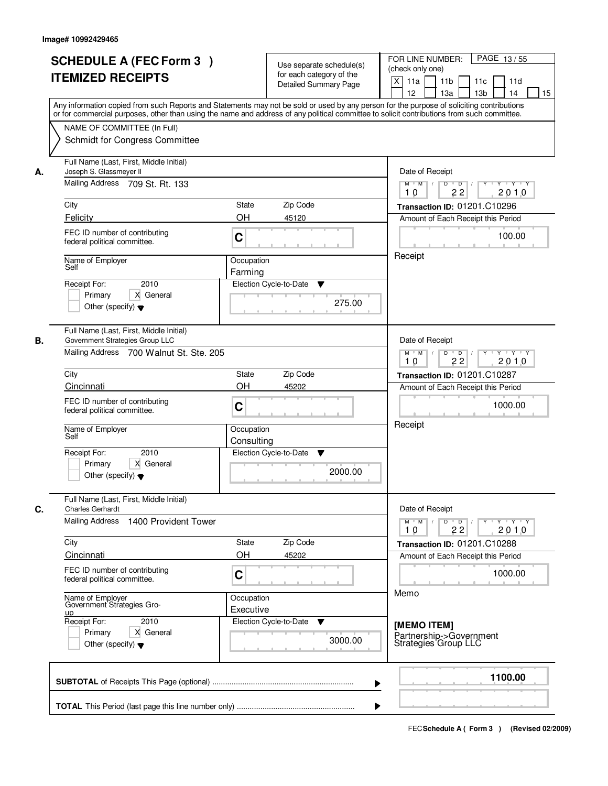| <b>SCHEDULE A (FEC Form 3)</b><br><b>ITEMIZED RECEIPTS</b>                                                                  | Use separate schedule(s)<br>for each category of the<br><b>Detailed Summary Page</b><br>Any information copied from such Reports and Statements may not be sold or used by any person for the purpose of soliciting contributions<br>or for commercial purposes, other than using the name and address of any political committee to solicit contributions from such committee. | PAGE 13/55<br>FOR LINE NUMBER:<br>(check only one)<br>$\mathsf{X}$<br>11 <sub>b</sub><br>11a<br>11c<br>11d<br>12<br>13 <sub>b</sub><br>14<br>13a<br>15                      |
|-----------------------------------------------------------------------------------------------------------------------------|---------------------------------------------------------------------------------------------------------------------------------------------------------------------------------------------------------------------------------------------------------------------------------------------------------------------------------------------------------------------------------|-----------------------------------------------------------------------------------------------------------------------------------------------------------------------------|
| NAME OF COMMITTEE (In Full)<br>Schmidt for Congress Committee                                                               |                                                                                                                                                                                                                                                                                                                                                                                 |                                                                                                                                                                             |
| Full Name (Last, First, Middle Initial)<br>Joseph S. Glassmeyer II<br>А.<br>Mailing Address 709 St. Rt. 133                 |                                                                                                                                                                                                                                                                                                                                                                                 | Date of Receipt<br>$Y + Y + Y$<br>$M$ $M$ /<br>$D$ $D$ $/$<br>$Y^+$                                                                                                         |
| City                                                                                                                        | State<br>Zip Code                                                                                                                                                                                                                                                                                                                                                               | 22<br>2010<br>10<br>Transaction ID: 01201.C10296                                                                                                                            |
| Felicity<br>FEC ID number of contributing<br>federal political committee.                                                   | OH<br>45120<br>C                                                                                                                                                                                                                                                                                                                                                                | Amount of Each Receipt this Period<br>100.00                                                                                                                                |
| Name of Employer<br>Self<br>2010<br>Receipt For:<br>X General<br>Primary<br>Other (specify) $\blacktriangledown$            | Occupation<br>Farming<br>Election Cycle-to-Date<br>▼<br>275.00                                                                                                                                                                                                                                                                                                                  | Receipt                                                                                                                                                                     |
| Full Name (Last, First, Middle Initial)<br>В.<br>Government Strategies Group LLC<br>Mailing Address 700 Walnut St. Ste. 205 |                                                                                                                                                                                                                                                                                                                                                                                 | Date of Receipt<br>$Y \vdash Y \vdash Y$<br>$M$ $M$ /<br>D<br>$\overline{D}$<br>22<br>2010<br>10                                                                            |
| City                                                                                                                        | <b>State</b><br>Zip Code                                                                                                                                                                                                                                                                                                                                                        | <b>Transaction ID: 01201.C10287</b>                                                                                                                                         |
| Cincinnati<br>FEC ID number of contributing<br>federal political committee.                                                 | OH<br>45202<br>C                                                                                                                                                                                                                                                                                                                                                                | Amount of Each Receipt this Period<br>1000.00                                                                                                                               |
| Name of Employer<br>Self                                                                                                    | Occupation<br>Consulting                                                                                                                                                                                                                                                                                                                                                        | Receipt                                                                                                                                                                     |
| Receipt For:<br>2010<br>Primary<br>X General<br>Other (specify) $\blacktriangledown$                                        | Election Cycle-to-Date<br>▼<br>2000.00                                                                                                                                                                                                                                                                                                                                          |                                                                                                                                                                             |
| Full Name (Last, First, Middle Initial)<br>C.<br><b>Charles Gerhardt</b>                                                    |                                                                                                                                                                                                                                                                                                                                                                                 | Date of Receipt                                                                                                                                                             |
| Mailing Address<br>1400 Provident Tower                                                                                     |                                                                                                                                                                                                                                                                                                                                                                                 | $D$ $D$ $/$<br>$\begin{array}{ccccccccccccc} &\mathsf{Y} &\mathsf{I} &\mathsf{Y} &\mathsf{I} &\mathsf{Y} &\mathsf{I} &\mathsf{Y}\end{array}$<br>$M$ $M$<br>10<br>22<br>2010 |
| City<br><b>Cincinnati</b>                                                                                                   | Zip Code<br>State<br>OH<br>45202                                                                                                                                                                                                                                                                                                                                                | Transaction ID: 01201.C10288                                                                                                                                                |
| FEC ID number of contributing<br>federal political committee.                                                               | C                                                                                                                                                                                                                                                                                                                                                                               | Amount of Each Receipt this Period<br>1000.00                                                                                                                               |
| Name of Employer<br>Government Strategies Gro-<br><u>up</u><br>Receipt For:                                                 | Occupation<br>Executive                                                                                                                                                                                                                                                                                                                                                         | Memo                                                                                                                                                                        |
| 2010<br>Primary<br>X General<br>Other (specify) $\blacktriangledown$                                                        | Election Cycle-to-Date<br>v<br>3000.00                                                                                                                                                                                                                                                                                                                                          | [MEMO ITEM]<br>Partnership->Government<br>Strategies Group LLC                                                                                                              |
|                                                                                                                             |                                                                                                                                                                                                                                                                                                                                                                                 | 1100.00                                                                                                                                                                     |
|                                                                                                                             | ▶                                                                                                                                                                                                                                                                                                                                                                               |                                                                                                                                                                             |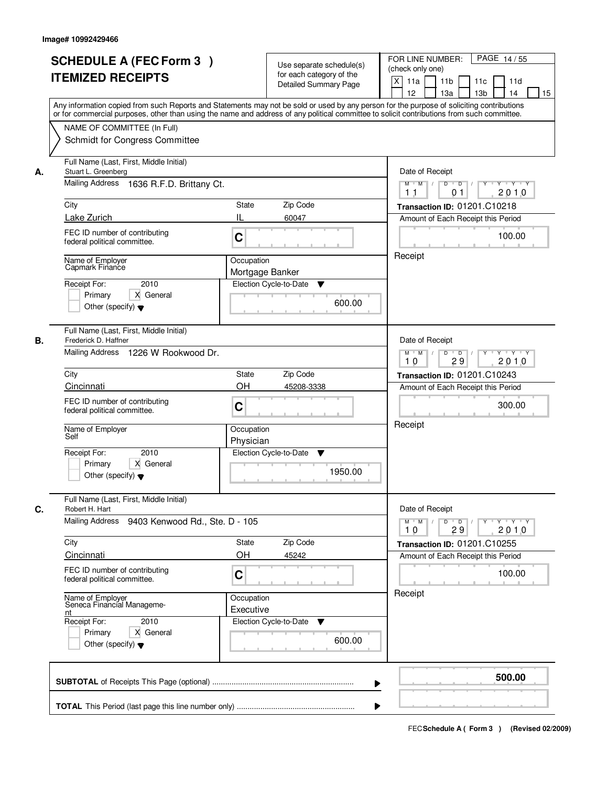| <b>SCHEDULE A (FEC Form 3)</b><br><b>ITEMIZED RECEIPTS</b>                                                                                                                                                                                                                                                                                               | Use separate schedule(s)<br>for each category of the<br><b>Detailed Summary Page</b><br>Any information copied from such Reports and Statements may not be sold or used by any person for the purpose of soliciting contributions<br>or for commercial purposes, other than using the name and address of any political committee to solicit contributions from such committee. | PAGE 14/55<br>FOR LINE NUMBER:<br>(check only one)<br>X<br>11a<br>11 <sub>b</sub><br>11c<br>11d<br>12<br>13 <sub>b</sub><br>13a<br>14<br>15                                                                                                                                                                                                                                                                                                                                                                                                                                    |
|----------------------------------------------------------------------------------------------------------------------------------------------------------------------------------------------------------------------------------------------------------------------------------------------------------------------------------------------------------|---------------------------------------------------------------------------------------------------------------------------------------------------------------------------------------------------------------------------------------------------------------------------------------------------------------------------------------------------------------------------------|--------------------------------------------------------------------------------------------------------------------------------------------------------------------------------------------------------------------------------------------------------------------------------------------------------------------------------------------------------------------------------------------------------------------------------------------------------------------------------------------------------------------------------------------------------------------------------|
| NAME OF COMMITTEE (In Full)<br>Schmidt for Congress Committee                                                                                                                                                                                                                                                                                            |                                                                                                                                                                                                                                                                                                                                                                                 |                                                                                                                                                                                                                                                                                                                                                                                                                                                                                                                                                                                |
| Full Name (Last, First, Middle Initial)<br>Stuart L. Greenberg<br>А.<br>Mailing Address 1636 R.F.D. Brittany Ct.<br>City<br>Lake Zurich<br>FEC ID number of contributing<br>federal political committee.<br>Name of Employer<br>Capmark Finance<br>2010<br>Receipt For:<br>X General<br>Primary<br>Other (specify) $\blacktriangledown$                  | State<br>Zip Code<br>Ш<br>60047<br>C<br>Occupation<br>Mortgage Banker<br>Election Cycle-to-Date<br>▼<br>600.00                                                                                                                                                                                                                                                                  | Date of Receipt<br>$\begin{array}{c c c c c c c c} \hline \textbf{C} & \textbf{C} & \textbf{C} & \textbf{C} & \textbf{C} & \textbf{C} & \textbf{C} & \textbf{C} & \textbf{C} & \textbf{C} & \textbf{C} & \textbf{C} & \textbf{C} & \textbf{C} & \textbf{C} & \textbf{C} & \textbf{C} & \textbf{C} & \textbf{C} & \textbf{C} & \textbf{C} & \textbf{C} & \textbf{C} & \textbf{C} & \textbf{C} & \textbf{C} & \textbf{C} & \textbf{C} &$<br>$M$ $M$ /<br>2010<br>11<br>0 <sub>1</sub><br>Transaction ID: 01201.C10218<br>Amount of Each Receipt this Period<br>100.00<br>Receipt |
| Full Name (Last, First, Middle Initial)<br>Frederick D. Haffner<br>В.<br>Mailing Address 1226 W Rookwood Dr.<br>City<br>Cincinnati<br>FEC ID number of contributing<br>federal political committee.<br>Name of Employer<br>Self<br>Receipt For:<br>2010<br>Primary<br>X General<br>Other (specify) $\blacktriangledown$                                  | State<br>Zip Code<br>OH<br>45208-3338<br>C<br>Occupation<br>Physician<br>Election Cycle-to-Date<br>v<br>1950.00                                                                                                                                                                                                                                                                 | Date of Receipt<br>$Y \vdash Y \vdash Y$<br>$M$ $M$ /<br>D<br>$\overline{D}$<br>Y<br>2010<br>29<br>10<br>Transaction ID: 01201.C10243<br>Amount of Each Receipt this Period<br>300.00<br>Receipt                                                                                                                                                                                                                                                                                                                                                                               |
| Full Name (Last, First, Middle Initial)<br>Robert H. Hart<br>C.<br>Mailing Address 9403 Kenwood Rd., Ste. D - 105<br>City<br>Cincinnati<br>FEC ID number of contributing<br>federal political committee.<br>Name of Employer<br>Seneca Financial Manageme-<br>nt<br>Receipt For:<br>2010<br>Primary<br>X General<br>Other (specify) $\blacktriangledown$ | Zip Code<br>State<br>OH<br>45242<br>C<br>Occupation<br>Executive<br>Election Cycle-to-Date<br>v<br>600.00                                                                                                                                                                                                                                                                       | Date of Receipt<br>$D$ $D$ $/$<br>$M$ $M$ /<br>$Y + Y + Y$<br>Y "<br>2010<br>10<br>29<br>Transaction ID: 01201.C10255<br>Amount of Each Receipt this Period<br>100.00<br>Receipt                                                                                                                                                                                                                                                                                                                                                                                               |
|                                                                                                                                                                                                                                                                                                                                                          |                                                                                                                                                                                                                                                                                                                                                                                 | 500.00                                                                                                                                                                                                                                                                                                                                                                                                                                                                                                                                                                         |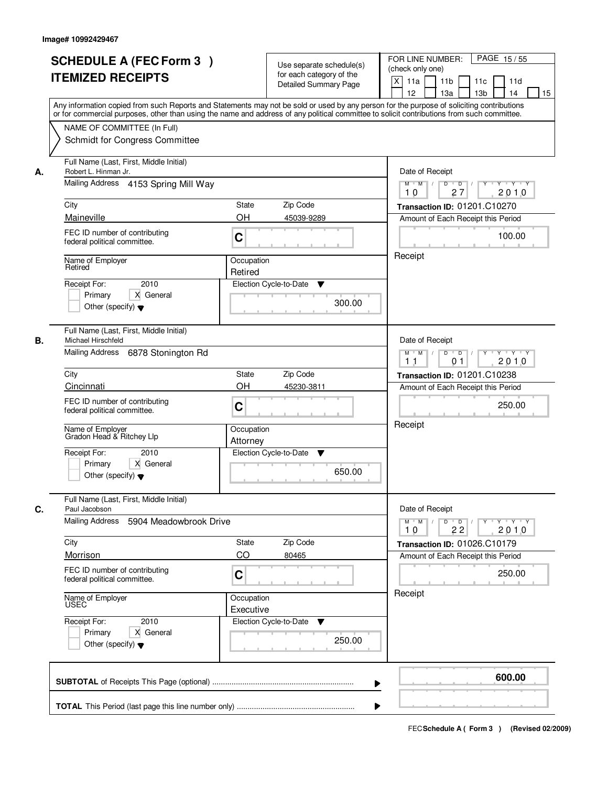|    | <b>SCHEDULE A (FEC Form 3)</b><br><b>ITEMIZED RECEIPTS</b><br>Any information copied from such Reports and Statements may not be sold or used by any person for the purpose of soliciting contributions<br>or for commercial purposes, other than using the name and address of any political committee to solicit contributions from such committee. |                         | Use separate schedule(s)<br>for each category of the<br><b>Detailed Summary Page</b> | PAGE 15/55<br>FOR LINE NUMBER:<br>(check only one)<br>X<br>11a<br>11 <sub>b</sub><br>11c<br>11d<br>12<br>13 <sub>b</sub><br>13a<br>14<br>15                      |
|----|-------------------------------------------------------------------------------------------------------------------------------------------------------------------------------------------------------------------------------------------------------------------------------------------------------------------------------------------------------|-------------------------|--------------------------------------------------------------------------------------|------------------------------------------------------------------------------------------------------------------------------------------------------------------|
|    | NAME OF COMMITTEE (In Full)<br>Schmidt for Congress Committee                                                                                                                                                                                                                                                                                         |                         |                                                                                      |                                                                                                                                                                  |
| А. | Full Name (Last, First, Middle Initial)<br>Robert L. Hinman Jr.<br>Mailing Address 4153 Spring Mill Way<br>City<br>Maineville                                                                                                                                                                                                                         | State<br>OH             | Zip Code<br>45039-9289                                                               | Date of Receipt<br>$M$ $M$<br>$D$ $D$ $/$<br>$\overline{Y}$<br>Y Y Y Y<br>27<br>2010<br>10<br>Transaction ID: 01201.C10270<br>Amount of Each Receipt this Period |
|    | FEC ID number of contributing<br>federal political committee.                                                                                                                                                                                                                                                                                         | C                       |                                                                                      | 100.00                                                                                                                                                           |
|    | Name of Employer<br>Retired<br>2010<br>Receipt For:<br>X General<br>Primary<br>Other (specify) $\blacktriangledown$                                                                                                                                                                                                                                   | Occupation<br>Retired   | Election Cycle-to-Date<br>▼<br>300.00                                                | Receipt                                                                                                                                                          |
| В. | Full Name (Last, First, Middle Initial)<br>Michael Hirschfeld<br>Mailing Address 6878 Stonington Rd                                                                                                                                                                                                                                                   |                         |                                                                                      | Date of Receipt<br>$Y \vdash Y \vdash Y$<br>$M$ M<br>D<br>$\overline{D}$<br>Y<br>2010<br>11<br>01                                                                |
|    | City                                                                                                                                                                                                                                                                                                                                                  | <b>State</b>            | Zip Code                                                                             | Transaction ID: 01201.C10238                                                                                                                                     |
|    | Cincinnati                                                                                                                                                                                                                                                                                                                                            | OH                      | 45230-3811                                                                           | Amount of Each Receipt this Period                                                                                                                               |
|    | FEC ID number of contributing<br>federal political committee.                                                                                                                                                                                                                                                                                         | C                       |                                                                                      | 250.00<br>Receipt                                                                                                                                                |
|    | Name of Employer<br>Gradon Head & Ritchey Llp                                                                                                                                                                                                                                                                                                         | Occupation<br>Attorney  |                                                                                      |                                                                                                                                                                  |
|    | Receipt For:<br>2010<br>Primary<br>X General<br>Other (specify) $\blacktriangledown$                                                                                                                                                                                                                                                                  |                         | Election Cycle-to-Date<br>v<br>650.00                                                |                                                                                                                                                                  |
| C. | Full Name (Last, First, Middle Initial)<br>Paul Jacobson                                                                                                                                                                                                                                                                                              |                         |                                                                                      | Date of Receipt                                                                                                                                                  |
|    | <b>Mailing Address</b><br>5904 Meadowbrook Drive                                                                                                                                                                                                                                                                                                      |                         |                                                                                      | $D$ $D$ $/$<br>$M$ $M$ /<br>$Y + Y + Y$<br>Y "<br>22<br>2010<br>10                                                                                               |
|    | City                                                                                                                                                                                                                                                                                                                                                  | State                   | Zip Code                                                                             | Transaction ID: 01026.C10179                                                                                                                                     |
|    | Morrison<br>FEC ID number of contributing<br>federal political committee.                                                                                                                                                                                                                                                                             | CO<br>C                 | 80465                                                                                | Amount of Each Receipt this Period<br>250.00                                                                                                                     |
|    | Name of Employer                                                                                                                                                                                                                                                                                                                                      | Occupation<br>Executive |                                                                                      | Receipt                                                                                                                                                          |
|    | Receipt For:<br>2010<br>Primary<br>X General<br>Other (specify) $\blacktriangledown$                                                                                                                                                                                                                                                                  |                         | Election Cycle-to-Date<br>v<br>250.00                                                |                                                                                                                                                                  |
|    |                                                                                                                                                                                                                                                                                                                                                       |                         | ▶                                                                                    | 600.00                                                                                                                                                           |
|    |                                                                                                                                                                                                                                                                                                                                                       |                         |                                                                                      |                                                                                                                                                                  |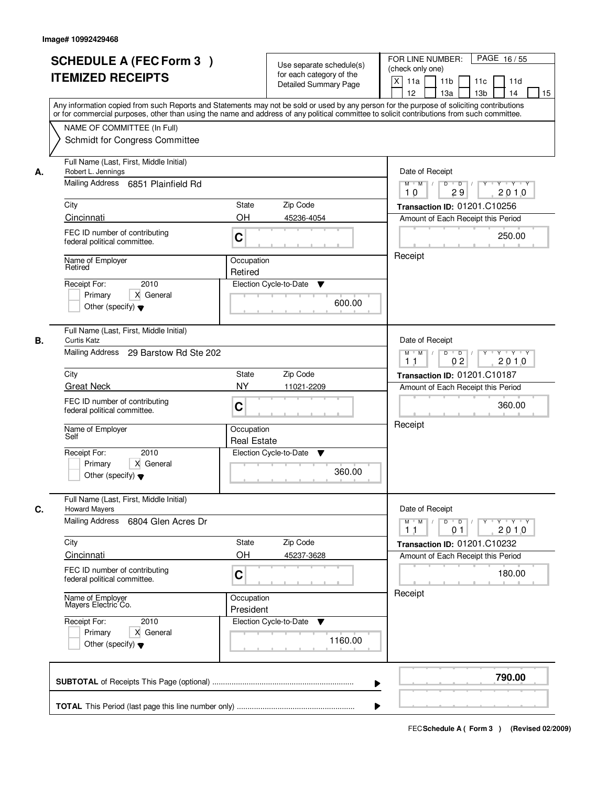|    | <b>SCHEDULE A (FEC Form 3)</b><br><b>ITEMIZED RECEIPTS</b><br>Any information copied from such Reports and Statements may not be sold or used by any person for the purpose of soliciting contributions<br>or for commercial purposes, other than using the name and address of any political committee to solicit contributions from such committee.            |                                                                    | Use separate schedule(s)<br>for each category of the<br><b>Detailed Summary Page</b> | PAGE 16/55<br>FOR LINE NUMBER:<br>(check only one)<br>X<br>11a<br>11 <sub>b</sub><br>11c<br>11d<br>12<br>13a<br>13 <sub>b</sub><br>14<br>15                                                           |
|----|------------------------------------------------------------------------------------------------------------------------------------------------------------------------------------------------------------------------------------------------------------------------------------------------------------------------------------------------------------------|--------------------------------------------------------------------|--------------------------------------------------------------------------------------|-------------------------------------------------------------------------------------------------------------------------------------------------------------------------------------------------------|
|    | NAME OF COMMITTEE (In Full)<br>Schmidt for Congress Committee                                                                                                                                                                                                                                                                                                    |                                                                    |                                                                                      |                                                                                                                                                                                                       |
| А. | Full Name (Last, First, Middle Initial)<br>Robert L. Jennings<br>Mailing Address 6851 Plainfield Rd<br>City<br>Cincinnati<br>FEC ID number of contributing<br>federal political committee.<br>Name of Employer<br>Retired<br>2010<br>Receipt For:<br>X General<br>Primary                                                                                        | State<br>OH<br>C<br>Occupation<br>Retired                          | Zip Code<br>45236-4054<br>Election Cycle-to-Date<br>▼                                | Date of Receipt<br>$Y$ $Y$ $Y$<br>$M$ $M$<br>$D$ $D$ $/$<br>$\overline{Y}$<br>29<br>2010<br>10<br>Transaction ID: 01201.C10256<br>Amount of Each Receipt this Period<br>250.00<br>Receipt             |
| В. | Other (specify) $\blacktriangledown$<br>Full Name (Last, First, Middle Initial)<br><b>Curtis Katz</b><br>Mailing Address 29 Barstow Rd Ste 202<br>City<br><b>Great Neck</b><br>FEC ID number of contributing<br>federal political committee.<br>Name of Employer<br>Self<br>Receipt For:<br>2010<br>Primary<br>X General<br>Other (specify) $\blacktriangledown$ | <b>State</b><br><b>NY</b><br>C<br>Occupation<br><b>Real Estate</b> | 600.00<br>Zip Code<br>11021-2209<br>Election Cycle-to-Date<br>v<br>360.00            | Date of Receipt<br>Y.<br>$Y - Y - Y$<br>$M$ $M$ /<br>D<br>$\overline{D}$ /<br>2010<br>0 <sub>2</sub><br>11<br>Transaction ID: 01201.C10187<br>Amount of Each Receipt this Period<br>360.00<br>Receipt |
| C. | Full Name (Last, First, Middle Initial)<br><b>Howard Mayers</b><br>Mailing Address<br>6804 Glen Acres Dr<br>City<br>Cincinnati<br>FEC ID number of contributing<br>federal political committee.<br>Name of Employer<br>Mayers Electric Co.<br>Receipt For:<br>2010<br>Primary<br>X General<br>Other (specify) $\blacktriangledown$                               | State<br>OH<br>C<br>Occupation<br>President                        | Zip Code<br>45237-3628<br>Election Cycle-to-Date<br>v<br>1160.00                     | Date of Receipt<br>$D$ $D$ $l$<br>$M$ $M$ /<br>$Y$ <sup>-1</sup><br>$Y + Y + Y$<br>2010<br>11<br>01<br><b>Transaction ID: 01201.C10232</b><br>Amount of Each Receipt this Period<br>180.00<br>Receipt |
|    |                                                                                                                                                                                                                                                                                                                                                                  |                                                                    | ▶                                                                                    | 790.00                                                                                                                                                                                                |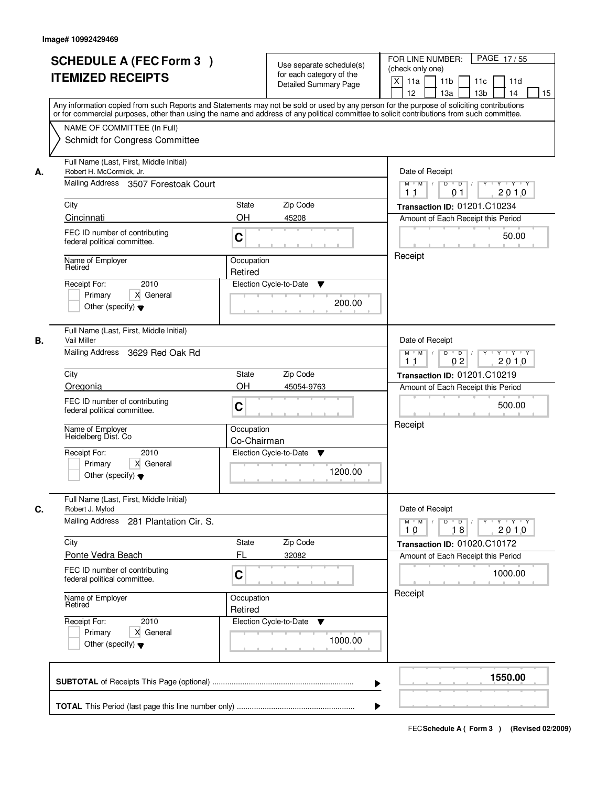|    | <b>SCHEDULE A (FEC Form 3)</b><br><b>ITEMIZED RECEIPTS</b><br>Any information copied from such Reports and Statements may not be sold or used by any person for the purpose of soliciting contributions                                                   | Use separate schedule(s)<br>for each category of the<br><b>Detailed Summary Page</b>                 | PAGE 17/55<br>FOR LINE NUMBER:<br>(check only one)<br>$\boldsymbol{\mathsf{X}}$<br>11a<br>11 <sub>b</sub><br>11c<br>11d<br>12<br>13a<br>13 <sub>b</sub><br>14<br>15                           |
|----|-----------------------------------------------------------------------------------------------------------------------------------------------------------------------------------------------------------------------------------------------------------|------------------------------------------------------------------------------------------------------|-----------------------------------------------------------------------------------------------------------------------------------------------------------------------------------------------|
|    | or for commercial purposes, other than using the name and address of any political committee to solicit contributions from such committee.<br>NAME OF COMMITTEE (In Full)<br>Schmidt for Congress Committee                                               |                                                                                                      |                                                                                                                                                                                               |
| А. | Full Name (Last, First, Middle Initial)<br>Robert H. McCormick, Jr.<br>Mailing Address 3507 Forestoak Court<br>City<br>Cincinnati<br>FEC ID number of contributing<br>federal political committee.<br>Name of Employer<br>Retired<br>2010<br>Receipt For: | State<br>Zip Code<br><b>OH</b><br>45208<br>C<br>Occupation<br>Retired<br>Election Cycle-to-Date<br>▼ | Date of Receipt<br>Y Y Y Y<br>$M$ $M$ /<br>D<br>$\overline{D}$<br>Y<br>2010<br>1 <sub>1</sub><br>01<br>Transaction ID: 01201.C10234<br>Amount of Each Receipt this Period<br>50.00<br>Receipt |
|    | Primary<br>X General<br>Other (specify) $\blacktriangledown$                                                                                                                                                                                              | 200.00                                                                                               |                                                                                                                                                                                               |
| В. | Full Name (Last, First, Middle Initial)<br>Vail Miller<br>Mailing Address<br>3629 Red Oak Rd                                                                                                                                                              |                                                                                                      | Date of Receipt<br>D<br>Y 'Y 'Y<br>$M$ $M$ /<br>$\blacksquare$ D $\blacksquare$ /<br>$Y$ <sup>U</sup><br>0 <sub>2</sub><br>2010<br>1 <sub>1</sub>                                             |
|    | City<br>Oregonia                                                                                                                                                                                                                                          | <b>State</b><br>Zip Code<br>OH<br>45054-9763                                                         | Transaction ID: 01201.C10219<br>Amount of Each Receipt this Period                                                                                                                            |
|    | FEC ID number of contributing<br>federal political committee.                                                                                                                                                                                             | C                                                                                                    | 500.00<br>Receipt                                                                                                                                                                             |
|    | Name of Employer<br>Heidelberg Dist. Co<br>Receipt For:<br>2010<br>Primary<br>X General<br>Other (specify) $\blacktriangledown$                                                                                                                           | Occupation<br>Co-Chairman<br>Election Cycle-to-Date<br>v<br>1200.00                                  |                                                                                                                                                                                               |
| C. | Full Name (Last, First, Middle Initial)<br>Robert J. Mylod                                                                                                                                                                                                |                                                                                                      | Date of Receipt                                                                                                                                                                               |
|    | Mailing Address<br>281 Plantation Cir. S.                                                                                                                                                                                                                 |                                                                                                      | $M$ $M$<br>$D$ $D$ $/$<br>$Y^+$<br>$Y - Y - Y$<br>2010<br>10<br>18                                                                                                                            |
|    | City                                                                                                                                                                                                                                                      | Zip Code<br>State                                                                                    | Transaction ID: 01020.C10172                                                                                                                                                                  |
|    | Ponte Vedra Beach<br>FEC ID number of contributing<br>federal political committee.                                                                                                                                                                        | FL<br>32082<br>C                                                                                     | Amount of Each Receipt this Period<br>1000.00                                                                                                                                                 |
|    | Name of Employer<br>Retired                                                                                                                                                                                                                               | Occupation<br>Retired                                                                                |                                                                                                                                                                                               |
|    | Receipt For:<br>2010<br>Primary<br>X General<br>Other (specify) $\blacktriangledown$                                                                                                                                                                      | Election Cycle-to-Date<br>v<br>1000.00                                                               |                                                                                                                                                                                               |
|    |                                                                                                                                                                                                                                                           |                                                                                                      | 1550.00<br>▶                                                                                                                                                                                  |
|    |                                                                                                                                                                                                                                                           |                                                                                                      |                                                                                                                                                                                               |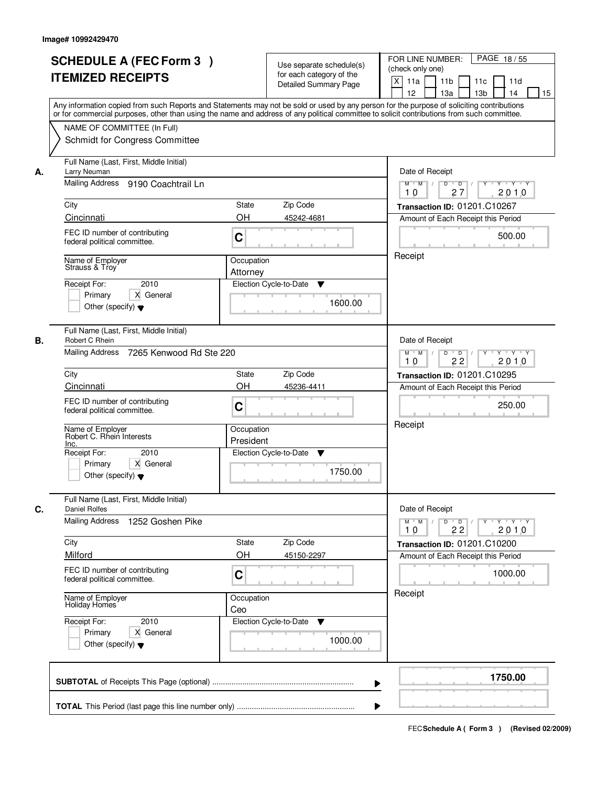|    | <b>SCHEDULE A (FEC Form 3)</b><br><b>ITEMIZED RECEIPTS</b><br>Any information copied from such Reports and Statements may not be sold or used by any person for the purpose of soliciting contributions<br>or for commercial purposes, other than using the name and address of any political committee to solicit contributions from such committee. |                         | Use separate schedule(s)<br>for each category of the<br><b>Detailed Summary Page</b> | PAGE 18/55<br>FOR LINE NUMBER:<br>(check only one)<br>X<br>11a<br>11 <sub>b</sub><br>11c<br>11d<br>12<br>13 <sub>b</sub><br>13a<br>14<br>15 |
|----|-------------------------------------------------------------------------------------------------------------------------------------------------------------------------------------------------------------------------------------------------------------------------------------------------------------------------------------------------------|-------------------------|--------------------------------------------------------------------------------------|---------------------------------------------------------------------------------------------------------------------------------------------|
|    | NAME OF COMMITTEE (In Full)<br>Schmidt for Congress Committee                                                                                                                                                                                                                                                                                         |                         |                                                                                      |                                                                                                                                             |
| А. | Full Name (Last, First, Middle Initial)<br>Larry Neuman<br>Mailing Address 9190 Coachtrail Ln<br>City                                                                                                                                                                                                                                                 | State                   | Zip Code                                                                             | Date of Receipt<br>$Y$ $Y$ $Y$<br>$M$ $M$ /<br>$D$ $D$ $/$<br>$\overline{Y}$<br>27<br>2010<br>10<br>Transaction ID: 01201.C10267            |
|    | Cincinnati<br>FEC ID number of contributing<br>federal political committee.                                                                                                                                                                                                                                                                           | OH<br>C                 | 45242-4681                                                                           | Amount of Each Receipt this Period<br>500.00                                                                                                |
|    | Name of Employer<br>Strauss & Troy<br>2010<br>Receipt For:<br>X General<br>Primary<br>Other (specify) $\blacktriangledown$                                                                                                                                                                                                                            | Occupation<br>Attorney  | Election Cycle-to-Date<br>▼<br>1600.00                                               | Receipt                                                                                                                                     |
| В. | Full Name (Last, First, Middle Initial)<br>Robert C Rhein<br>Mailing Address<br>7265 Kenwood Rd Ste 220                                                                                                                                                                                                                                               |                         |                                                                                      | Date of Receipt<br>$Y \vdash Y \vdash Y$<br>$M$ $M$ /<br>D<br>$\overline{D}$<br>Y<br>2010<br>22<br>10                                       |
|    | City                                                                                                                                                                                                                                                                                                                                                  | State                   | Zip Code                                                                             | Transaction ID: 01201.C10295                                                                                                                |
|    | Cincinnati<br>FEC ID number of contributing<br>federal political committee.                                                                                                                                                                                                                                                                           | OH<br>C                 | 45236-4411                                                                           | Amount of Each Receipt this Period<br>250.00                                                                                                |
|    | Name of Employer<br>Robert C. Rhein Interests<br>Inc.                                                                                                                                                                                                                                                                                                 | Occupation<br>President |                                                                                      | Receipt                                                                                                                                     |
|    | Receipt For:<br>2010<br>X General<br>Primary<br>Other (specify) $\blacktriangledown$                                                                                                                                                                                                                                                                  |                         | Election Cycle-to-Date<br>v<br>1750.00                                               |                                                                                                                                             |
| C. | Full Name (Last, First, Middle Initial)<br><b>Daniel Rolfes</b><br>Mailing Address<br>1252 Goshen Pike                                                                                                                                                                                                                                                |                         |                                                                                      | Date of Receipt<br>$D$ $D$ $/$<br>$M$ $M$ /<br>$Y + Y + Y$<br>Y "<br>22<br>2010<br>10                                                       |
|    | City                                                                                                                                                                                                                                                                                                                                                  | State                   | Zip Code                                                                             | Transaction ID: 01201.C10200                                                                                                                |
|    | Milford<br>FEC ID number of contributing<br>federal political committee.                                                                                                                                                                                                                                                                              | OH<br>C                 | 45150-2297                                                                           | Amount of Each Receipt this Period<br>1000.00                                                                                               |
|    | Name of Employer<br>Holiday Homes                                                                                                                                                                                                                                                                                                                     | Occupation<br>Ceo       |                                                                                      | Receipt                                                                                                                                     |
|    | Receipt For:<br>2010<br>Primary<br>X General<br>Other (specify) $\blacktriangledown$                                                                                                                                                                                                                                                                  |                         | Election Cycle-to-Date<br>v<br>1000.00                                               |                                                                                                                                             |
|    |                                                                                                                                                                                                                                                                                                                                                       |                         | ▶                                                                                    | 1750.00                                                                                                                                     |
|    |                                                                                                                                                                                                                                                                                                                                                       |                         |                                                                                      |                                                                                                                                             |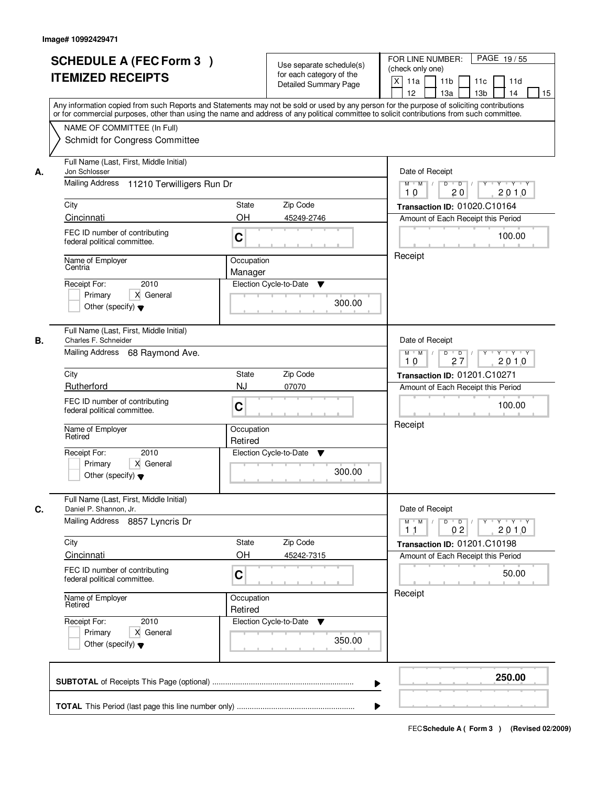|    | <b>SCHEDULE A (FEC Form 3)</b><br><b>ITEMIZED RECEIPTS</b><br>Any information copied from such Reports and Statements may not be sold or used by any person for the purpose of soliciting contributions     |                                                                                                        | Use separate schedule(s)<br>for each category of the<br><b>Detailed Summary Page</b> | PAGE 19/55<br>FOR LINE NUMBER:<br>(check only one)<br>$\boldsymbol{\mathsf{X}}$<br>11 <sub>b</sub><br>11a<br>11c<br>11d<br>12<br>13 <sub>b</sub><br>14<br>13a<br>15 |
|----|-------------------------------------------------------------------------------------------------------------------------------------------------------------------------------------------------------------|--------------------------------------------------------------------------------------------------------|--------------------------------------------------------------------------------------|---------------------------------------------------------------------------------------------------------------------------------------------------------------------|
|    | or for commercial purposes, other than using the name and address of any political committee to solicit contributions from such committee.<br>NAME OF COMMITTEE (In Full)<br>Schmidt for Congress Committee |                                                                                                        |                                                                                      |                                                                                                                                                                     |
| А. | Full Name (Last, First, Middle Initial)<br>Jon Schlosser<br>Mailing Address 11210 Terwilligers Run Dr                                                                                                       | Date of Receipt<br>$D$ $D$ $1$<br>$Y$ <sup>U</sup><br>$Y - Y - Y - Y$<br>$M$ $M$ /<br>20<br>2010<br>10 |                                                                                      |                                                                                                                                                                     |
|    | City<br>Cincinnati                                                                                                                                                                                          | <b>State</b><br>Zip Code<br><b>OH</b>                                                                  | 45249-2746                                                                           | Transaction ID: 01020.C10164<br>Amount of Each Receipt this Period                                                                                                  |
|    | FEC ID number of contributing<br>federal political committee.<br>Name of Employer<br>Centria                                                                                                                | 100.00<br>Receipt                                                                                      |                                                                                      |                                                                                                                                                                     |
|    | 2010<br>Receipt For:<br>X General<br>Primary<br>Other (specify) $\blacktriangledown$                                                                                                                        | Manager<br>Election Cycle-to-Date                                                                      | ▼<br>300.00                                                                          |                                                                                                                                                                     |
| В. | Full Name (Last, First, Middle Initial)<br>Charles F. Schneider<br>Mailing Address 68 Raymond Ave.                                                                                                          |                                                                                                        |                                                                                      | Date of Receipt<br>$Y \vdash Y \vdash Y$<br>$M$ $M$ /<br>D<br>$\overline{\phantom{0}}$ D<br>Y<br>2010<br>27<br>10                                                   |
|    | City<br>Rutherford                                                                                                                                                                                          | Zip Code<br>State<br><b>NJ</b><br>07070                                                                |                                                                                      | <b>Transaction ID: 01201.C10271</b><br>Amount of Each Receipt this Period                                                                                           |
|    | FEC ID number of contributing<br>federal political committee.                                                                                                                                               | C                                                                                                      |                                                                                      | 100.00                                                                                                                                                              |
|    | Name of Employer<br>Retired<br>Receipt For:<br>2010<br>Primary<br>X General                                                                                                                                 | Occupation<br>Retired<br>Election Cycle-to-Date                                                        | v                                                                                    | Receipt                                                                                                                                                             |
|    | Other (specify) $\blacktriangledown$                                                                                                                                                                        |                                                                                                        | 300.00                                                                               |                                                                                                                                                                     |
| C. | Full Name (Last, First, Middle Initial)<br>Daniel P. Shannon, Jr.<br><b>Mailing Address</b><br>8857 Lyncris Dr                                                                                              |                                                                                                        |                                                                                      | Date of Receipt<br>$D$ $D$ $/$<br>$M$ $M$ $/$<br><b>EXPENDITY TENT</b><br>2010<br>0 <sub>2</sub><br>11                                                              |
|    | City<br>Cincinnati                                                                                                                                                                                          | Zip Code<br>State<br>OH                                                                                | 45242-7315                                                                           | Transaction ID: 01201.C10198<br>Amount of Each Receipt this Period                                                                                                  |
|    | FEC ID number of contributing<br>federal political committee.                                                                                                                                               | C                                                                                                      |                                                                                      | 50.00                                                                                                                                                               |
|    | Name of Employer<br>Retired                                                                                                                                                                                 | Occupation<br>Retired                                                                                  |                                                                                      | Receipt                                                                                                                                                             |
|    | Receipt For:<br>2010<br>Primary<br>X General<br>Other (specify) $\blacktriangledown$                                                                                                                        | Election Cycle-to-Date ▼                                                                               | 350.00                                                                               |                                                                                                                                                                     |
|    |                                                                                                                                                                                                             |                                                                                                        |                                                                                      | 250.00                                                                                                                                                              |
|    |                                                                                                                                                                                                             |                                                                                                        |                                                                                      |                                                                                                                                                                     |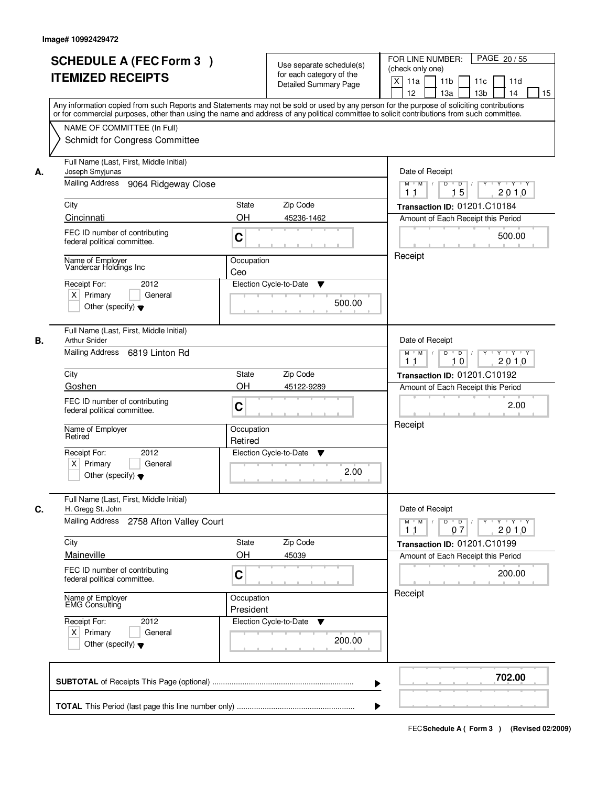| <b>SCHEDULE A (FEC Form 3)</b><br><b>ITEMIZED RECEIPTS</b>                                                                                                                                                            | Use separate schedule(s)<br>for each category of the<br><b>Detailed Summary Page</b><br>Any information copied from such Reports and Statements may not be sold or used by any person for the purpose of soliciting contributions | PAGE 20 / 55<br>FOR LINE NUMBER:<br>(check only one)<br>$\boldsymbol{\mathsf{X}}$<br>11 <sub>b</sub><br>11a<br>11c<br>11d<br>12<br>13 <sub>b</sub><br>14<br>13a<br>15                          |
|-----------------------------------------------------------------------------------------------------------------------------------------------------------------------------------------------------------------------|-----------------------------------------------------------------------------------------------------------------------------------------------------------------------------------------------------------------------------------|------------------------------------------------------------------------------------------------------------------------------------------------------------------------------------------------|
| NAME OF COMMITTEE (In Full)<br>Schmidt for Congress Committee                                                                                                                                                         | or for commercial purposes, other than using the name and address of any political committee to solicit contributions from such committee.                                                                                        |                                                                                                                                                                                                |
| Full Name (Last, First, Middle Initial)<br>Joseph Smyjunas<br>А.<br>Mailing Address<br>9064 Ridgeway Close<br>City<br>Cincinnati<br>FEC ID number of contributing<br>federal political committee.<br>Name of Employer | <b>State</b><br>Zip Code<br><b>OH</b><br>45236-1462<br>C<br>Occupation                                                                                                                                                            | Date of Receipt<br>$D$ $D$ $1$<br>Y<br>$Y - Y - Y - Y$<br>$M$ $M$ /<br>15<br>2010<br>1 <sub>1</sub><br>Transaction ID: 01201.C10184<br>Amount of Each Receipt this Period<br>500.00<br>Receipt |
| Vandercar Holdings Inc<br>2012<br>Receipt For:<br>$X$ Primary<br>General<br>Other (specify) $\blacktriangledown$                                                                                                      | Ceo<br>Election Cycle-to-Date<br>▼<br>500.00                                                                                                                                                                                      |                                                                                                                                                                                                |
| Full Name (Last, First, Middle Initial)<br><b>Arthur Snider</b><br>В.<br>Mailing Address 6819 Linton Rd                                                                                                               |                                                                                                                                                                                                                                   | Date of Receipt<br>Y Y Y Y<br>$M$ $M$ /<br>D<br>$\overline{D}$<br>$Y$ <sup><math>\top</math></sup><br>2010<br>10<br>11                                                                         |
| City<br>Goshen<br>FEC ID number of contributing<br>federal political committee.                                                                                                                                       | Zip Code<br>State<br>OH<br>45122-9289<br>C                                                                                                                                                                                        | <b>Transaction ID: 01201.C10192</b><br>Amount of Each Receipt this Period<br>2.00                                                                                                              |
| Name of Employer<br>Retired<br>Receipt For:<br>2012<br>$X$ Primary<br>General<br>Other (specify) $\blacktriangledown$                                                                                                 | Occupation<br>Retired<br>Election Cycle-to-Date<br>▼<br>2.00                                                                                                                                                                      | Receipt                                                                                                                                                                                        |
| Full Name (Last, First, Middle Initial)<br>C.<br>H. Gregg St. John<br><b>Mailing Address</b><br>2758 Afton Valley Court                                                                                               |                                                                                                                                                                                                                                   | Date of Receipt<br>$M$ $M$ $/$<br>$D$ $D$ $l$<br><u> EYELLYELEYE</u><br>2010<br>11<br>07                                                                                                       |
| City<br>Maineville<br>FEC ID number of contributing<br>federal political committee.                                                                                                                                   | Zip Code<br>State<br>OH<br>45039<br>C                                                                                                                                                                                             | Transaction ID: 01201.C10199<br>Amount of Each Receipt this Period<br>200.00                                                                                                                   |
| Name of Employer<br>EMG Consulting<br>Receipt For:<br>2012<br>$X$ Primary<br>General<br>Other (specify) $\blacktriangledown$                                                                                          | Occupation<br>President<br>Election Cycle-to-Date<br>v<br>200.00                                                                                                                                                                  | Receipt                                                                                                                                                                                        |
|                                                                                                                                                                                                                       |                                                                                                                                                                                                                                   | 702.00                                                                                                                                                                                         |
|                                                                                                                                                                                                                       |                                                                                                                                                                                                                                   |                                                                                                                                                                                                |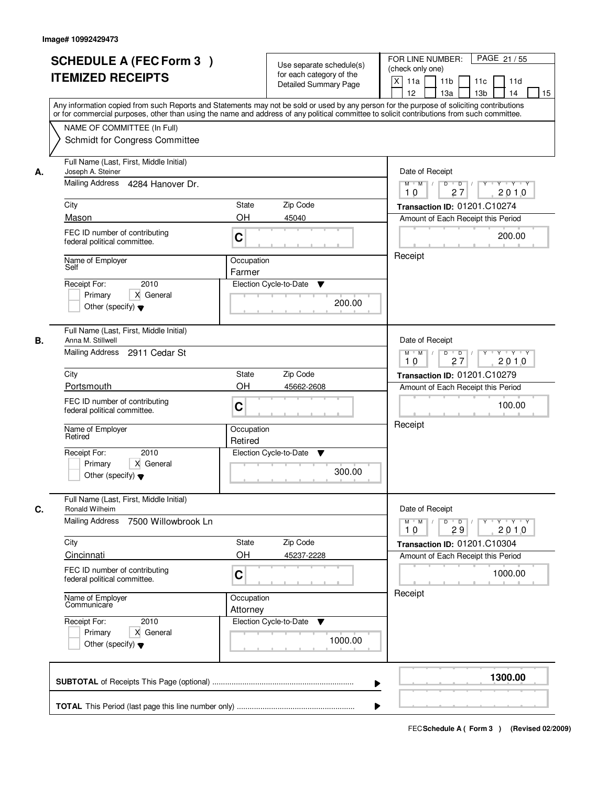|    | <b>SCHEDULE A (FEC Form 3)</b><br><b>ITEMIZED RECEIPTS</b><br>Any information copied from such Reports and Statements may not be sold or used by any person for the purpose of soliciting contributions                                                                                                                      |                                                        | Use separate schedule(s)<br>for each category of the<br><b>Detailed Summary Page</b> | PAGE 21 / 55<br>FOR LINE NUMBER:<br>(check only one)<br>$\boldsymbol{\mathsf{X}}$<br>11 <sub>b</sub><br>11a<br>11c<br>11d<br>12<br>13 <sub>b</sub><br>14<br>13a<br>15                                     |
|----|------------------------------------------------------------------------------------------------------------------------------------------------------------------------------------------------------------------------------------------------------------------------------------------------------------------------------|--------------------------------------------------------|--------------------------------------------------------------------------------------|-----------------------------------------------------------------------------------------------------------------------------------------------------------------------------------------------------------|
|    | or for commercial purposes, other than using the name and address of any political committee to solicit contributions from such committee.<br>NAME OF COMMITTEE (In Full)<br>Schmidt for Congress Committee                                                                                                                  |                                                        |                                                                                      |                                                                                                                                                                                                           |
| А. | Full Name (Last, First, Middle Initial)<br>Joseph A. Steiner<br>Mailing Address 4284 Hanover Dr.<br>City<br>Mason<br>FEC ID number of contributing<br>federal political committee.<br>Name of Employer<br>Self<br>2010<br>Receipt For:<br>X General<br>Primary<br>Other (specify) $\blacktriangledown$                       | <b>State</b><br><b>OH</b><br>C<br>Occupation<br>Farmer | Zip Code<br>45040<br>Election Cycle-to-Date<br>▼<br>200.00                           | Date of Receipt<br>$D$ $D$<br>Y<br>$Y - Y - Y - Y$<br>$M$ $M$ /<br>27<br>2010<br>10<br>Transaction ID: 01201.C10274<br>Amount of Each Receipt this Period<br>200.00<br>Receipt                            |
| В. | Full Name (Last, First, Middle Initial)<br>Anna M. Stillwell<br>Mailing Address<br>2911 Cedar St<br>City<br>Portsmouth<br>FEC ID number of contributing<br>federal political committee.<br>Name of Employer<br>Retired<br>Receipt For:<br>2010<br>Primary<br>X General<br>Other (specify) $\blacktriangledown$               | State<br>OH<br>C<br>Occupation<br>Retired              | Zip Code<br>45662-2608<br>Election Cycle-to-Date<br>▼<br>300.00                      | Date of Receipt<br>$Y \vdash Y \vdash Y$<br>$M$ $M$ /<br>D<br>$\overline{D}$ /<br>Y<br>2010<br>27<br>10<br><b>Transaction ID: 01201.C10279</b><br>Amount of Each Receipt this Period<br>100.00<br>Receipt |
| C. | Full Name (Last, First, Middle Initial)<br>Ronald Wilheim<br><b>Mailing Address</b><br>7500 Willowbrook Ln<br>City<br>Cincinnati<br>FEC ID number of contributing<br>federal political committee.<br>Name of Employer<br>Communicare<br>Receipt For:<br>2010<br>Primary<br>X General<br>Other (specify) $\blacktriangledown$ | State<br>OH<br>C<br>Occupation<br>Attorney             | Zip Code<br>45237-2228<br>Election Cycle-to-Date<br>v<br>1000.00                     | Date of Receipt<br>$M$ $M$ $/$<br>$D$ $D$ $/$<br>y y y y y<br>2010<br>10<br>29<br>Transaction ID: 01201.C10304<br>Amount of Each Receipt this Period<br>1000.00<br>Receipt                                |
|    |                                                                                                                                                                                                                                                                                                                              |                                                        |                                                                                      | 1300.00                                                                                                                                                                                                   |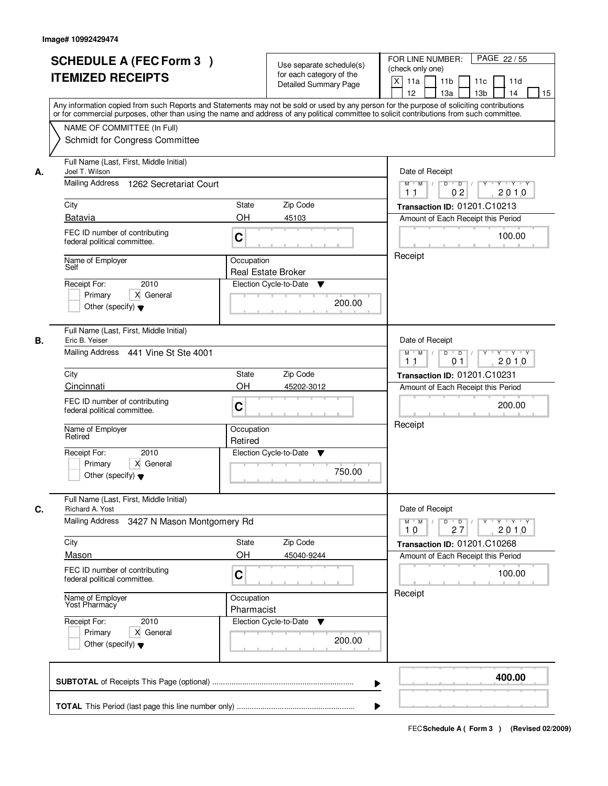|    | <b>SCHEDULE A (FEC Form 3)</b><br><b>ITEMIZED RECEIPTS</b><br>Any information copied from such Reports and Statements may not be sold or used by any person for the purpose of soliciting contributions<br>or for commercial purposes, other than using the name and address of any political committee to solicit contributions from such committee. |                          | Use separate schedule(s)<br>for each category of the<br><b>Detailed Summary Page</b> | PAGE 22 / 55<br>FOR LINE NUMBER:<br>(check only one)<br>X<br>11a<br>11 <sub>b</sub><br>11c<br>11d<br>12<br>13a<br>13 <sub>b</sub><br>14<br>15                                                                                                                                                                                                                                                                                                                                                           |
|----|-------------------------------------------------------------------------------------------------------------------------------------------------------------------------------------------------------------------------------------------------------------------------------------------------------------------------------------------------------|--------------------------|--------------------------------------------------------------------------------------|---------------------------------------------------------------------------------------------------------------------------------------------------------------------------------------------------------------------------------------------------------------------------------------------------------------------------------------------------------------------------------------------------------------------------------------------------------------------------------------------------------|
|    | NAME OF COMMITTEE (In Full)<br>Schmidt for Congress Committee                                                                                                                                                                                                                                                                                         |                          |                                                                                      |                                                                                                                                                                                                                                                                                                                                                                                                                                                                                                         |
| А. | Full Name (Last, First, Middle Initial)<br>Joel T. Wilson<br>Mailing Address 1262 Secretariat Court<br>City<br>Batavia                                                                                                                                                                                                                                | State<br>OH              | Zip Code<br>45103                                                                    | Date of Receipt<br>$\begin{array}{c c c c c c c c} \hline \textbf{C} & \textbf{C} & \textbf{C} & \textbf{C} & \textbf{C} & \textbf{C} & \textbf{C} & \textbf{C} & \textbf{C} & \textbf{C} & \textbf{C} & \textbf{C} & \textbf{C} & \textbf{C} & \textbf{C} & \textbf{C} & \textbf{C} & \textbf{C} & \textbf{C} & \textbf{C} & \textbf{C} & \textbf{C} & \textbf{C} & \textbf{C} & \textbf{C} & \textbf{C} & \textbf{C} & \textbf{C} &$<br>$M$ $M$ /<br>02<br>2010<br>11<br>Transaction ID: 01201.C10213 |
|    | FEC ID number of contributing<br>federal political committee.                                                                                                                                                                                                                                                                                         | C                        |                                                                                      | Amount of Each Receipt this Period<br>100.00                                                                                                                                                                                                                                                                                                                                                                                                                                                            |
|    | Name of Employer<br>Self<br>2010<br>Receipt For:<br>X General<br>Primary<br>Other (specify) $\blacktriangledown$                                                                                                                                                                                                                                      | Occupation               | <b>Real Estate Broker</b><br>Election Cycle-to-Date<br>▼<br>200.00                   | Receipt                                                                                                                                                                                                                                                                                                                                                                                                                                                                                                 |
| В. | Full Name (Last, First, Middle Initial)<br>Eric B. Yeiser<br>Mailing Address 441 Vine St Ste 4001                                                                                                                                                                                                                                                     |                          |                                                                                      | Date of Receipt<br>$Y - Y - Y$<br>$M$ $M$ /<br>D<br>$\overline{D}$<br>Y<br>2010<br>11<br>01                                                                                                                                                                                                                                                                                                                                                                                                             |
|    | City                                                                                                                                                                                                                                                                                                                                                  | <b>State</b>             | Zip Code                                                                             | Transaction ID: 01201.C10231                                                                                                                                                                                                                                                                                                                                                                                                                                                                            |
|    | Cincinnati<br>FEC ID number of contributing<br>federal political committee.                                                                                                                                                                                                                                                                           | OH<br>C                  | 45202-3012                                                                           | Amount of Each Receipt this Period<br>200.00                                                                                                                                                                                                                                                                                                                                                                                                                                                            |
|    | Name of Employer<br>Retired                                                                                                                                                                                                                                                                                                                           | Occupation<br>Retired    |                                                                                      | Receipt                                                                                                                                                                                                                                                                                                                                                                                                                                                                                                 |
|    | Receipt For:<br>2010<br>Primary<br>X General<br>Other (specify) $\blacktriangledown$                                                                                                                                                                                                                                                                  |                          | Election Cycle-to-Date<br>v<br>750.00                                                |                                                                                                                                                                                                                                                                                                                                                                                                                                                                                                         |
| C. | Full Name (Last, First, Middle Initial)<br>Richard A. Yost<br>Mailing Address<br>3427 N Mason Montgomery Rd                                                                                                                                                                                                                                           |                          |                                                                                      | Date of Receipt<br>$D$ $D$ $/$<br>$M$ $M$ /<br>$Y + Y + Y$<br>Y "                                                                                                                                                                                                                                                                                                                                                                                                                                       |
|    |                                                                                                                                                                                                                                                                                                                                                       |                          |                                                                                      | 2010<br>10<br>27                                                                                                                                                                                                                                                                                                                                                                                                                                                                                        |
|    | City<br>Mason                                                                                                                                                                                                                                                                                                                                         | <b>State</b><br>OΗ       | Zip Code<br>45040-9244                                                               | Transaction ID: 01201.C10268<br>Amount of Each Receipt this Period                                                                                                                                                                                                                                                                                                                                                                                                                                      |
|    | FEC ID number of contributing<br>federal political committee.                                                                                                                                                                                                                                                                                         | C                        |                                                                                      | 100.00                                                                                                                                                                                                                                                                                                                                                                                                                                                                                                  |
|    | Name of Employer<br>Yost Pharmacy                                                                                                                                                                                                                                                                                                                     | Occupation<br>Pharmacist |                                                                                      | Receipt                                                                                                                                                                                                                                                                                                                                                                                                                                                                                                 |
|    | Receipt For:<br>2010<br>Primary<br>X General<br>Other (specify) $\blacktriangledown$                                                                                                                                                                                                                                                                  |                          | Election Cycle-to-Date<br>v<br>200.00                                                |                                                                                                                                                                                                                                                                                                                                                                                                                                                                                                         |
|    |                                                                                                                                                                                                                                                                                                                                                       |                          | ▶                                                                                    | 400.00                                                                                                                                                                                                                                                                                                                                                                                                                                                                                                  |
|    |                                                                                                                                                                                                                                                                                                                                                       |                          |                                                                                      |                                                                                                                                                                                                                                                                                                                                                                                                                                                                                                         |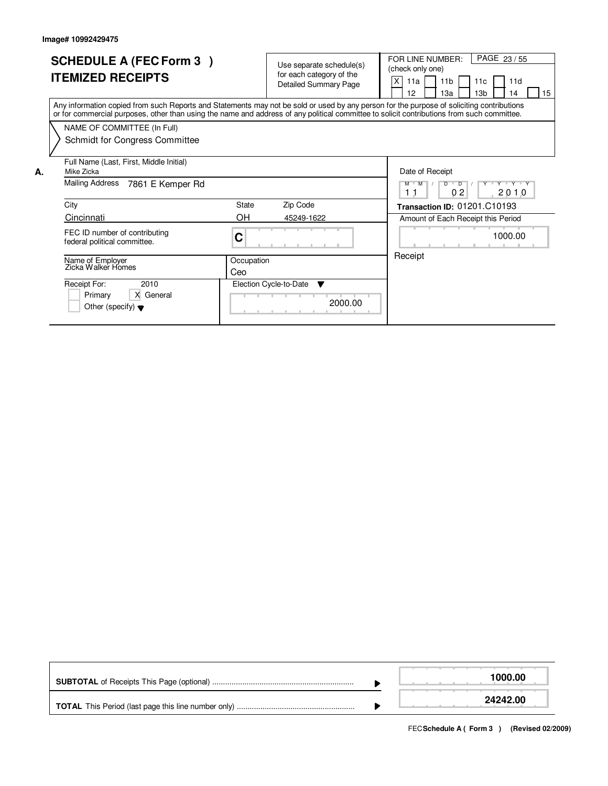|    | <b>SCHEDULE A (FEC Form 3)</b><br><b>ITEMIZED RECEIPTS</b>                                                                                                                                                                                                                              |                   | Use separate schedule(s)<br>for each category of the<br><b>Detailed Summary Page</b> | PAGE 23/55<br>FOR LINE NUMBER:<br>(check only one)<br>X<br>11 <sub>b</sub><br>11d<br>11a<br>11 <sub>c</sub><br>12<br>13 <sub>b</sub><br>15<br>1За<br>14 |
|----|-----------------------------------------------------------------------------------------------------------------------------------------------------------------------------------------------------------------------------------------------------------------------------------------|-------------------|--------------------------------------------------------------------------------------|---------------------------------------------------------------------------------------------------------------------------------------------------------|
|    | Any information copied from such Reports and Statements may not be sold or used by any person for the purpose of soliciting contributions<br>or for commercial purposes, other than using the name and address of any political committee to solicit contributions from such committee. |                   |                                                                                      |                                                                                                                                                         |
|    | NAME OF COMMITTEE (In Full)                                                                                                                                                                                                                                                             |                   |                                                                                      |                                                                                                                                                         |
|    | Schmidt for Congress Committee                                                                                                                                                                                                                                                          |                   |                                                                                      |                                                                                                                                                         |
| А. | Full Name (Last, First, Middle Initial)<br>Mike Zicka                                                                                                                                                                                                                                   |                   |                                                                                      | Date of Receipt                                                                                                                                         |
|    | Mailing Address<br>7861 E Kemper Rd                                                                                                                                                                                                                                                     |                   |                                                                                      | $M$ $M$<br>$D$ $D$ $1$<br>Y Y Y Y Y<br>0 <sub>2</sub><br>2010<br>11                                                                                     |
|    | City                                                                                                                                                                                                                                                                                    | State             | Zip Code                                                                             | Transaction ID: 01201.C10193                                                                                                                            |
|    | Cincinnati                                                                                                                                                                                                                                                                              | OH.               | 45249-1622                                                                           | Amount of Each Receipt this Period                                                                                                                      |
|    | FEC ID number of contributing<br>federal political committee.                                                                                                                                                                                                                           | С                 |                                                                                      | 1000.00                                                                                                                                                 |
|    | Name of Employer<br>Zicka Walker Homes                                                                                                                                                                                                                                                  | Occupation<br>Ceo |                                                                                      | Receipt                                                                                                                                                 |
|    | Receipt For:<br>2010<br>X General<br>Primary<br>Other (specify) $\blacktriangledown$                                                                                                                                                                                                    |                   | Election Cycle-to-Date<br>▼<br>2000.00                                               |                                                                                                                                                         |

|  | 1000.00  |
|--|----------|
|  | 24242.00 |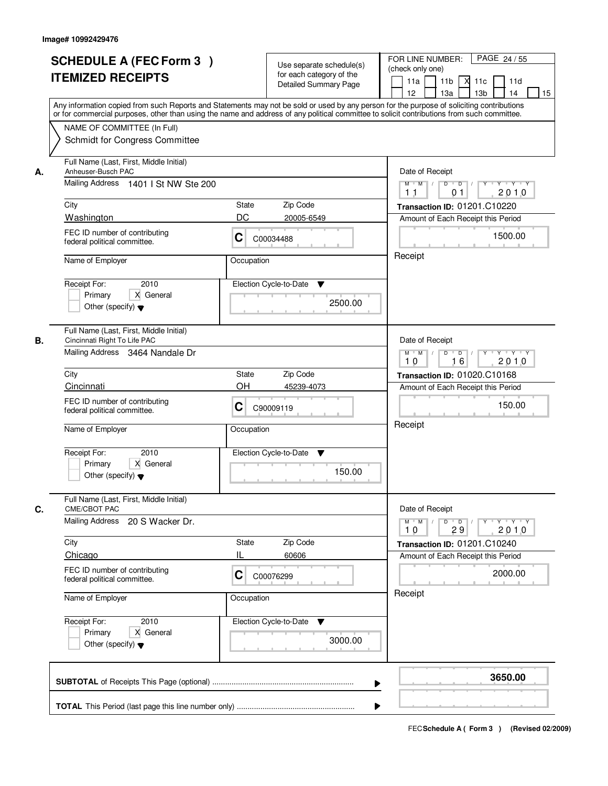|    | <b>SCHEDULE A (FEC Form 3)</b><br><b>ITEMIZED RECEIPTS</b><br>Any information copied from such Reports and Statements may not be sold or used by any person for the purpose of soliciting contributions     | Use separate schedule(s)<br>for each category of the<br><b>Detailed Summary Page</b> | PAGE 24/55<br>FOR LINE NUMBER:<br>(check only one)<br>11 <sub>b</sub><br>11a<br><b>X</b><br>11c<br>11d<br>13 <sub>b</sub><br>14<br>12<br>13a<br>15 |
|----|-------------------------------------------------------------------------------------------------------------------------------------------------------------------------------------------------------------|--------------------------------------------------------------------------------------|----------------------------------------------------------------------------------------------------------------------------------------------------|
|    | or for commercial purposes, other than using the name and address of any political committee to solicit contributions from such committee.<br>NAME OF COMMITTEE (In Full)<br>Schmidt for Congress Committee |                                                                                      |                                                                                                                                                    |
| А. | Full Name (Last, First, Middle Initial)<br>Anheuser-Busch PAC<br>Mailing Address 1401   St NW Ste 200                                                                                                       |                                                                                      | Date of Receipt<br>$Y$ $Y$ $Y$<br>$M$ $M$<br>$D$ $D$ $1$<br>$Y^+$<br>2010<br>1 <sub>1</sub><br>0 <sub>1</sub>                                      |
|    | City                                                                                                                                                                                                        | State<br>Zip Code                                                                    | Transaction ID: 01201.C10220                                                                                                                       |
|    | Washington                                                                                                                                                                                                  | DC<br>20005-6549                                                                     | Amount of Each Receipt this Period                                                                                                                 |
|    | FEC ID number of contributing<br>federal political committee.                                                                                                                                               | C<br>C00034488                                                                       | 1500.00                                                                                                                                            |
|    | Name of Employer                                                                                                                                                                                            | Occupation                                                                           | Receipt                                                                                                                                            |
|    | 2010<br>Receipt For:<br>X General<br>Primary<br>Other (specify) $\blacktriangledown$                                                                                                                        | Election Cycle-to-Date<br>▼<br>2500.00                                               |                                                                                                                                                    |
| В. | Full Name (Last, First, Middle Initial)<br>Cincinnati Right To Life PAC<br>Mailing Address 3464 Nandale Dr                                                                                                  |                                                                                      | Date of Receipt<br>$Y$ <sup>U</sup><br>$Y - Y - Y$<br>$M$ $M$ /<br>D<br>$\overline{D}$ /<br>2010<br>16<br>10                                       |
|    | City                                                                                                                                                                                                        | Zip Code<br>State                                                                    | <b>Transaction ID: 01020.C10168</b>                                                                                                                |
|    | Cincinnati                                                                                                                                                                                                  | OH<br>45239-4073                                                                     | Amount of Each Receipt this Period                                                                                                                 |
|    | FEC ID number of contributing<br>federal political committee.                                                                                                                                               | C<br>C90009119                                                                       | 150.00                                                                                                                                             |
|    | Name of Employer                                                                                                                                                                                            | Occupation                                                                           | Receipt                                                                                                                                            |
|    | Receipt For:<br>2010<br>Primary<br>X General<br>Other (specify) $\blacktriangledown$                                                                                                                        | Election Cycle-to-Date<br>v<br>150.00                                                |                                                                                                                                                    |
| C. | Full Name (Last, First, Middle Initial)<br><b>CME/CBOT PAC</b>                                                                                                                                              |                                                                                      | Date of Receipt                                                                                                                                    |
|    | <b>Mailing Address</b><br>20 S Wacker Dr.                                                                                                                                                                   |                                                                                      | $M$ $M$<br>$D$ $D$ $/$<br>$Y - Y - Y - Y$<br>$Y^+$<br>2010<br>10<br>29                                                                             |
|    | City                                                                                                                                                                                                        | Zip Code<br>State                                                                    | Transaction ID: 01201.C10240                                                                                                                       |
|    | Chicago                                                                                                                                                                                                     | н<br>60606                                                                           | Amount of Each Receipt this Period                                                                                                                 |
|    | FEC ID number of contributing<br>federal political committee.                                                                                                                                               | C<br>C00076299                                                                       | 2000.00                                                                                                                                            |
|    | Name of Employer                                                                                                                                                                                            | Occupation                                                                           | Receipt                                                                                                                                            |
|    | Receipt For:<br>2010<br>Primary<br>X General<br>Other (specify) $\blacktriangledown$                                                                                                                        | Election Cycle-to-Date ▼<br>3000.00                                                  |                                                                                                                                                    |
|    |                                                                                                                                                                                                             |                                                                                      | 3650.00                                                                                                                                            |
|    |                                                                                                                                                                                                             |                                                                                      |                                                                                                                                                    |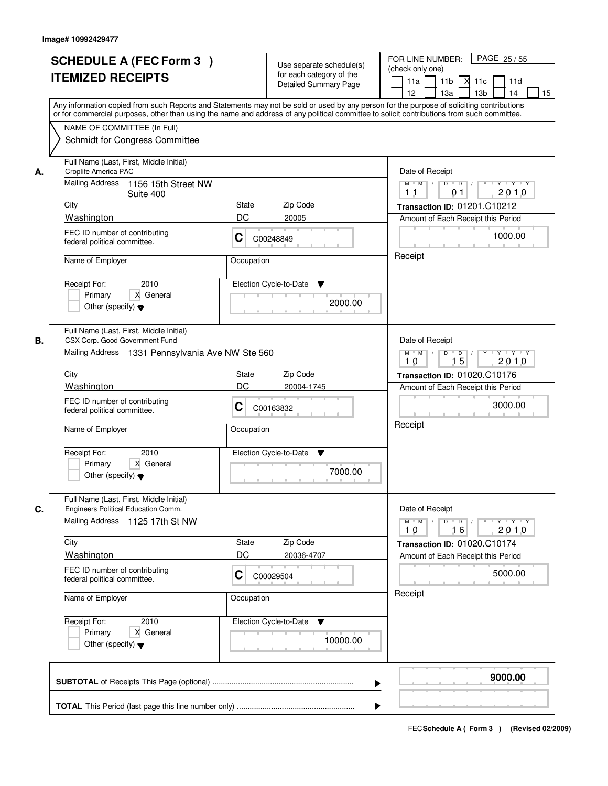|    | <b>SCHEDULE A (FEC Form 3)</b><br><b>ITEMIZED RECEIPTS</b><br>Any information copied from such Reports and Statements may not be sold or used by any person for the purpose of soliciting contributions     | Use separate schedule(s)<br>for each category of the<br><b>Detailed Summary Page</b> | PAGE 25/55<br>FOR LINE NUMBER:<br>(check only one)<br>11 <sub>b</sub><br>11a<br>-XI<br>11c<br>11d<br>13 <sub>b</sub><br>14<br>12<br>13a<br>15 |
|----|-------------------------------------------------------------------------------------------------------------------------------------------------------------------------------------------------------------|--------------------------------------------------------------------------------------|-----------------------------------------------------------------------------------------------------------------------------------------------|
|    | or for commercial purposes, other than using the name and address of any political committee to solicit contributions from such committee.<br>NAME OF COMMITTEE (In Full)<br>Schmidt for Congress Committee |                                                                                      |                                                                                                                                               |
| А. | Full Name (Last, First, Middle Initial)<br>Croplife America PAC<br><b>Mailing Address</b><br>1156 15th Street NW<br>Suite 400                                                                               |                                                                                      | Date of Receipt<br>$Y$ $Y$ $Y$<br>$D$ $D$ $/$<br>$Y^+$<br>$M$ $M$<br>2010<br>1 <sub>1</sub><br>0 <sub>1</sub>                                 |
|    | City                                                                                                                                                                                                        | <b>State</b><br>Zip Code                                                             | Transaction ID: 01201.C10212                                                                                                                  |
|    | Washington                                                                                                                                                                                                  | DC<br>20005                                                                          | Amount of Each Receipt this Period                                                                                                            |
|    | FEC ID number of contributing<br>federal political committee.                                                                                                                                               | C<br>C00248849                                                                       | 1000.00                                                                                                                                       |
|    | Name of Employer                                                                                                                                                                                            | Occupation                                                                           | Receipt                                                                                                                                       |
|    | 2010<br>Receipt For:<br>X General<br>Primary<br>Other (specify) $\blacktriangledown$                                                                                                                        | Election Cycle-to-Date<br>▼<br>2000.00                                               |                                                                                                                                               |
| В. | Full Name (Last, First, Middle Initial)<br>CSX Corp. Good Government Fund<br>Mailing Address 1331 Pennsylvania Ave NW Ste 560                                                                               |                                                                                      | Date of Receipt<br>$Y \vdash Y \vdash Y$<br>$M$ $M$ /<br>D<br>$\Box$<br>$Y$ <sup>U</sup>                                                      |
|    |                                                                                                                                                                                                             |                                                                                      | 15<br>2010<br>10                                                                                                                              |
|    | City                                                                                                                                                                                                        | Zip Code<br>State                                                                    | <b>Transaction ID: 01020.C10176</b>                                                                                                           |
|    | Washington<br>FEC ID number of contributing<br>federal political committee.                                                                                                                                 | DC<br>20004-1745<br>C<br>C00163832                                                   | Amount of Each Receipt this Period<br>3000.00                                                                                                 |
|    | Name of Employer                                                                                                                                                                                            | Occupation                                                                           | Receipt                                                                                                                                       |
|    | Receipt For:<br>2010<br>Primary<br>X General<br>Other (specify) $\blacktriangledown$                                                                                                                        | Election Cycle-to-Date<br>v<br>7000.00                                               |                                                                                                                                               |
| C. | Full Name (Last, First, Middle Initial)<br>Engineers Political Education Comm.                                                                                                                              |                                                                                      | Date of Receipt                                                                                                                               |
|    | Mailing Address 1125 17th St NW                                                                                                                                                                             |                                                                                      | $D$ $D$ $/$<br>$M$ $M$<br>2010<br>10<br>16                                                                                                    |
|    | City                                                                                                                                                                                                        | Zip Code<br>State                                                                    | Transaction ID: 01020.C10174                                                                                                                  |
|    | Washington                                                                                                                                                                                                  | DC<br>20036-4707                                                                     | Amount of Each Receipt this Period                                                                                                            |
|    | FEC ID number of contributing<br>federal political committee.                                                                                                                                               | C<br>C00029504                                                                       | 5000.00                                                                                                                                       |
|    | Name of Employer                                                                                                                                                                                            | Occupation                                                                           | Receipt                                                                                                                                       |
|    | Receipt For:<br>2010<br>Primary<br>X General<br>Other (specify) $\blacktriangledown$                                                                                                                        | Election Cycle-to-Date<br>v<br>10000.00                                              |                                                                                                                                               |
|    |                                                                                                                                                                                                             |                                                                                      | 9000.00                                                                                                                                       |
|    |                                                                                                                                                                                                             |                                                                                      |                                                                                                                                               |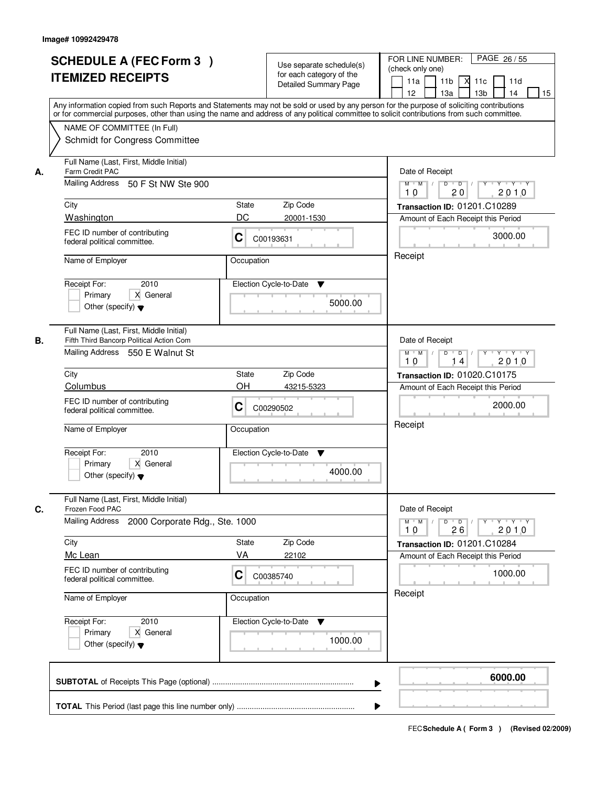|    | <b>SCHEDULE A (FEC Form 3)</b><br><b>ITEMIZED RECEIPTS</b><br>Any information copied from such Reports and Statements may not be sold or used by any person for the purpose of soliciting contributions<br>or for commercial purposes, other than using the name and address of any political committee to solicit contributions from such committee. |                                | Use separate schedule(s)<br>for each category of the<br><b>Detailed Summary Page</b> | PAGE 26 / 55<br>FOR LINE NUMBER:<br>(check only one)<br>11 <sub>b</sub><br>11a<br>-XI<br>11c<br>11d<br>13 <sub>b</sub><br>12<br>13a<br>14<br>15           |
|----|-------------------------------------------------------------------------------------------------------------------------------------------------------------------------------------------------------------------------------------------------------------------------------------------------------------------------------------------------------|--------------------------------|--------------------------------------------------------------------------------------|-----------------------------------------------------------------------------------------------------------------------------------------------------------|
|    | NAME OF COMMITTEE (In Full)<br>Schmidt for Congress Committee                                                                                                                                                                                                                                                                                         |                                |                                                                                      |                                                                                                                                                           |
| А. | Full Name (Last, First, Middle Initial)<br>Farm Credit PAC<br>Mailing Address 50 F St NW Ste 900<br>City<br>Washington<br>FEC ID number of contributing<br>federal political committee.<br>Name of Employer                                                                                                                                           | State<br>DC<br>C<br>Occupation | Zip Code<br>20001-1530<br>C00193631                                                  | Date of Receipt<br>$M$ $M$<br>$D$ $D$ $/$<br>10<br>20<br>2010<br>Transaction ID: 01201.C10289<br>Amount of Each Receipt this Period<br>3000.00<br>Receipt |
|    | 2010<br>Receipt For:<br>X General<br>Primary<br>Other (specify) $\blacktriangledown$                                                                                                                                                                                                                                                                  |                                | Election Cycle-to-Date<br>▼<br>5000.00                                               |                                                                                                                                                           |
| В. | Full Name (Last, First, Middle Initial)<br>Fifth Third Bancorp Political Action Com<br>Mailing Address 550 E Walnut St<br>City                                                                                                                                                                                                                        | <b>State</b>                   | Zip Code                                                                             | Date of Receipt<br>$M$ $M$ /<br>Y.<br>$Y - Y - Y$<br>D<br>$\overline{D}$<br>2010<br>10<br>14<br>Transaction ID: 01020.C10175                              |
|    | Columbus<br>FEC ID number of contributing<br>federal political committee.<br>Name of Employer                                                                                                                                                                                                                                                         | OH<br>C<br>Occupation          | 43215-5323<br>C00290502                                                              | Amount of Each Receipt this Period<br>2000.00<br>Receipt                                                                                                  |
|    | Receipt For:<br>2010<br>Primary<br>X General<br>Other (specify) $\blacktriangledown$                                                                                                                                                                                                                                                                  |                                | Election Cycle-to-Date<br>v<br>4000.00                                               |                                                                                                                                                           |
| C. | Full Name (Last, First, Middle Initial)<br>Frozen Food PAC<br><b>Mailing Address</b><br>2000 Corporate Rdg., Ste. 1000                                                                                                                                                                                                                                |                                |                                                                                      | Date of Receipt<br>$D$ $D$ $/$<br>$M$ $M$ /<br>$Y + Y + Y$<br>Y "<br>2010<br>10<br>26                                                                     |
|    | City<br>Mc Lean<br>FEC ID number of contributing<br>federal political committee.                                                                                                                                                                                                                                                                      | State<br>VA<br>C               | Zip Code<br>22102<br>C00385740                                                       | Transaction ID: 01201.C10284<br>Amount of Each Receipt this Period<br>1000.00                                                                             |
|    | Name of Employer                                                                                                                                                                                                                                                                                                                                      | Occupation                     |                                                                                      | Receipt                                                                                                                                                   |
|    | Receipt For:<br>2010<br>X General<br>Primary<br>Other (specify) $\blacktriangledown$                                                                                                                                                                                                                                                                  |                                | Election Cycle-to-Date<br>v<br>1000.00                                               |                                                                                                                                                           |
|    |                                                                                                                                                                                                                                                                                                                                                       |                                | ▶                                                                                    | 6000.00                                                                                                                                                   |
|    |                                                                                                                                                                                                                                                                                                                                                       |                                |                                                                                      |                                                                                                                                                           |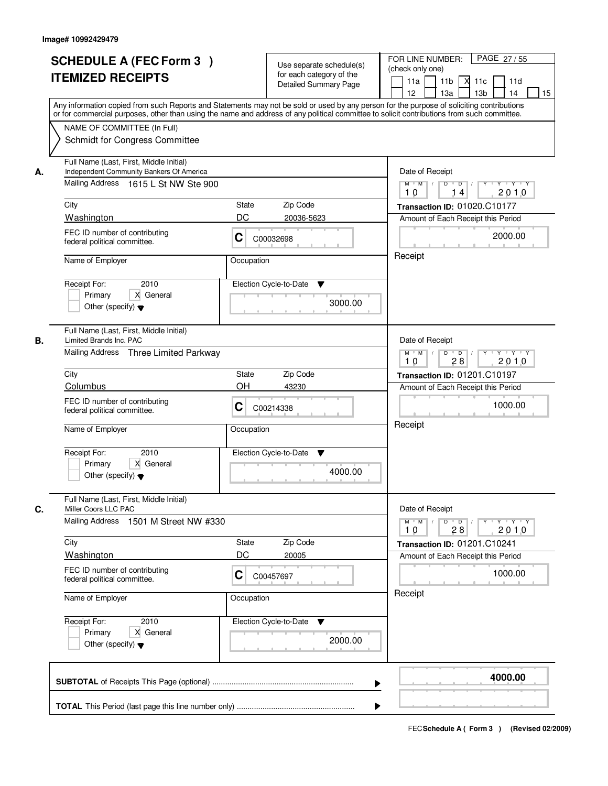|    | <b>SCHEDULE A (FEC Form 3)</b><br><b>ITEMIZED RECEIPTS</b><br>Any information copied from such Reports and Statements may not be sold or used by any person for the purpose of soliciting contributions     | Use separate schedule(s)<br>for each category of the<br><b>Detailed Summary Page</b> | PAGE 27/55<br>FOR LINE NUMBER:<br>(check only one)<br>11 <sub>b</sub><br>11a<br>-XI<br>11c<br>11d<br>13 <sub>b</sub><br>14<br>12<br>13a<br>15 |  |
|----|-------------------------------------------------------------------------------------------------------------------------------------------------------------------------------------------------------------|--------------------------------------------------------------------------------------|-----------------------------------------------------------------------------------------------------------------------------------------------|--|
|    | or for commercial purposes, other than using the name and address of any political committee to solicit contributions from such committee.<br>NAME OF COMMITTEE (In Full)<br>Schmidt for Congress Committee |                                                                                      |                                                                                                                                               |  |
| А. | Full Name (Last, First, Middle Initial)<br>Independent Community Bankers Of America<br>Mailing Address 1615 L St NW Ste 900                                                                                 |                                                                                      | Date of Receipt<br>$M$ $M$<br>$D$ $D$ $/$<br>$Y$ <sup>U</sup><br>Y Y Y Y<br>2010<br>10<br>14                                                  |  |
|    | City                                                                                                                                                                                                        | State<br>Zip Code                                                                    | Transaction ID: 01020.C10177                                                                                                                  |  |
|    | Washington                                                                                                                                                                                                  | DC<br>20036-5623                                                                     | Amount of Each Receipt this Period                                                                                                            |  |
|    | FEC ID number of contributing<br>federal political committee.                                                                                                                                               | C<br>C00032698                                                                       | 2000.00<br>Receipt                                                                                                                            |  |
|    | Name of Employer                                                                                                                                                                                            | Occupation                                                                           |                                                                                                                                               |  |
|    | 2010<br>Receipt For:<br>X General<br>Primary<br>Other (specify) $\blacktriangledown$                                                                                                                        | Election Cycle-to-Date<br>▼<br>3000.00                                               |                                                                                                                                               |  |
| В. | Full Name (Last, First, Middle Initial)<br>Limited Brands Inc. PAC                                                                                                                                          |                                                                                      | Date of Receipt                                                                                                                               |  |
|    | Mailing Address Three Limited Parkway                                                                                                                                                                       |                                                                                      | Y Y Y Y<br>$M$ $M$ /<br>D<br>$\overline{D}$ /<br>$Y$ <sup><math>\top</math></sup><br>2010<br>28<br>10                                         |  |
|    | City                                                                                                                                                                                                        | Zip Code<br>State                                                                    | <b>Transaction ID: 01201.C10197</b>                                                                                                           |  |
|    | Columbus                                                                                                                                                                                                    | OH<br>43230                                                                          | Amount of Each Receipt this Period                                                                                                            |  |
|    | FEC ID number of contributing<br>federal political committee.                                                                                                                                               | C<br>C00214338                                                                       | 1000.00                                                                                                                                       |  |
|    | Name of Employer                                                                                                                                                                                            | Occupation                                                                           | Receipt                                                                                                                                       |  |
|    | Receipt For:<br>2010<br>Primary<br>X General<br>Other (specify) $\blacktriangledown$                                                                                                                        | Election Cycle-to-Date<br>v<br>4000.00                                               |                                                                                                                                               |  |
| C. | Full Name (Last, First, Middle Initial)<br>Miller Coors LLC PAC                                                                                                                                             |                                                                                      | Date of Receipt                                                                                                                               |  |
|    | Mailing Address 1501 M Street NW #330                                                                                                                                                                       |                                                                                      | $M$ $M$<br>$D$ $D$ $/$<br>y y y y y y<br>2010<br>10<br>28                                                                                     |  |
|    | City                                                                                                                                                                                                        | Zip Code<br>State                                                                    | Transaction ID: 01201.C10241                                                                                                                  |  |
|    | Washington<br>FEC ID number of contributing<br>federal political committee.                                                                                                                                 | DC<br>20005<br>C<br>C00457697                                                        | Amount of Each Receipt this Period<br>1000.00                                                                                                 |  |
|    | Name of Employer                                                                                                                                                                                            | Occupation                                                                           | Receipt                                                                                                                                       |  |
|    | Receipt For:<br>2010<br>Primary<br>X General<br>Other (specify) $\blacktriangledown$                                                                                                                        | Election Cycle-to-Date ▼<br>2000.00                                                  |                                                                                                                                               |  |
|    |                                                                                                                                                                                                             |                                                                                      | 4000.00                                                                                                                                       |  |
|    |                                                                                                                                                                                                             |                                                                                      |                                                                                                                                               |  |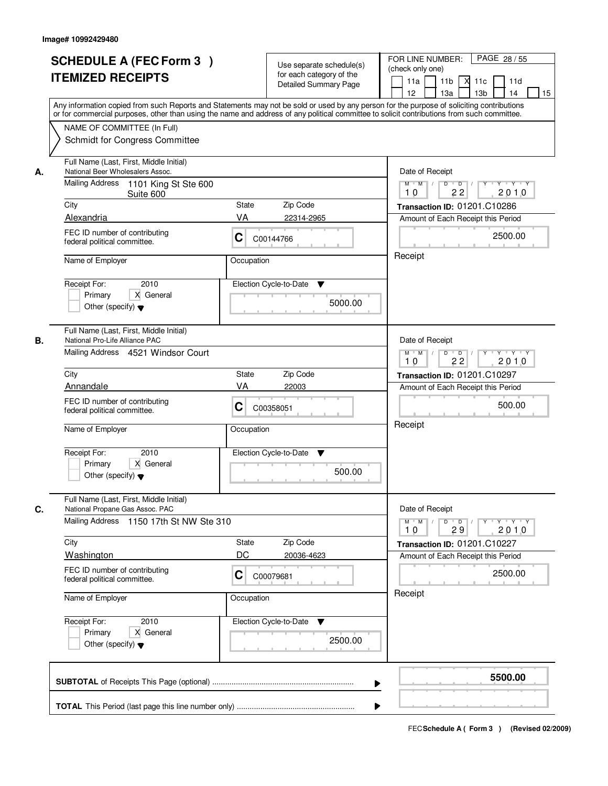|    | <b>SCHEDULE A (FEC Form 3)</b><br><b>ITEMIZED RECEIPTS</b><br>Any information copied from such Reports and Statements may not be sold or used by any person for the purpose of soliciting contributions     | Use separate schedule(s)<br>for each category of the<br><b>Detailed Summary Page</b> | PAGE 28 / 55<br>FOR LINE NUMBER:<br>(check only one)<br>11 <sub>b</sub><br>$X$ 11 $c$<br>11a<br>11d<br>12<br>13a<br>13 <sub>b</sub><br>14<br>15 |
|----|-------------------------------------------------------------------------------------------------------------------------------------------------------------------------------------------------------------|--------------------------------------------------------------------------------------|-------------------------------------------------------------------------------------------------------------------------------------------------|
|    | or for commercial purposes, other than using the name and address of any political committee to solicit contributions from such committee.<br>NAME OF COMMITTEE (In Full)<br>Schmidt for Congress Committee |                                                                                      |                                                                                                                                                 |
| А. | Full Name (Last, First, Middle Initial)<br>National Beer Wholesalers Assoc.<br>Mailing Address 1101 King St Ste 600<br>Suite 600                                                                            |                                                                                      | Date of Receipt<br>$\overline{D}$<br>$Y + Y + Y$<br>$M$ $M$ /<br>D<br>Y<br>2010<br>22<br>10                                                     |
|    | City                                                                                                                                                                                                        | Zip Code<br>State                                                                    | Transaction ID: 01201.C10286                                                                                                                    |
|    | Alexandria                                                                                                                                                                                                  | VA<br>22314-2965                                                                     | Amount of Each Receipt this Period                                                                                                              |
|    | FEC ID number of contributing<br>federal political committee.                                                                                                                                               | C<br>C00144766                                                                       | 2500.00                                                                                                                                         |
|    | Name of Employer                                                                                                                                                                                            | Occupation                                                                           | Receipt                                                                                                                                         |
|    | 2010<br>Receipt For:<br>Primary<br>X General<br>Other (specify) $\blacktriangledown$                                                                                                                        | Election Cycle-to-Date<br>▼<br>5000.00                                               |                                                                                                                                                 |
| В. | Full Name (Last, First, Middle Initial)<br>National Pro-Life Alliance PAC<br>Mailing Address 4521 Windsor Court                                                                                             |                                                                                      | Date of Receipt<br>D<br>$Y - Y - Y - Y$<br>$M$ $M$ /<br>$\blacksquare$ D $\blacksquare$ /<br>$Y$ <sup>U</sup><br>22<br>2010<br>10               |
|    | City                                                                                                                                                                                                        | Zip Code<br>State                                                                    | Transaction ID: 01201.C10297                                                                                                                    |
|    | Annandale                                                                                                                                                                                                   | VA<br>22003                                                                          | Amount of Each Receipt this Period                                                                                                              |
|    | FEC ID number of contributing<br>federal political committee.                                                                                                                                               | C<br>C00358051                                                                       | 500.00                                                                                                                                          |
|    | Name of Employer                                                                                                                                                                                            | Occupation                                                                           | Receipt                                                                                                                                         |
|    | Receipt For:<br>2010<br>Primary<br>X General<br>Other (specify) $\blacktriangledown$                                                                                                                        | Election Cycle-to-Date<br>v<br>500.00                                                |                                                                                                                                                 |
| C. | Full Name (Last, First, Middle Initial)<br>National Propane Gas Assoc. PAC<br>Mailing Address 1150 17th St NW Ste 310                                                                                       |                                                                                      | Date of Receipt<br>$M$ $M$<br>$D$ $D$ $l$<br>$Y \rightarrow Y \rightarrow Y$<br>$Y$ <sup>-1</sup><br>2010<br>10<br>29                           |
|    | City                                                                                                                                                                                                        | Zip Code<br>State                                                                    | Transaction ID: 01201.C10227                                                                                                                    |
|    | Washington                                                                                                                                                                                                  | DC<br>20036-4623                                                                     | Amount of Each Receipt this Period                                                                                                              |
|    | FEC ID number of contributing<br>federal political committee.                                                                                                                                               | C<br>C00079681                                                                       | 2500.00                                                                                                                                         |
|    | Name of Employer                                                                                                                                                                                            | Occupation                                                                           | Receipt                                                                                                                                         |
|    | Receipt For:<br>2010<br>Primary<br>X General<br>Other (specify) $\blacktriangledown$                                                                                                                        | Election Cycle-to-Date<br>v<br>2500.00                                               |                                                                                                                                                 |
|    |                                                                                                                                                                                                             | ▶                                                                                    | 5500.00                                                                                                                                         |
|    |                                                                                                                                                                                                             |                                                                                      |                                                                                                                                                 |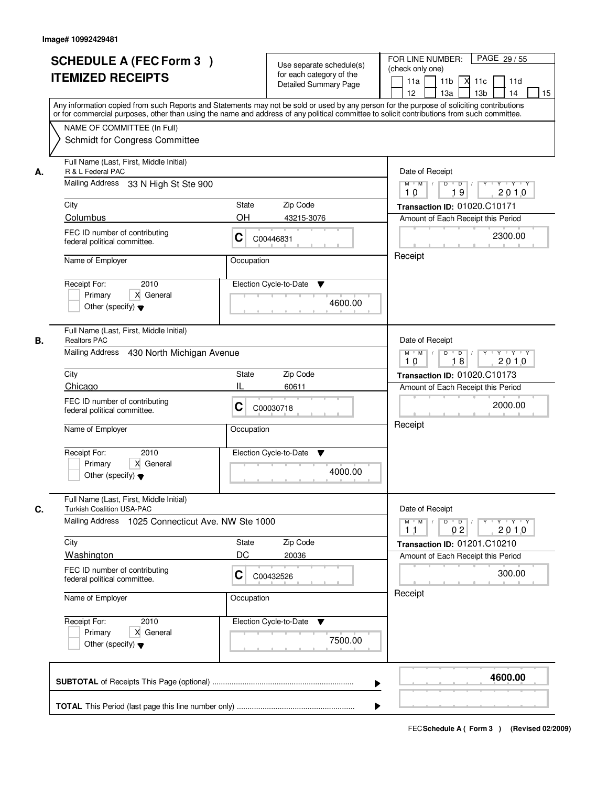|    | <b>SCHEDULE A (FEC Form 3)</b><br><b>ITEMIZED RECEIPTS</b><br>Any information copied from such Reports and Statements may not be sold or used by any person for the purpose of soliciting contributions     |                | Use separate schedule(s)<br>for each category of the<br><b>Detailed Summary Page</b> | PAGE 29 / 55<br>FOR LINE NUMBER:<br>(check only one)<br>11 <sub>b</sub><br>11a<br>-XI<br>11c<br>11d<br>13 <sub>b</sub><br>12<br>13a<br>14<br>15 |
|----|-------------------------------------------------------------------------------------------------------------------------------------------------------------------------------------------------------------|----------------|--------------------------------------------------------------------------------------|-------------------------------------------------------------------------------------------------------------------------------------------------|
|    | or for commercial purposes, other than using the name and address of any political committee to solicit contributions from such committee.<br>NAME OF COMMITTEE (In Full)<br>Schmidt for Congress Committee |                |                                                                                      |                                                                                                                                                 |
| А. | Full Name (Last, First, Middle Initial)<br>R & L Federal PAC<br>Mailing Address 33 N High St Ste 900                                                                                                        |                |                                                                                      | Date of Receipt<br>$M$ $M$<br>$D$ $D$ $1$<br>19<br>2010<br>10                                                                                   |
|    | City                                                                                                                                                                                                        | State          | Zip Code                                                                             | Transaction ID: 01020.C10171                                                                                                                    |
|    | Columbus                                                                                                                                                                                                    | OН             | 43215-3076                                                                           | Amount of Each Receipt this Period                                                                                                              |
|    | FEC ID number of contributing<br>federal political committee.                                                                                                                                               | C<br>C00446831 |                                                                                      | 2300.00                                                                                                                                         |
|    | Name of Employer                                                                                                                                                                                            | Occupation     |                                                                                      | Receipt                                                                                                                                         |
|    | 2010<br>Receipt For:<br>X General<br>Primary<br>Other (specify) $\blacktriangledown$                                                                                                                        |                | Election Cycle-to-Date<br>▼<br>4600.00                                               |                                                                                                                                                 |
| В. | Full Name (Last, First, Middle Initial)<br><b>Realtors PAC</b><br>Mailing Address 430 North Michigan Avenue                                                                                                 |                |                                                                                      | Date of Receipt<br>$M$ $M$ /<br>Y.<br>$Y \vdash Y \vdash Y$<br>D                                                                                |
|    |                                                                                                                                                                                                             |                |                                                                                      | $\overline{D}$<br>2010<br>18<br>10                                                                                                              |
|    | City                                                                                                                                                                                                        | State          | Zip Code                                                                             | Transaction ID: 01020.C10173                                                                                                                    |
|    | Chicago                                                                                                                                                                                                     | IL             | 60611                                                                                | Amount of Each Receipt this Period                                                                                                              |
|    | FEC ID number of contributing<br>federal political committee.                                                                                                                                               | C              | C00030718                                                                            | 2000.00                                                                                                                                         |
|    | Name of Employer                                                                                                                                                                                            | Occupation     |                                                                                      | Receipt                                                                                                                                         |
|    | Receipt For:<br>2010<br>Primary<br>X General<br>Other (specify) $\blacktriangledown$                                                                                                                        |                | Election Cycle-to-Date<br>v<br>4000.00                                               |                                                                                                                                                 |
| C. | Full Name (Last, First, Middle Initial)<br><b>Turkish Coalition USA-PAC</b>                                                                                                                                 |                |                                                                                      | Date of Receipt                                                                                                                                 |
|    | Mailing Address 1025 Connecticut Ave. NW Ste 1000                                                                                                                                                           |                |                                                                                      | $D$ $D$ $l$<br>$M$ $M$ /<br>$Y^+$<br>Y 'Y 'Y<br>0 <sub>2</sub><br>2010<br>11                                                                    |
|    | City                                                                                                                                                                                                        | State          | Zip Code                                                                             | Transaction ID: 01201.C10210                                                                                                                    |
|    | <b>Washington</b><br>FEC ID number of contributing<br>federal political committee.                                                                                                                          | DC<br>C        | 20036<br>C00432526                                                                   | Amount of Each Receipt this Period<br>300.00                                                                                                    |
|    | Name of Employer                                                                                                                                                                                            | Occupation     |                                                                                      | Receipt                                                                                                                                         |
|    | Receipt For:<br>2010<br>X General<br>Primary<br>Other (specify) $\blacktriangledown$                                                                                                                        |                | Election Cycle-to-Date<br>v<br>7500.00                                               |                                                                                                                                                 |
|    |                                                                                                                                                                                                             |                | ▶                                                                                    | 4600.00                                                                                                                                         |
|    |                                                                                                                                                                                                             |                |                                                                                      |                                                                                                                                                 |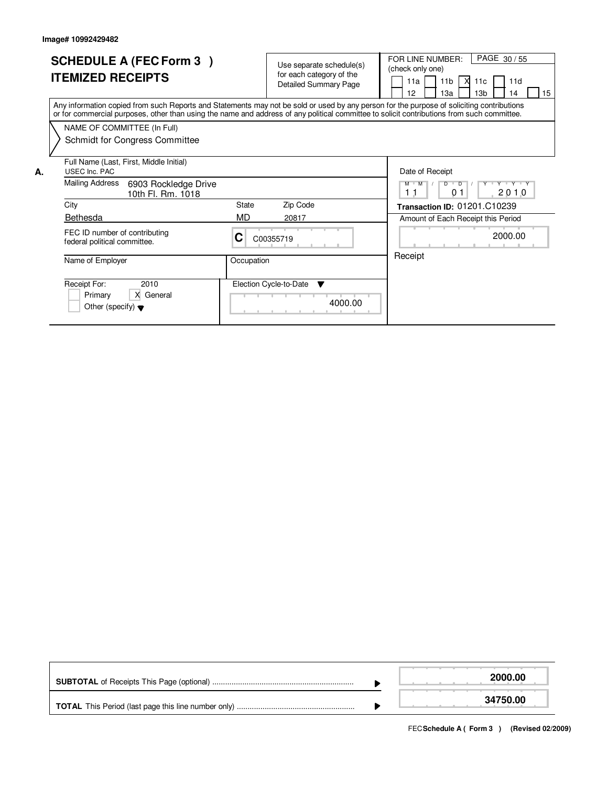|    | <b>SCHEDULE A (FEC Form 3)</b><br><b>ITEMIZED RECEIPTS</b>                                                                                                                                                                                                                              |             | Use separate schedule(s)<br>for each category of the<br><b>Detailed Summary Page</b> | PAGE 30/55<br>FOR LINE NUMBER:<br>(check only one)<br>11b<br>l XI<br>11a<br>11c<br>11d<br>12<br>13 <sub>b</sub><br>15<br>13a<br>14 |
|----|-----------------------------------------------------------------------------------------------------------------------------------------------------------------------------------------------------------------------------------------------------------------------------------------|-------------|--------------------------------------------------------------------------------------|------------------------------------------------------------------------------------------------------------------------------------|
|    | Any information copied from such Reports and Statements may not be sold or used by any person for the purpose of soliciting contributions<br>or for commercial purposes, other than using the name and address of any political committee to solicit contributions from such committee. |             |                                                                                      |                                                                                                                                    |
|    | NAME OF COMMITTEE (In Full)<br>Schmidt for Congress Committee                                                                                                                                                                                                                           |             |                                                                                      |                                                                                                                                    |
| А. | Full Name (Last, First, Middle Initial)<br>USEC Inc. PAC<br><b>Mailing Address</b><br>6903 Rockledge Drive<br>10th Fl. Rm. 1018                                                                                                                                                         |             |                                                                                      | Date of Receipt<br>$M$ $M$<br>$D$ $D$ $1$<br>Y Y Y Y Y<br>2010<br>11<br>0.1                                                        |
|    | City<br>Bethesda                                                                                                                                                                                                                                                                        | State<br>MD | Zip Code<br>20817                                                                    | Transaction ID: 01201.C10239<br>Amount of Each Receipt this Period                                                                 |
|    | FEC ID number of contributing<br>federal political committee.                                                                                                                                                                                                                           | С           | C00355719                                                                            | 2000.00                                                                                                                            |
|    | Name of Employer                                                                                                                                                                                                                                                                        | Occupation  |                                                                                      | Receipt                                                                                                                            |
|    | Receipt For:<br>2010<br>X General<br>Primary<br>Other (specify) $\blacktriangledown$                                                                                                                                                                                                    |             | Election Cycle-to-Date<br>▼<br>4000.00                                               |                                                                                                                                    |

|                                                            | 2000.00  |
|------------------------------------------------------------|----------|
| <b>TOTAL</b> This Period (last page this line number only) | 34750.00 |

FECSchedule A (Form 3) (Revised 02/2009)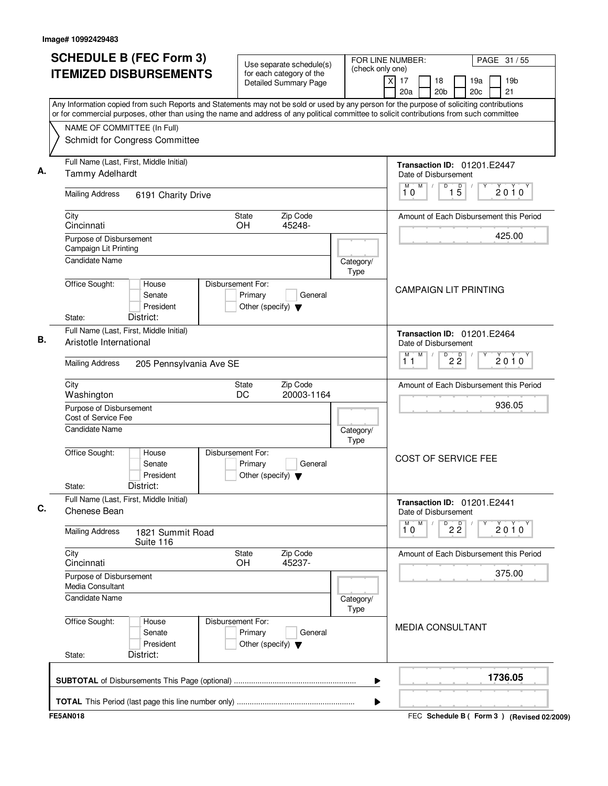| <b>SCHEDULE B (FEC Form 3)</b>                                                                                                                                                                                                                                                         | Use separate schedule(s)                                                        | FOR LINE NUMBER:<br>(check only one) |                                                      | PAGE 31 / 55                              |
|----------------------------------------------------------------------------------------------------------------------------------------------------------------------------------------------------------------------------------------------------------------------------------------|---------------------------------------------------------------------------------|--------------------------------------|------------------------------------------------------|-------------------------------------------|
| <b>ITEMIZED DISBURSEMENTS</b>                                                                                                                                                                                                                                                          | for each category of the<br><b>Detailed Summary Page</b>                        |                                      | $\overline{x}$<br>17<br>18<br>20a<br>20 <sub>b</sub> | 19a<br>19 <sub>b</sub><br>21<br>20c       |
| Any Information copied from such Reports and Statements may not be sold or used by any person for the purpose of soliciting contributions<br>or for commercial purposes, other than using the name and address of any political committee to solicit contributions from such committee |                                                                                 |                                      |                                                      |                                           |
| NAME OF COMMITTEE (In Full)                                                                                                                                                                                                                                                            |                                                                                 |                                      |                                                      |                                           |
| Schmidt for Congress Committee                                                                                                                                                                                                                                                         |                                                                                 |                                      |                                                      |                                           |
| Full Name (Last, First, Middle Initial)<br>Tammy Adelhardt                                                                                                                                                                                                                             |                                                                                 |                                      | Date of Disbursement                                 | <b>Transaction ID: 01201.E2447</b>        |
| <b>Mailing Address</b><br>6191 Charity Drive                                                                                                                                                                                                                                           |                                                                                 |                                      | M<br>M<br>D<br>10                                    | $1\overline{5}$<br>2010                   |
| City<br>Cincinnati                                                                                                                                                                                                                                                                     | Zip Code<br>State<br><b>OH</b><br>45248-                                        |                                      |                                                      | Amount of Each Disbursement this Period   |
| Purpose of Disbursement<br>Campaign Lit Printing                                                                                                                                                                                                                                       |                                                                                 |                                      |                                                      | 425.00                                    |
| <b>Candidate Name</b>                                                                                                                                                                                                                                                                  |                                                                                 | Category/<br>Type                    |                                                      |                                           |
| Office Sought:<br>House<br>Senate<br>President<br>District:<br>State:                                                                                                                                                                                                                  | Disbursement For:<br>Primary<br>General<br>Other (specify) $\blacktriangledown$ |                                      | <b>CAMPAIGN LIT PRINTING</b>                         |                                           |
| Full Name (Last, First, Middle Initial)<br>Aristotle International                                                                                                                                                                                                                     |                                                                                 |                                      | Date of Disbursement                                 | <b>Transaction ID: 01201.E2464</b>        |
| <b>Mailing Address</b><br>205 Pennsylvania Ave SE                                                                                                                                                                                                                                      |                                                                                 |                                      | M<br>М<br>11                                         | $D^D$ 2 $\overline{2}$<br>$2010^y$        |
| City<br>Washington                                                                                                                                                                                                                                                                     | Zip Code<br>State<br>DC<br>20003-1164                                           |                                      |                                                      | Amount of Each Disbursement this Period   |
| Purpose of Disbursement<br>Cost of Service Fee                                                                                                                                                                                                                                         |                                                                                 |                                      | 936.05                                               |                                           |
| <b>Candidate Name</b><br>Category/<br>Type                                                                                                                                                                                                                                             |                                                                                 |                                      |                                                      |                                           |
| Office Sought:<br>House<br>Senate<br>President<br>District:<br>State:                                                                                                                                                                                                                  | Disbursement For:<br>Primary<br>General<br>Other (specify) $\blacktriangledown$ |                                      | <b>COST OF SERVICE FEE</b>                           |                                           |
| Full Name (Last, First, Middle Initial)<br>Chenese Bean                                                                                                                                                                                                                                |                                                                                 |                                      | Date of Disbursement                                 | Transaction ID: 01201.E2441               |
| <b>Mailing Address</b><br>1821 Summit Road<br>Suite 116                                                                                                                                                                                                                                |                                                                                 |                                      | $\overline{1}^M$ 0<br>M                              | $D^D$ 2 $\overline{2}$<br>2010            |
| City<br>Cincinnati                                                                                                                                                                                                                                                                     | State<br>Zip Code<br>45237-<br><b>OH</b>                                        |                                      |                                                      | Amount of Each Disbursement this Period   |
| Purpose of Disbursement<br>Media Consultant                                                                                                                                                                                                                                            |                                                                                 |                                      |                                                      | 375.00                                    |
| Candidate Name                                                                                                                                                                                                                                                                         |                                                                                 | Category/<br>Type                    |                                                      |                                           |
| Office Sought:<br>House<br>Senate<br>President<br>District:<br>State:                                                                                                                                                                                                                  | Disbursement For:<br>Primary<br>General<br>Other (specify) $\blacktriangledown$ |                                      | <b>MEDIA CONSULTANT</b>                              |                                           |
|                                                                                                                                                                                                                                                                                        |                                                                                 | ▶                                    |                                                      | 1736.05                                   |
|                                                                                                                                                                                                                                                                                        |                                                                                 | ▶                                    |                                                      |                                           |
| <b>FE5AN018</b>                                                                                                                                                                                                                                                                        |                                                                                 |                                      |                                                      | FEC Schedule B (Form 3) (Revised 02/2009) |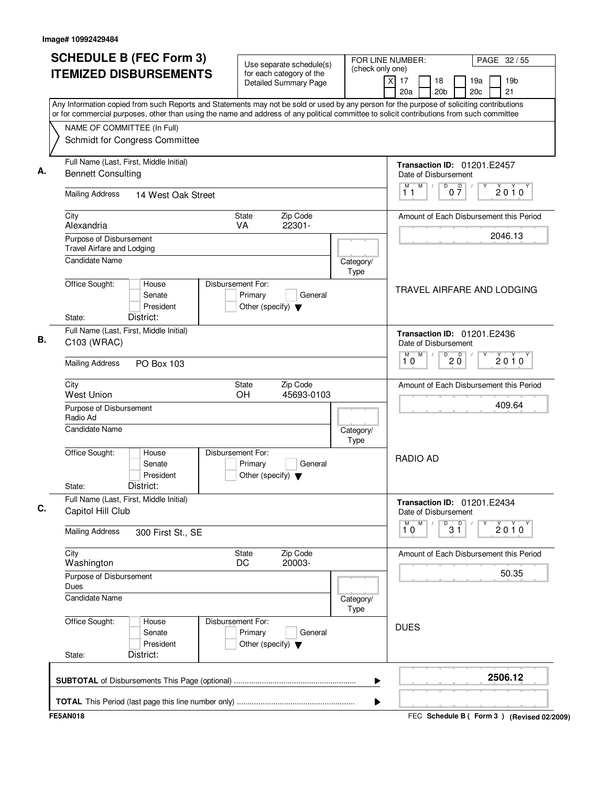| (check only one)<br><b>ITEMIZED DISBURSEMENTS</b><br>for each category of the<br>19 <sub>b</sub><br>$\times$<br>17<br>18<br>19a<br><b>Detailed Summary Page</b><br>20 <sub>b</sub><br>20c<br>21<br>20a<br>Any Information copied from such Reports and Statements may not be sold or used by any person for the purpose of soliciting contributions<br>or for commercial purposes, other than using the name and address of any political committee to solicit contributions from such committee<br>NAME OF COMMITTEE (In Full)<br>Schmidt for Congress Committee<br>Full Name (Last, First, Middle Initial)<br>Transaction ID: 01201.E2457<br><b>Bennett Consulting</b><br>Date of Disbursement<br>M<br>D<br>$0\frac{D}{7}$<br>$\sqrt{2}$<br>M<br>2010<br>11<br><b>Mailing Address</b><br>14 West Oak Street<br><b>State</b><br>Zip Code<br>City<br>Amount of Each Disbursement this Period<br>Alexandria<br>22301-<br><b>VA</b><br>2046.13<br>Purpose of Disbursement<br><b>Travel Airfare and Lodging</b><br>Candidate Name<br>Category/<br>Type<br>Office Sought:<br>Disbursement For:<br>House<br>TRAVEL AIRFARE AND LODGING<br>Primary<br>Senate<br>General<br>President<br>Other (specify) $\blacktriangledown$<br>District:<br>State:<br>Full Name (Last, First, Middle Initial)<br><b>Transaction ID: 01201.E2436</b><br>C103 (WRAC)<br>Date of Disbursement<br>$\overline{D}$<br>M<br>$20^{\circ}$<br>М<br>2010<br>10<br><b>Mailing Address</b><br><b>PO Box 103</b><br>Zip Code<br>City<br><b>State</b><br>Amount of Each Disbursement this Period<br><b>West Union</b><br><b>OH</b><br>45693-0103<br>409.64<br>Purpose of Disbursement<br>Radio Ad<br><b>Candidate Name</b><br>Category/<br>Type<br>Office Sought:<br>Disbursement For:<br>House<br><b>RADIO AD</b><br>Senate<br>Primary<br>General<br>President<br>Other (specify) $\blacktriangledown$<br>District:<br>State:<br>Full Name (Last, First, Middle Initial)<br><b>Transaction ID: 01201.E2434</b><br>Capitol Hill Club<br>Date of Disbursement<br>M<br>$\overline{31}$<br>M<br>$2010^y$<br>10<br><b>Mailing Address</b><br>300 First St., SE<br>City<br>Zip Code<br><b>State</b><br>Amount of Each Disbursement this Period<br>20003-<br>Washington<br>DC<br>50.35<br>Purpose of Disbursement<br>Dues<br><b>Candidate Name</b><br>Category/<br>Type<br>Office Sought:<br>Disbursement For:<br>House<br><b>DUES</b><br>Senate<br>Primary<br>General<br>President<br>Other (specify) $\blacktriangledown$<br>District:<br>State:<br>2506.12<br>▶ | <b>SCHEDULE B (FEC Form 3)</b> | Use separate schedule(s) | FOR LINE NUMBER:<br>PAGE 32 / 55 |
|---------------------------------------------------------------------------------------------------------------------------------------------------------------------------------------------------------------------------------------------------------------------------------------------------------------------------------------------------------------------------------------------------------------------------------------------------------------------------------------------------------------------------------------------------------------------------------------------------------------------------------------------------------------------------------------------------------------------------------------------------------------------------------------------------------------------------------------------------------------------------------------------------------------------------------------------------------------------------------------------------------------------------------------------------------------------------------------------------------------------------------------------------------------------------------------------------------------------------------------------------------------------------------------------------------------------------------------------------------------------------------------------------------------------------------------------------------------------------------------------------------------------------------------------------------------------------------------------------------------------------------------------------------------------------------------------------------------------------------------------------------------------------------------------------------------------------------------------------------------------------------------------------------------------------------------------------------------------------------------------------------------------------------------------------------------------------------------------------------------------------------------------------------------------------------------------------------------------------------------------------------------------------------------------------------------------------------------------------------------------------------------------------------------------------------------------------------------------------------------------------------------------------|--------------------------------|--------------------------|----------------------------------|
|                                                                                                                                                                                                                                                                                                                                                                                                                                                                                                                                                                                                                                                                                                                                                                                                                                                                                                                                                                                                                                                                                                                                                                                                                                                                                                                                                                                                                                                                                                                                                                                                                                                                                                                                                                                                                                                                                                                                                                                                                                                                                                                                                                                                                                                                                                                                                                                                                                                                                                                           |                                |                          |                                  |
|                                                                                                                                                                                                                                                                                                                                                                                                                                                                                                                                                                                                                                                                                                                                                                                                                                                                                                                                                                                                                                                                                                                                                                                                                                                                                                                                                                                                                                                                                                                                                                                                                                                                                                                                                                                                                                                                                                                                                                                                                                                                                                                                                                                                                                                                                                                                                                                                                                                                                                                           |                                |                          |                                  |
|                                                                                                                                                                                                                                                                                                                                                                                                                                                                                                                                                                                                                                                                                                                                                                                                                                                                                                                                                                                                                                                                                                                                                                                                                                                                                                                                                                                                                                                                                                                                                                                                                                                                                                                                                                                                                                                                                                                                                                                                                                                                                                                                                                                                                                                                                                                                                                                                                                                                                                                           |                                |                          |                                  |
|                                                                                                                                                                                                                                                                                                                                                                                                                                                                                                                                                                                                                                                                                                                                                                                                                                                                                                                                                                                                                                                                                                                                                                                                                                                                                                                                                                                                                                                                                                                                                                                                                                                                                                                                                                                                                                                                                                                                                                                                                                                                                                                                                                                                                                                                                                                                                                                                                                                                                                                           |                                |                          |                                  |
|                                                                                                                                                                                                                                                                                                                                                                                                                                                                                                                                                                                                                                                                                                                                                                                                                                                                                                                                                                                                                                                                                                                                                                                                                                                                                                                                                                                                                                                                                                                                                                                                                                                                                                                                                                                                                                                                                                                                                                                                                                                                                                                                                                                                                                                                                                                                                                                                                                                                                                                           |                                |                          |                                  |
|                                                                                                                                                                                                                                                                                                                                                                                                                                                                                                                                                                                                                                                                                                                                                                                                                                                                                                                                                                                                                                                                                                                                                                                                                                                                                                                                                                                                                                                                                                                                                                                                                                                                                                                                                                                                                                                                                                                                                                                                                                                                                                                                                                                                                                                                                                                                                                                                                                                                                                                           |                                |                          |                                  |
|                                                                                                                                                                                                                                                                                                                                                                                                                                                                                                                                                                                                                                                                                                                                                                                                                                                                                                                                                                                                                                                                                                                                                                                                                                                                                                                                                                                                                                                                                                                                                                                                                                                                                                                                                                                                                                                                                                                                                                                                                                                                                                                                                                                                                                                                                                                                                                                                                                                                                                                           |                                |                          |                                  |
|                                                                                                                                                                                                                                                                                                                                                                                                                                                                                                                                                                                                                                                                                                                                                                                                                                                                                                                                                                                                                                                                                                                                                                                                                                                                                                                                                                                                                                                                                                                                                                                                                                                                                                                                                                                                                                                                                                                                                                                                                                                                                                                                                                                                                                                                                                                                                                                                                                                                                                                           |                                |                          |                                  |
|                                                                                                                                                                                                                                                                                                                                                                                                                                                                                                                                                                                                                                                                                                                                                                                                                                                                                                                                                                                                                                                                                                                                                                                                                                                                                                                                                                                                                                                                                                                                                                                                                                                                                                                                                                                                                                                                                                                                                                                                                                                                                                                                                                                                                                                                                                                                                                                                                                                                                                                           |                                |                          |                                  |
|                                                                                                                                                                                                                                                                                                                                                                                                                                                                                                                                                                                                                                                                                                                                                                                                                                                                                                                                                                                                                                                                                                                                                                                                                                                                                                                                                                                                                                                                                                                                                                                                                                                                                                                                                                                                                                                                                                                                                                                                                                                                                                                                                                                                                                                                                                                                                                                                                                                                                                                           |                                |                          |                                  |
|                                                                                                                                                                                                                                                                                                                                                                                                                                                                                                                                                                                                                                                                                                                                                                                                                                                                                                                                                                                                                                                                                                                                                                                                                                                                                                                                                                                                                                                                                                                                                                                                                                                                                                                                                                                                                                                                                                                                                                                                                                                                                                                                                                                                                                                                                                                                                                                                                                                                                                                           |                                |                          |                                  |
|                                                                                                                                                                                                                                                                                                                                                                                                                                                                                                                                                                                                                                                                                                                                                                                                                                                                                                                                                                                                                                                                                                                                                                                                                                                                                                                                                                                                                                                                                                                                                                                                                                                                                                                                                                                                                                                                                                                                                                                                                                                                                                                                                                                                                                                                                                                                                                                                                                                                                                                           |                                |                          |                                  |
|                                                                                                                                                                                                                                                                                                                                                                                                                                                                                                                                                                                                                                                                                                                                                                                                                                                                                                                                                                                                                                                                                                                                                                                                                                                                                                                                                                                                                                                                                                                                                                                                                                                                                                                                                                                                                                                                                                                                                                                                                                                                                                                                                                                                                                                                                                                                                                                                                                                                                                                           |                                |                          |                                  |
|                                                                                                                                                                                                                                                                                                                                                                                                                                                                                                                                                                                                                                                                                                                                                                                                                                                                                                                                                                                                                                                                                                                                                                                                                                                                                                                                                                                                                                                                                                                                                                                                                                                                                                                                                                                                                                                                                                                                                                                                                                                                                                                                                                                                                                                                                                                                                                                                                                                                                                                           |                                |                          |                                  |
|                                                                                                                                                                                                                                                                                                                                                                                                                                                                                                                                                                                                                                                                                                                                                                                                                                                                                                                                                                                                                                                                                                                                                                                                                                                                                                                                                                                                                                                                                                                                                                                                                                                                                                                                                                                                                                                                                                                                                                                                                                                                                                                                                                                                                                                                                                                                                                                                                                                                                                                           |                                |                          |                                  |
|                                                                                                                                                                                                                                                                                                                                                                                                                                                                                                                                                                                                                                                                                                                                                                                                                                                                                                                                                                                                                                                                                                                                                                                                                                                                                                                                                                                                                                                                                                                                                                                                                                                                                                                                                                                                                                                                                                                                                                                                                                                                                                                                                                                                                                                                                                                                                                                                                                                                                                                           |                                |                          |                                  |
|                                                                                                                                                                                                                                                                                                                                                                                                                                                                                                                                                                                                                                                                                                                                                                                                                                                                                                                                                                                                                                                                                                                                                                                                                                                                                                                                                                                                                                                                                                                                                                                                                                                                                                                                                                                                                                                                                                                                                                                                                                                                                                                                                                                                                                                                                                                                                                                                                                                                                                                           |                                |                          |                                  |
|                                                                                                                                                                                                                                                                                                                                                                                                                                                                                                                                                                                                                                                                                                                                                                                                                                                                                                                                                                                                                                                                                                                                                                                                                                                                                                                                                                                                                                                                                                                                                                                                                                                                                                                                                                                                                                                                                                                                                                                                                                                                                                                                                                                                                                                                                                                                                                                                                                                                                                                           |                                |                          |                                  |
|                                                                                                                                                                                                                                                                                                                                                                                                                                                                                                                                                                                                                                                                                                                                                                                                                                                                                                                                                                                                                                                                                                                                                                                                                                                                                                                                                                                                                                                                                                                                                                                                                                                                                                                                                                                                                                                                                                                                                                                                                                                                                                                                                                                                                                                                                                                                                                                                                                                                                                                           |                                |                          |                                  |
|                                                                                                                                                                                                                                                                                                                                                                                                                                                                                                                                                                                                                                                                                                                                                                                                                                                                                                                                                                                                                                                                                                                                                                                                                                                                                                                                                                                                                                                                                                                                                                                                                                                                                                                                                                                                                                                                                                                                                                                                                                                                                                                                                                                                                                                                                                                                                                                                                                                                                                                           |                                |                          |                                  |
|                                                                                                                                                                                                                                                                                                                                                                                                                                                                                                                                                                                                                                                                                                                                                                                                                                                                                                                                                                                                                                                                                                                                                                                                                                                                                                                                                                                                                                                                                                                                                                                                                                                                                                                                                                                                                                                                                                                                                                                                                                                                                                                                                                                                                                                                                                                                                                                                                                                                                                                           |                                |                          |                                  |
|                                                                                                                                                                                                                                                                                                                                                                                                                                                                                                                                                                                                                                                                                                                                                                                                                                                                                                                                                                                                                                                                                                                                                                                                                                                                                                                                                                                                                                                                                                                                                                                                                                                                                                                                                                                                                                                                                                                                                                                                                                                                                                                                                                                                                                                                                                                                                                                                                                                                                                                           |                                |                          |                                  |
|                                                                                                                                                                                                                                                                                                                                                                                                                                                                                                                                                                                                                                                                                                                                                                                                                                                                                                                                                                                                                                                                                                                                                                                                                                                                                                                                                                                                                                                                                                                                                                                                                                                                                                                                                                                                                                                                                                                                                                                                                                                                                                                                                                                                                                                                                                                                                                                                                                                                                                                           |                                |                          |                                  |
|                                                                                                                                                                                                                                                                                                                                                                                                                                                                                                                                                                                                                                                                                                                                                                                                                                                                                                                                                                                                                                                                                                                                                                                                                                                                                                                                                                                                                                                                                                                                                                                                                                                                                                                                                                                                                                                                                                                                                                                                                                                                                                                                                                                                                                                                                                                                                                                                                                                                                                                           |                                |                          |                                  |
|                                                                                                                                                                                                                                                                                                                                                                                                                                                                                                                                                                                                                                                                                                                                                                                                                                                                                                                                                                                                                                                                                                                                                                                                                                                                                                                                                                                                                                                                                                                                                                                                                                                                                                                                                                                                                                                                                                                                                                                                                                                                                                                                                                                                                                                                                                                                                                                                                                                                                                                           |                                |                          |                                  |
|                                                                                                                                                                                                                                                                                                                                                                                                                                                                                                                                                                                                                                                                                                                                                                                                                                                                                                                                                                                                                                                                                                                                                                                                                                                                                                                                                                                                                                                                                                                                                                                                                                                                                                                                                                                                                                                                                                                                                                                                                                                                                                                                                                                                                                                                                                                                                                                                                                                                                                                           |                                |                          |                                  |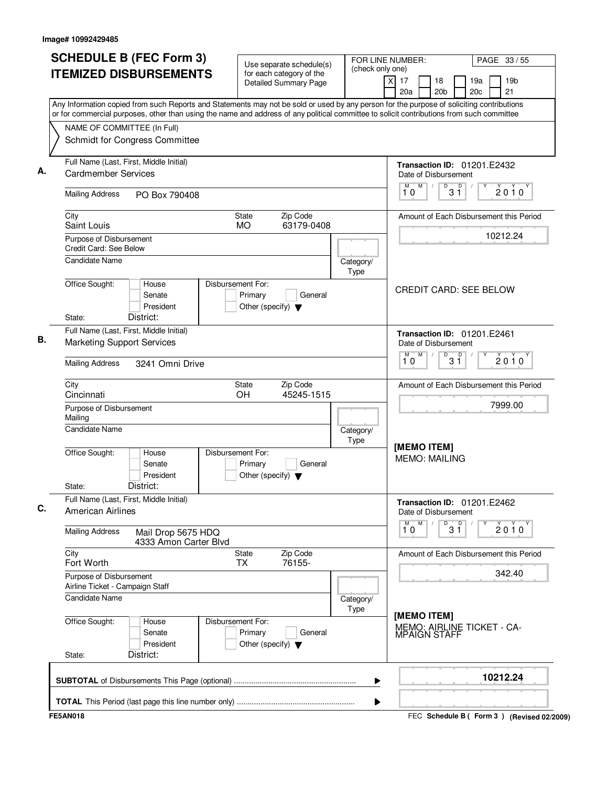| <b>ITEMIZED DISBURSEMENTS</b><br>Any Information copied from such Reports and Statements may not be sold or used by any person for the purpose of soliciting contributions<br>or for commercial purposes, other than using the name and address of any political committee to solicit contributions from such committee<br>NAME OF COMMITTEE (In Full)<br>Schmidt for Congress Committee | Use separate schedule(s)<br>for each category of the<br><b>Detailed Summary Page</b>                                                                                                                                                                                                                                                                                                                              | (check only one)                                                                     | PAGE 33 / 55<br>x<br>17<br>18<br>19a<br>19 <sub>b</sub><br>20c<br>21<br>20a<br>20 <sub>b</sub> |  |
|------------------------------------------------------------------------------------------------------------------------------------------------------------------------------------------------------------------------------------------------------------------------------------------------------------------------------------------------------------------------------------------|-------------------------------------------------------------------------------------------------------------------------------------------------------------------------------------------------------------------------------------------------------------------------------------------------------------------------------------------------------------------------------------------------------------------|--------------------------------------------------------------------------------------|------------------------------------------------------------------------------------------------|--|
|                                                                                                                                                                                                                                                                                                                                                                                          |                                                                                                                                                                                                                                                                                                                                                                                                                   |                                                                                      |                                                                                                |  |
|                                                                                                                                                                                                                                                                                                                                                                                          |                                                                                                                                                                                                                                                                                                                                                                                                                   |                                                                                      |                                                                                                |  |
|                                                                                                                                                                                                                                                                                                                                                                                          |                                                                                                                                                                                                                                                                                                                                                                                                                   |                                                                                      |                                                                                                |  |
|                                                                                                                                                                                                                                                                                                                                                                                          |                                                                                                                                                                                                                                                                                                                                                                                                                   |                                                                                      |                                                                                                |  |
| Full Name (Last, First, Middle Initial)<br><b>Cardmember Services</b>                                                                                                                                                                                                                                                                                                                    |                                                                                                                                                                                                                                                                                                                                                                                                                   |                                                                                      | <b>Transaction ID: 01201.E2432</b><br>Date of Disbursement                                     |  |
| PO Box 790408                                                                                                                                                                                                                                                                                                                                                                            |                                                                                                                                                                                                                                                                                                                                                                                                                   |                                                                                      | M<br>$\overline{D}$<br>$\overline{D}$<br>M<br>$\sqrt{ }$<br>2010<br>3 Ĭ<br>10                  |  |
|                                                                                                                                                                                                                                                                                                                                                                                          | Zip Code<br>State<br><b>MO</b><br>63179-0408                                                                                                                                                                                                                                                                                                                                                                      |                                                                                      | Amount of Each Disbursement this Period                                                        |  |
|                                                                                                                                                                                                                                                                                                                                                                                          |                                                                                                                                                                                                                                                                                                                                                                                                                   |                                                                                      | 10212.24                                                                                       |  |
|                                                                                                                                                                                                                                                                                                                                                                                          |                                                                                                                                                                                                                                                                                                                                                                                                                   | Type                                                                                 |                                                                                                |  |
| House<br>Senate<br>President<br>District:                                                                                                                                                                                                                                                                                                                                                | Primary<br>General<br>Other (specify) $\blacktriangledown$                                                                                                                                                                                                                                                                                                                                                        |                                                                                      | <b>CREDIT CARD: SEE BELOW</b>                                                                  |  |
| Full Name (Last, First, Middle Initial)                                                                                                                                                                                                                                                                                                                                                  |                                                                                                                                                                                                                                                                                                                                                                                                                   |                                                                                      | Transaction ID: 01201.E2461<br>Date of Disbursement<br>M                                       |  |
| <b>Marketing Support Services</b>                                                                                                                                                                                                                                                                                                                                                        |                                                                                                                                                                                                                                                                                                                                                                                                                   |                                                                                      |                                                                                                |  |
| <b>Mailing Address</b><br>3241 Omni Drive                                                                                                                                                                                                                                                                                                                                                |                                                                                                                                                                                                                                                                                                                                                                                                                   |                                                                                      | $3^{\circ}$<br>D<br>$2010^y$<br>10                                                             |  |
|                                                                                                                                                                                                                                                                                                                                                                                          | Zip Code<br>State<br>OH<br>45245-1515                                                                                                                                                                                                                                                                                                                                                                             |                                                                                      | Amount of Each Disbursement this Period                                                        |  |
|                                                                                                                                                                                                                                                                                                                                                                                          |                                                                                                                                                                                                                                                                                                                                                                                                                   |                                                                                      | 7999.00                                                                                        |  |
| Mailing<br>Candidate Name                                                                                                                                                                                                                                                                                                                                                                |                                                                                                                                                                                                                                                                                                                                                                                                                   |                                                                                      |                                                                                                |  |
| House<br>Senate<br>President<br>District:                                                                                                                                                                                                                                                                                                                                                | Primary<br>General<br>Other (specify) $\blacktriangledown$                                                                                                                                                                                                                                                                                                                                                        |                                                                                      | [MEMO ITEM]<br><b>MEMO: MAILING</b>                                                            |  |
|                                                                                                                                                                                                                                                                                                                                                                                          |                                                                                                                                                                                                                                                                                                                                                                                                                   |                                                                                      | <b>Transaction ID: 01201.E2462</b><br>Date of Disbursement                                     |  |
| Mail Drop 5675 HDQ                                                                                                                                                                                                                                                                                                                                                                       |                                                                                                                                                                                                                                                                                                                                                                                                                   |                                                                                      | м<br>M<br>D<br>p<br>2010<br>$3\overset{0}{1}$<br>10                                            |  |
|                                                                                                                                                                                                                                                                                                                                                                                          | <b>State</b><br>Zip Code<br>76155-<br>TX                                                                                                                                                                                                                                                                                                                                                                          |                                                                                      | Amount of Each Disbursement this Period                                                        |  |
|                                                                                                                                                                                                                                                                                                                                                                                          |                                                                                                                                                                                                                                                                                                                                                                                                                   |                                                                                      | 342.40                                                                                         |  |
|                                                                                                                                                                                                                                                                                                                                                                                          |                                                                                                                                                                                                                                                                                                                                                                                                                   |                                                                                      |                                                                                                |  |
| House<br>Senate<br>President<br>District:                                                                                                                                                                                                                                                                                                                                                | Primary<br>General<br>Other (specify) $\blacktriangledown$                                                                                                                                                                                                                                                                                                                                                        |                                                                                      | [MEMO ITEM]<br>MEMO: AIRLINE TICKET - CA-<br><b>MPAIGN STAFF</b>                               |  |
|                                                                                                                                                                                                                                                                                                                                                                                          |                                                                                                                                                                                                                                                                                                                                                                                                                   | ▶                                                                                    | 10212.24                                                                                       |  |
|                                                                                                                                                                                                                                                                                                                                                                                          | <b>Mailing Address</b><br>Saint Louis<br>Purpose of Disbursement<br>Credit Card: See Below<br>Candidate Name<br>Office Sought:<br>Cincinnati<br>Purpose of Disbursement<br>Office Sought:<br>Full Name (Last, First, Middle Initial)<br><b>American Airlines</b><br><b>Mailing Address</b><br>Fort Worth<br>Purpose of Disbursement<br>Airline Ticket - Campaign Staff<br><b>Candidate Name</b><br>Office Sought: | Disbursement For:<br>Disbursement For:<br>4333 Amon Carter Blvd<br>Disbursement For: | Category/<br>Category/<br>Type<br>Category/<br>Type<br>▶                                       |  |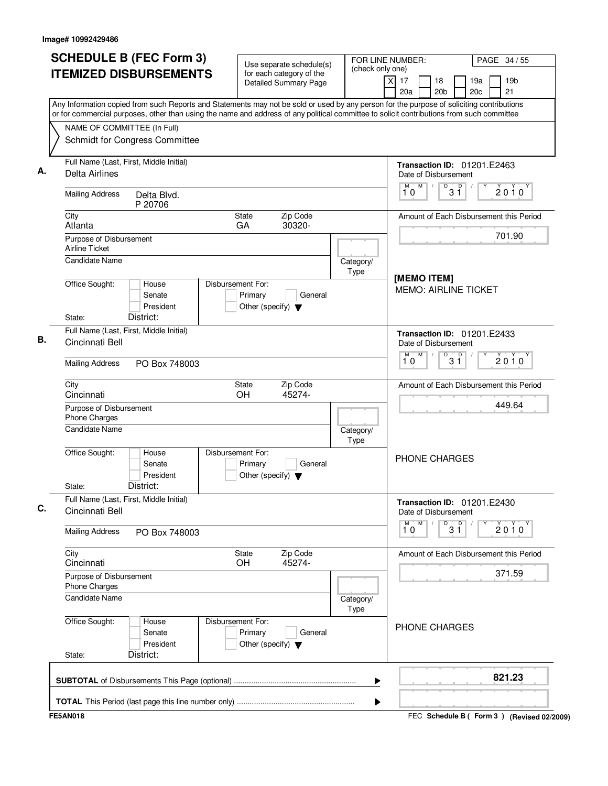| <b>SCHEDULE B (FEC Form 3)</b>                                                                                                                                                                                                                                                         | Use separate schedule(s)                                                        | (check only one)  | FOR LINE NUMBER:                                               | PAGE 34 / 55                                    |  |
|----------------------------------------------------------------------------------------------------------------------------------------------------------------------------------------------------------------------------------------------------------------------------------------|---------------------------------------------------------------------------------|-------------------|----------------------------------------------------------------|-------------------------------------------------|--|
| <b>ITEMIZED DISBURSEMENTS</b>                                                                                                                                                                                                                                                          | for each category of the<br><b>Detailed Summary Page</b>                        |                   | $\overline{\mathsf{x}}$<br>17<br>18<br>20 <sub>b</sub><br>20a  | 19a<br>19 <sub>b</sub><br>21<br>20 <sub>c</sub> |  |
| Any Information copied from such Reports and Statements may not be sold or used by any person for the purpose of soliciting contributions<br>or for commercial purposes, other than using the name and address of any political committee to solicit contributions from such committee |                                                                                 |                   |                                                                |                                                 |  |
| NAME OF COMMITTEE (In Full)<br>Schmidt for Congress Committee                                                                                                                                                                                                                          |                                                                                 |                   |                                                                |                                                 |  |
| Full Name (Last, First, Middle Initial)<br>Delta Airlines                                                                                                                                                                                                                              |                                                                                 |                   | <b>Transaction ID: 01201.E2463</b><br>Date of Disbursement     |                                                 |  |
| <b>Mailing Address</b><br>Delta Blvd.<br>P 20706                                                                                                                                                                                                                                       |                                                                                 |                   | M<br>D<br>D<br>3 Ĭ<br>10                                       | 2010                                            |  |
| City<br>Atlanta                                                                                                                                                                                                                                                                        | Zip Code<br>State<br>30320-<br>GA                                               |                   |                                                                | Amount of Each Disbursement this Period         |  |
| Purpose of Disbursement<br><b>Airline Ticket</b><br>Candidate Name                                                                                                                                                                                                                     |                                                                                 |                   |                                                                | 701.90                                          |  |
|                                                                                                                                                                                                                                                                                        |                                                                                 | Category/<br>Type | [MEMO ITEM]                                                    |                                                 |  |
| Office Sought:<br>House<br>Senate<br>President<br>District:<br>State:                                                                                                                                                                                                                  | Disbursement For:<br>Primary<br>General<br>Other (specify) $\blacktriangledown$ |                   | <b>MEMO: AIRLINE TICKET</b>                                    |                                                 |  |
| Full Name (Last, First, Middle Initial)<br>Cincinnati Bell                                                                                                                                                                                                                             |                                                                                 |                   | <b>Transaction ID: 01201.E2433</b><br>Date of Disbursement     |                                                 |  |
| <b>Mailing Address</b><br>PO Box 748003                                                                                                                                                                                                                                                |                                                                                 |                   | M<br>$\overline{31}$<br>М<br>10                                | $2010^y$                                        |  |
| City<br>Cincinnati                                                                                                                                                                                                                                                                     | Zip Code<br>State<br>OH<br>45274-                                               |                   |                                                                | Amount of Each Disbursement this Period         |  |
| Purpose of Disbursement<br>Phone Charges                                                                                                                                                                                                                                               |                                                                                 | 449.64            |                                                                |                                                 |  |
| Candidate Name                                                                                                                                                                                                                                                                         |                                                                                 | Category/<br>Type |                                                                |                                                 |  |
| Office Sought:<br>House<br>Senate<br>President<br>District:<br>State:                                                                                                                                                                                                                  | Disbursement For:<br>Primary<br>General<br>Other (specify) $\blacktriangledown$ |                   | PHONE CHARGES                                                  |                                                 |  |
| Full Name (Last, First, Middle Initial)<br>Cincinnati Bell                                                                                                                                                                                                                             |                                                                                 |                   | <b>Transaction ID: 01201.E2430</b><br>Date of Disbursement     |                                                 |  |
| <b>Mailing Address</b><br>PO Box 748003                                                                                                                                                                                                                                                |                                                                                 |                   | M<br>$\begin{bmatrix} 0 & 0 \\ 3 & 1 \end{bmatrix}$<br>М<br>10 | Υ<br>$2010^y$                                   |  |
| City<br>Cincinnati                                                                                                                                                                                                                                                                     | Zip Code<br>State<br>OH<br>45274-                                               |                   |                                                                | Amount of Each Disbursement this Period         |  |
| Purpose of Disbursement<br>Phone Charges                                                                                                                                                                                                                                               |                                                                                 |                   |                                                                | 371.59                                          |  |
| Candidate Name                                                                                                                                                                                                                                                                         |                                                                                 | Category/<br>Type |                                                                |                                                 |  |
| Office Sought:<br>House<br>Senate<br>President<br>District:<br>State:                                                                                                                                                                                                                  | Disbursement For:<br>Primary<br>General<br>Other (specify) $\blacktriangledown$ |                   | PHONE CHARGES                                                  |                                                 |  |
|                                                                                                                                                                                                                                                                                        |                                                                                 | ▶                 |                                                                | 821.23                                          |  |
|                                                                                                                                                                                                                                                                                        |                                                                                 | ▶                 |                                                                |                                                 |  |
| <b>FE5AN018</b>                                                                                                                                                                                                                                                                        |                                                                                 |                   |                                                                | FEC Schedule B ( Form 3 ) (Revised 02/2009)     |  |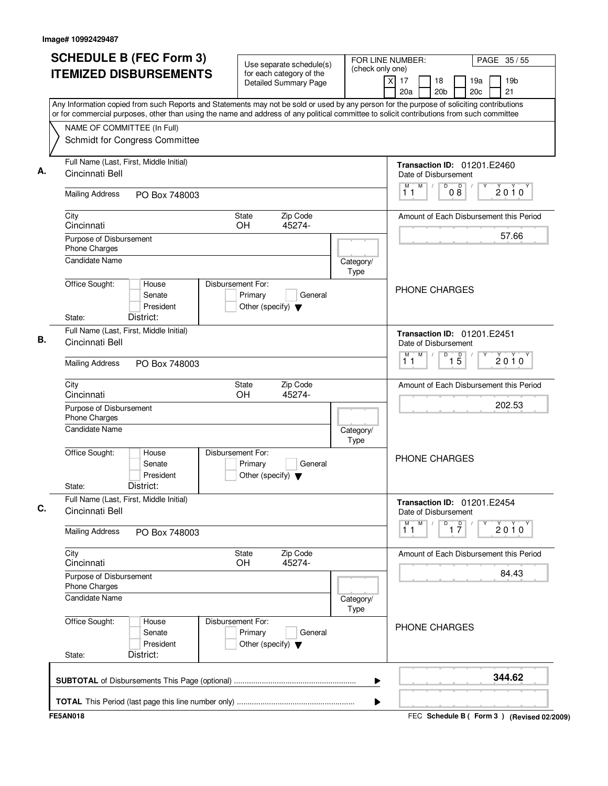| <b>SCHEDULE B (FEC Form 3)</b>                                                                                                                                                                                                                                                         | Use separate schedule(s)                                                        | FOR LINE NUMBER:<br>(check only one) |                                                                    | PAGE 35 / 55          |
|----------------------------------------------------------------------------------------------------------------------------------------------------------------------------------------------------------------------------------------------------------------------------------------|---------------------------------------------------------------------------------|--------------------------------------|--------------------------------------------------------------------|-----------------------|
| <b>ITEMIZED DISBURSEMENTS</b>                                                                                                                                                                                                                                                          | for each category of the<br>Detailed Summary Page                               |                                      | $\overline{X}$<br>17<br>18<br>19a<br>20a<br>20 <sub>b</sub><br>20c | 19 <sub>b</sub><br>21 |
| Any Information copied from such Reports and Statements may not be sold or used by any person for the purpose of soliciting contributions<br>or for commercial purposes, other than using the name and address of any political committee to solicit contributions from such committee |                                                                                 |                                      |                                                                    |                       |
| NAME OF COMMITTEE (In Full)<br>Schmidt for Congress Committee                                                                                                                                                                                                                          |                                                                                 |                                      |                                                                    |                       |
| Full Name (Last, First, Middle Initial)<br>Cincinnati Bell                                                                                                                                                                                                                             |                                                                                 |                                      | <b>Transaction ID: 01201.E2460</b><br>Date of Disbursement         |                       |
| <b>Mailing Address</b><br>PO Box 748003                                                                                                                                                                                                                                                |                                                                                 |                                      | M<br>D<br>М<br>D<br>08<br>11                                       | 2010                  |
| City<br>Cincinnati                                                                                                                                                                                                                                                                     | Zip Code<br><b>State</b><br>OH<br>45274-                                        |                                      | Amount of Each Disbursement this Period                            |                       |
| Purpose of Disbursement<br>Phone Charges                                                                                                                                                                                                                                               |                                                                                 |                                      |                                                                    | 57.66                 |
| <b>Candidate Name</b><br>Office Sought:<br>House                                                                                                                                                                                                                                       | Disbursement For:                                                               | Category/<br>Type                    |                                                                    |                       |
| Senate<br>President<br>District:<br>State:                                                                                                                                                                                                                                             | Primary<br>General<br>Other (specify) $\blacktriangledown$                      |                                      | PHONE CHARGES                                                      |                       |
| Full Name (Last, First, Middle Initial)<br>Cincinnati Bell                                                                                                                                                                                                                             |                                                                                 |                                      | <b>Transaction ID: 01201.E2451</b><br>Date of Disbursement         |                       |
| <b>Mailing Address</b><br>PO Box 748003                                                                                                                                                                                                                                                |                                                                                 |                                      | M<br>D<br>M<br>$\overline{1\,5}$<br>11                             | 2010                  |
| City<br>Cincinnati                                                                                                                                                                                                                                                                     | Zip Code<br>State<br>OH<br>45274-                                               |                                      | Amount of Each Disbursement this Period                            |                       |
| Purpose of Disbursement<br>Phone Charges                                                                                                                                                                                                                                               |                                                                                 |                                      |                                                                    | 202.53                |
| <b>Candidate Name</b><br>Office Sought:<br>House                                                                                                                                                                                                                                       | Disbursement For:                                                               | Category/<br>Type                    |                                                                    |                       |
| Senate<br>President<br>District:<br>State:                                                                                                                                                                                                                                             | Primary<br>General<br>Other (specify) $\blacktriangledown$                      |                                      | <b>PHONE CHARGES</b>                                               |                       |
| Full Name (Last, First, Middle Initial)<br>Cincinnati Bell                                                                                                                                                                                                                             |                                                                                 |                                      | <b>Transaction ID: 01201.E2454</b><br>Date of Disbursement         |                       |
| <b>Mailing Address</b><br>PO Box 748003                                                                                                                                                                                                                                                |                                                                                 |                                      | M<br>M<br>D<br>$\frac{D}{17}$<br>11                                | 2010                  |
| City<br>Cincinnati                                                                                                                                                                                                                                                                     | Zip Code<br>State<br>45274-<br><b>OH</b>                                        |                                      | Amount of Each Disbursement this Period                            |                       |
| Purpose of Disbursement<br>Phone Charges                                                                                                                                                                                                                                               |                                                                                 |                                      |                                                                    | 84.43                 |
| Candidate Name<br>Office Sought:                                                                                                                                                                                                                                                       |                                                                                 | Category/<br>Type                    |                                                                    |                       |
| House<br>Senate<br>President<br>District:<br>State:                                                                                                                                                                                                                                    | Disbursement For:<br>Primary<br>General<br>Other (specify) $\blacktriangledown$ |                                      | PHONE CHARGES                                                      |                       |
|                                                                                                                                                                                                                                                                                        |                                                                                 | ▶                                    |                                                                    | 344.62                |
|                                                                                                                                                                                                                                                                                        |                                                                                 | ▶                                    |                                                                    |                       |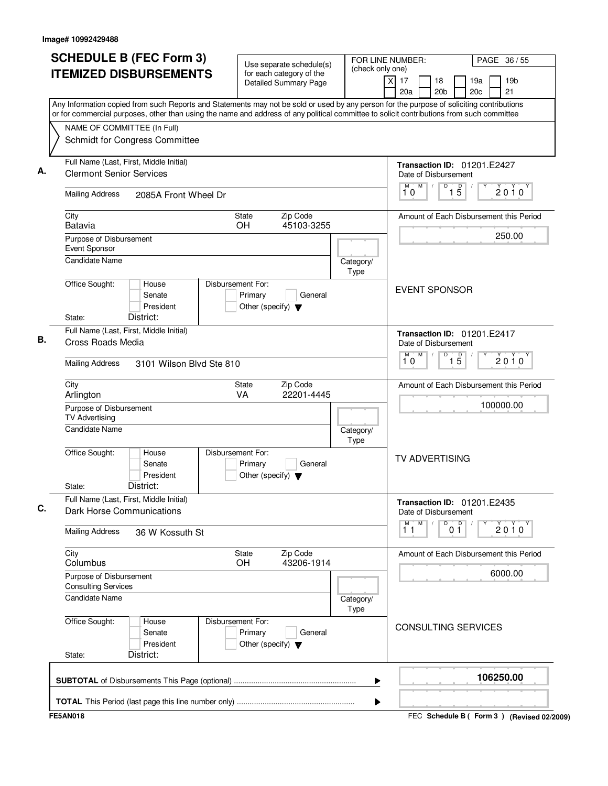| <b>SCHEDULE B (FEC Form 3)</b>                                                                                                                                                                                                                                                         | Use separate schedule(s)                                                        | FOR LINE NUMBER:<br>(check only one) | PAGE 36 / 55                                                                   |
|----------------------------------------------------------------------------------------------------------------------------------------------------------------------------------------------------------------------------------------------------------------------------------------|---------------------------------------------------------------------------------|--------------------------------------|--------------------------------------------------------------------------------|
| <b>ITEMIZED DISBURSEMENTS</b>                                                                                                                                                                                                                                                          | for each category of the<br><b>Detailed Summary Page</b>                        |                                      | 19 <sub>b</sub><br>x<br>17<br>18<br>19a<br>20c<br>21<br>20a<br>20 <sub>b</sub> |
| Any Information copied from such Reports and Statements may not be sold or used by any person for the purpose of soliciting contributions<br>or for commercial purposes, other than using the name and address of any political committee to solicit contributions from such committee |                                                                                 |                                      |                                                                                |
| NAME OF COMMITTEE (In Full)                                                                                                                                                                                                                                                            |                                                                                 |                                      |                                                                                |
| Schmidt for Congress Committee                                                                                                                                                                                                                                                         |                                                                                 |                                      |                                                                                |
| Full Name (Last, First, Middle Initial)<br><b>Clermont Senior Services</b>                                                                                                                                                                                                             |                                                                                 |                                      | <b>Transaction ID: 01201.E2427</b><br>Date of Disbursement                     |
| <b>Mailing Address</b><br>2085A Front Wheel Dr                                                                                                                                                                                                                                         |                                                                                 |                                      | M<br>$1\overline{5}$<br>M<br>D<br>2010<br>10                                   |
| City<br>Batavia                                                                                                                                                                                                                                                                        | Zip Code<br>State<br>45103-3255<br><b>OH</b>                                    |                                      | Amount of Each Disbursement this Period                                        |
| Purpose of Disbursement<br>Event Sponsor                                                                                                                                                                                                                                               |                                                                                 |                                      | 250.00                                                                         |
| <b>Candidate Name</b>                                                                                                                                                                                                                                                                  |                                                                                 | Category/<br>Type                    |                                                                                |
| Office Sought:<br>House<br>Senate<br>President<br>District:<br>State:                                                                                                                                                                                                                  | Disbursement For:<br>Primary<br>General<br>Other (specify) $\blacktriangledown$ |                                      | <b>EVENT SPONSOR</b>                                                           |
| Full Name (Last, First, Middle Initial)                                                                                                                                                                                                                                                |                                                                                 |                                      | <b>Transaction ID: 01201.E2417</b>                                             |
| Cross Roads Media                                                                                                                                                                                                                                                                      |                                                                                 |                                      | Date of Disbursement                                                           |
| <b>Mailing Address</b><br>3101 Wilson Blvd Ste 810                                                                                                                                                                                                                                     |                                                                                 |                                      | M<br>M<br>D<br>$\overline{15}$<br>$2010^y$<br>10                               |
| City<br>Arlington                                                                                                                                                                                                                                                                      | Zip Code<br>State<br>VA<br>22201-4445                                           |                                      | Amount of Each Disbursement this Period                                        |
| Purpose of Disbursement<br><b>TV Advertising</b>                                                                                                                                                                                                                                       |                                                                                 |                                      | 100000.00                                                                      |
| <b>Candidate Name</b>                                                                                                                                                                                                                                                                  |                                                                                 | Category/<br>Type                    |                                                                                |
| Office Sought:<br>House<br>Senate<br>President<br>District:<br>State:                                                                                                                                                                                                                  | Disbursement For:<br>Primary<br>General<br>Other (specify) $\blacktriangledown$ |                                      | <b>TV ADVERTISING</b>                                                          |
| Full Name (Last, First, Middle Initial)<br>Dark Horse Communications                                                                                                                                                                                                                   |                                                                                 |                                      | <b>Transaction ID: 01201.E2435</b><br>Date of Disbursement                     |
| <b>Mailing Address</b><br>36 W Kossuth St                                                                                                                                                                                                                                              |                                                                                 |                                      | M<br>M<br>D<br>0 <sup>0</sup><br>2010<br>11                                    |
| City<br>Columbus                                                                                                                                                                                                                                                                       | Zip Code<br>State<br>43206-1914<br><b>OH</b>                                    |                                      | Amount of Each Disbursement this Period                                        |
| Purpose of Disbursement<br><b>Consulting Services</b>                                                                                                                                                                                                                                  |                                                                                 |                                      | 6000.00                                                                        |
| <b>Candidate Name</b>                                                                                                                                                                                                                                                                  |                                                                                 | Category/<br>Type                    |                                                                                |
| Office Sought:<br>House<br>Senate<br>President<br>District:<br>State:                                                                                                                                                                                                                  | Disbursement For:<br>Primary<br>General<br>Other (specify) $\blacktriangledown$ |                                      | <b>CONSULTING SERVICES</b>                                                     |
|                                                                                                                                                                                                                                                                                        |                                                                                 | ▶                                    | 106250.00                                                                      |
|                                                                                                                                                                                                                                                                                        |                                                                                 | ▶                                    |                                                                                |
| <b>FE5AN018</b>                                                                                                                                                                                                                                                                        |                                                                                 |                                      | FEC Schedule B ( Form 3 ) (Revised 02/2009)                                    |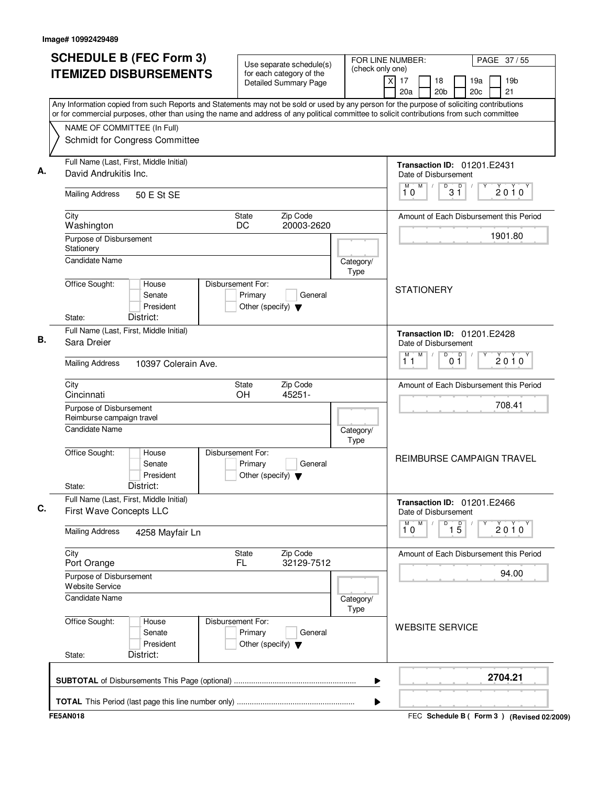| <b>SCHEDULE B (FEC Form 3)</b>                                                                                                                                                                                                                                                         | Use separate schedule(s)                                                        | FOR LINE NUMBER:<br>(check only one) |                                                            | PAGE 37/55                                |  |  |
|----------------------------------------------------------------------------------------------------------------------------------------------------------------------------------------------------------------------------------------------------------------------------------------|---------------------------------------------------------------------------------|--------------------------------------|------------------------------------------------------------|-------------------------------------------|--|--|
| <b>ITEMIZED DISBURSEMENTS</b>                                                                                                                                                                                                                                                          | for each category of the<br><b>Detailed Summary Page</b>                        |                                      | $\overline{x}$<br>17<br>18<br>20a<br>20 <sub>b</sub>       | 19a<br>19 <sub>b</sub><br>21<br>20c       |  |  |
| Any Information copied from such Reports and Statements may not be sold or used by any person for the purpose of soliciting contributions<br>or for commercial purposes, other than using the name and address of any political committee to solicit contributions from such committee |                                                                                 |                                      |                                                            |                                           |  |  |
| NAME OF COMMITTEE (In Full)                                                                                                                                                                                                                                                            |                                                                                 |                                      |                                                            |                                           |  |  |
| Schmidt for Congress Committee                                                                                                                                                                                                                                                         |                                                                                 |                                      |                                                            |                                           |  |  |
| Full Name (Last, First, Middle Initial)<br>David Andrukitis Inc.                                                                                                                                                                                                                       |                                                                                 |                                      | <b>Transaction ID: 01201.E2431</b><br>Date of Disbursement |                                           |  |  |
| <b>Mailing Address</b><br>50 E St SE                                                                                                                                                                                                                                                   |                                                                                 |                                      | M<br>$\mathsf D$<br>M<br>D<br>3 Ĭ<br>10                    | 2010                                      |  |  |
| City<br>Washington                                                                                                                                                                                                                                                                     | Zip Code<br>State<br>DC<br>20003-2620                                           |                                      |                                                            | Amount of Each Disbursement this Period   |  |  |
| Purpose of Disbursement<br>Stationery                                                                                                                                                                                                                                                  |                                                                                 |                                      |                                                            | 1901.80                                   |  |  |
| <b>Candidate Name</b>                                                                                                                                                                                                                                                                  |                                                                                 | Category/<br>Type                    |                                                            |                                           |  |  |
| Office Sought:<br>House<br>Senate<br>President<br>District:<br>State:                                                                                                                                                                                                                  | Disbursement For:<br>Primary<br>General<br>Other (specify) $\blacktriangledown$ |                                      | <b>STATIONERY</b>                                          |                                           |  |  |
| Full Name (Last, First, Middle Initial)<br>Sara Dreier                                                                                                                                                                                                                                 |                                                                                 |                                      | <b>Transaction ID: 01201.E2428</b><br>Date of Disbursement |                                           |  |  |
| <b>Mailing Address</b><br>10397 Colerain Ave.                                                                                                                                                                                                                                          |                                                                                 |                                      | M<br>D<br>М<br>0 <sup>0</sup><br>11                        | $2010^y$                                  |  |  |
| City<br>Cincinnati                                                                                                                                                                                                                                                                     | Zip Code<br>State<br>45251-<br>OH                                               |                                      |                                                            | Amount of Each Disbursement this Period   |  |  |
| Purpose of Disbursement<br>Reimburse campaign travel                                                                                                                                                                                                                                   |                                                                                 |                                      |                                                            | 708.41                                    |  |  |
| <b>Candidate Name</b>                                                                                                                                                                                                                                                                  |                                                                                 | Category/<br>Type                    |                                                            |                                           |  |  |
| Office Sought:<br>House<br>Senate<br>President<br>District:<br>State:                                                                                                                                                                                                                  | Disbursement For:<br>Primary<br>General<br>Other (specify) $\blacktriangledown$ |                                      |                                                            | <b>REIMBURSE CAMPAIGN TRAVEL</b>          |  |  |
| Full Name (Last, First, Middle Initial)<br>First Wave Concepts LLC                                                                                                                                                                                                                     |                                                                                 |                                      | <b>Transaction ID: 01201.E2466</b><br>Date of Disbursement |                                           |  |  |
| <b>Mailing Address</b><br>4258 Mayfair Ln                                                                                                                                                                                                                                              |                                                                                 |                                      | $\overline{1}^M$ 0<br>M<br>D<br>$\overline{15}$            | 2010                                      |  |  |
| City<br>Port Orange                                                                                                                                                                                                                                                                    | State<br>Zip Code<br>32129-7512<br>FL.                                          |                                      |                                                            | Amount of Each Disbursement this Period   |  |  |
| Purpose of Disbursement<br>Website Service                                                                                                                                                                                                                                             |                                                                                 |                                      |                                                            | 94.00                                     |  |  |
| <b>Candidate Name</b>                                                                                                                                                                                                                                                                  |                                                                                 | Category/<br>Type                    |                                                            |                                           |  |  |
| Office Sought:<br>House<br>Senate<br>President<br>District:<br>State:                                                                                                                                                                                                                  | Disbursement For:<br>Primary<br>General<br>Other (specify) $\blacktriangledown$ |                                      | <b>WEBSITE SERVICE</b>                                     |                                           |  |  |
|                                                                                                                                                                                                                                                                                        |                                                                                 | ▶                                    |                                                            | 2704.21                                   |  |  |
|                                                                                                                                                                                                                                                                                        |                                                                                 | ▶                                    |                                                            |                                           |  |  |
| <b>FE5AN018</b>                                                                                                                                                                                                                                                                        |                                                                                 |                                      |                                                            | FEC Schedule B (Form 3) (Revised 02/2009) |  |  |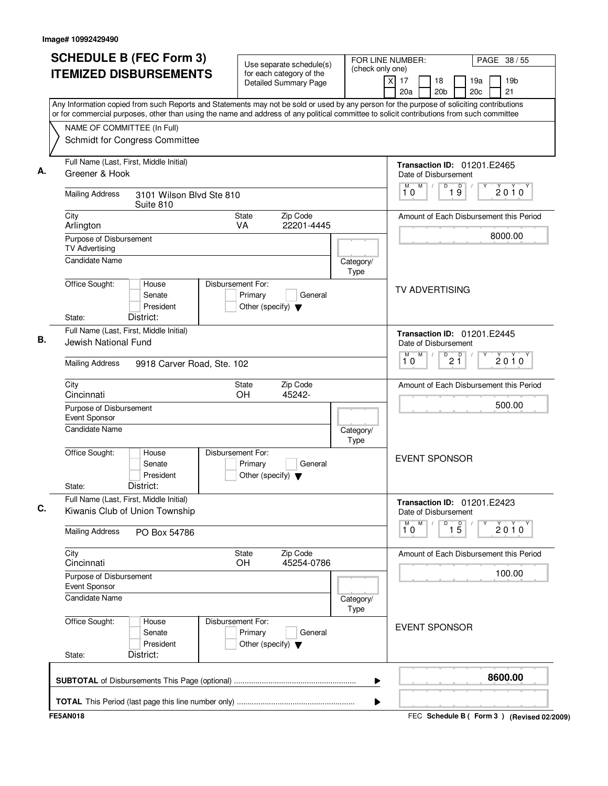| <b>SCHEDULE B (FEC Form 3)</b>                                                                                                                                                                                                                                                         | Use separate schedule(s)                                                        | (check only one)  | FOR LINE NUMBER:                                              |                                 |                        | PAGE 38 / 55                                |
|----------------------------------------------------------------------------------------------------------------------------------------------------------------------------------------------------------------------------------------------------------------------------------------|---------------------------------------------------------------------------------|-------------------|---------------------------------------------------------------|---------------------------------|------------------------|---------------------------------------------|
| <b>ITEMIZED DISBURSEMENTS</b>                                                                                                                                                                                                                                                          | for each category of the<br><b>Detailed Summary Page</b>                        |                   | $\overline{\mathsf{x}}$<br>17<br>18<br>20 <sub>b</sub><br>20a |                                 | 19a<br>20 <sub>c</sub> | 19 <sub>b</sub><br>21                       |
| Any Information copied from such Reports and Statements may not be sold or used by any person for the purpose of soliciting contributions<br>or for commercial purposes, other than using the name and address of any political committee to solicit contributions from such committee |                                                                                 |                   |                                                               |                                 |                        |                                             |
| NAME OF COMMITTEE (In Full)                                                                                                                                                                                                                                                            |                                                                                 |                   |                                                               |                                 |                        |                                             |
| Schmidt for Congress Committee                                                                                                                                                                                                                                                         |                                                                                 |                   |                                                               |                                 |                        |                                             |
| Full Name (Last, First, Middle Initial)<br>Greener & Hook                                                                                                                                                                                                                              |                                                                                 |                   | <b>Transaction ID: 01201.E2465</b><br>Date of Disbursement    |                                 |                        |                                             |
| <b>Mailing Address</b><br>3101 Wilson Blvd Ste 810<br>Suite 810                                                                                                                                                                                                                        |                                                                                 |                   | M<br>D<br>M<br>10                                             | $\overline{\mathsf{D}}$<br>19   |                        | 2010                                        |
| City<br>Arlington                                                                                                                                                                                                                                                                      | Zip Code<br>State<br>22201-4445<br><b>VA</b>                                    |                   | Amount of Each Disbursement this Period                       |                                 |                        |                                             |
| Purpose of Disbursement<br><b>TV Advertising</b>                                                                                                                                                                                                                                       |                                                                                 |                   |                                                               |                                 |                        | 8000.00                                     |
| Candidate Name                                                                                                                                                                                                                                                                         |                                                                                 | Category/<br>Type |                                                               |                                 |                        |                                             |
| Office Sought:<br>House<br>Senate<br>President<br>District:<br>State:                                                                                                                                                                                                                  | Disbursement For:<br>Primary<br>General<br>Other (specify) $\blacktriangledown$ |                   | <b>TV ADVERTISING</b>                                         |                                 |                        |                                             |
| Full Name (Last, First, Middle Initial)                                                                                                                                                                                                                                                |                                                                                 |                   |                                                               |                                 |                        |                                             |
| Jewish National Fund                                                                                                                                                                                                                                                                   |                                                                                 |                   | Transaction ID: 01201.E2445<br>Date of Disbursement<br>M<br>M |                                 |                        |                                             |
| <b>Mailing Address</b><br>9918 Carver Road, Ste. 102                                                                                                                                                                                                                                   |                                                                                 |                   | 10                                                            | $\overline{P}$ 2 $\overline{1}$ |                        | 2010                                        |
| City<br>Cincinnati                                                                                                                                                                                                                                                                     | Zip Code<br>State<br>OH<br>45242-                                               |                   | Amount of Each Disbursement this Period                       |                                 |                        |                                             |
| Purpose of Disbursement<br>Event Sponsor<br>Candidate Name                                                                                                                                                                                                                             |                                                                                 |                   |                                                               | 500.00                          |                        |                                             |
|                                                                                                                                                                                                                                                                                        |                                                                                 | Category/<br>Type |                                                               |                                 |                        |                                             |
| Office Sought:<br>House<br>Senate<br>President<br>District:<br>State:                                                                                                                                                                                                                  | Disbursement For:<br>Primary<br>General<br>Other (specify) $\blacktriangledown$ |                   | <b>EVENT SPONSOR</b>                                          |                                 |                        |                                             |
| Full Name (Last, First, Middle Initial)<br>Kiwanis Club of Union Township                                                                                                                                                                                                              |                                                                                 |                   | <b>Transaction ID: 01201.E2423</b><br>Date of Disbursement    |                                 |                        |                                             |
| <b>Mailing Address</b><br>PO Box 54786                                                                                                                                                                                                                                                 |                                                                                 |                   | M<br>D<br>10                                                  | $\overline{15}$                 | Υ                      | 2010                                        |
| City<br>Cincinnati                                                                                                                                                                                                                                                                     | Zip Code<br>State<br>OH<br>45254-0786                                           |                   | Amount of Each Disbursement this Period                       |                                 |                        |                                             |
| Purpose of Disbursement<br>Event Sponsor                                                                                                                                                                                                                                               |                                                                                 |                   |                                                               |                                 |                        | 100.00                                      |
| <b>Candidate Name</b>                                                                                                                                                                                                                                                                  |                                                                                 | Category/<br>Type |                                                               |                                 |                        |                                             |
| Office Sought:<br>House<br>Senate<br>President<br>District:<br>State:                                                                                                                                                                                                                  | Disbursement For:<br>Primary<br>General<br>Other (specify) $\blacktriangledown$ |                   | <b>EVENT SPONSOR</b>                                          |                                 |                        |                                             |
|                                                                                                                                                                                                                                                                                        |                                                                                 | ▶                 |                                                               |                                 |                        | 8600.00                                     |
|                                                                                                                                                                                                                                                                                        |                                                                                 | ▶                 |                                                               |                                 |                        |                                             |
| <b>FE5AN018</b>                                                                                                                                                                                                                                                                        |                                                                                 |                   |                                                               |                                 |                        | FEC Schedule B ( Form 3 ) (Revised 02/2009) |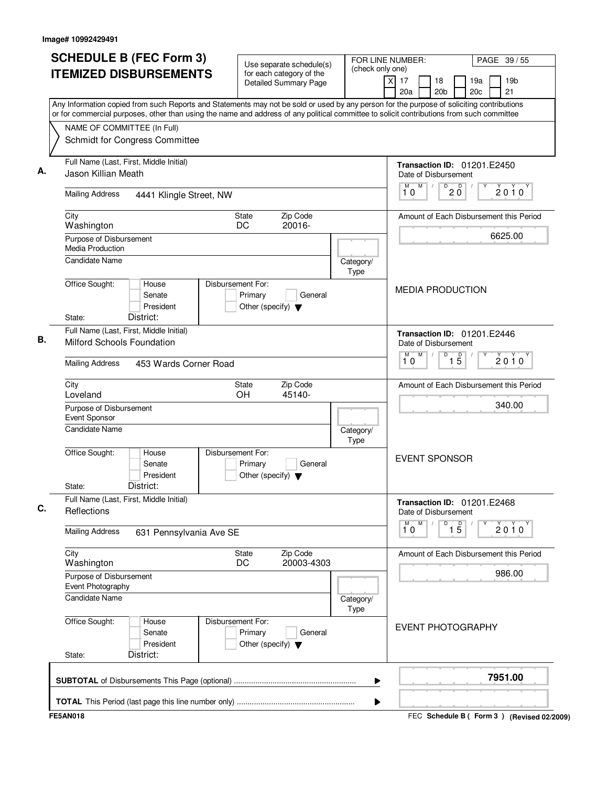| <b>SCHEDULE B (FEC Form 3)</b>                                                                                                                                           | Use separate schedule(s)                                                        |                   | FOR LINE NUMBER:                                     | PAGE 39/55                                      |
|--------------------------------------------------------------------------------------------------------------------------------------------------------------------------|---------------------------------------------------------------------------------|-------------------|------------------------------------------------------|-------------------------------------------------|
| <b>ITEMIZED DISBURSEMENTS</b>                                                                                                                                            | for each category of the<br>Detailed Summary Page                               | (check only one)  | $\overline{x}$<br>17<br>18<br>20 <sub>b</sub><br>20a | 19 <sub>b</sub><br>19a<br>20 <sub>c</sub><br>21 |
| Any Information copied from such Reports and Statements may not be sold or used by any person for the purpose of soliciting contributions                                |                                                                                 |                   |                                                      |                                                 |
| or for commercial purposes, other than using the name and address of any political committee to solicit contributions from such committee<br>NAME OF COMMITTEE (In Full) |                                                                                 |                   |                                                      |                                                 |
| Schmidt for Congress Committee                                                                                                                                           |                                                                                 |                   |                                                      |                                                 |
| Full Name (Last, First, Middle Initial)<br>Jason Killian Meath                                                                                                           |                                                                                 |                   | Date of Disbursement                                 | Transaction ID: 01201.E2450                     |
| <b>Mailing Address</b><br>4441 Klingle Street, NW                                                                                                                        |                                                                                 |                   | M<br>$\overline{0}$ 2 $\overline{0}$<br>10           | 2010                                            |
| City<br>Washington                                                                                                                                                       | Zip Code<br><b>State</b><br>DC<br>20016-                                        |                   |                                                      | Amount of Each Disbursement this Period         |
| Purpose of Disbursement<br><b>Media Production</b>                                                                                                                       |                                                                                 |                   |                                                      | 6625.00                                         |
| Candidate Name                                                                                                                                                           |                                                                                 | Category/<br>Type |                                                      |                                                 |
| Office Sought:<br>House<br>Senate<br>President<br>District:<br>State:                                                                                                    | Disbursement For:<br>Primary<br>General<br>Other (specify) $\blacktriangledown$ |                   | <b>MEDIA PRODUCTION</b>                              |                                                 |
| Full Name (Last, First, Middle Initial)                                                                                                                                  |                                                                                 |                   |                                                      | Transaction ID: 01201.E2446                     |
| Milford Schools Foundation                                                                                                                                               |                                                                                 |                   | Date of Disbursement                                 |                                                 |
| <b>Mailing Address</b><br>453 Wards Corner Road                                                                                                                          |                                                                                 |                   | M<br>D<br>M<br>10                                    | $\overline{1\sqrt{5}}$<br>$2010^y$              |
| City<br>Loveland                                                                                                                                                         | Zip Code<br>State<br>OH<br>45140-                                               |                   |                                                      | Amount of Each Disbursement this Period         |
| Purpose of Disbursement<br>Event Sponsor                                                                                                                                 |                                                                                 |                   |                                                      | 340.00                                          |
| <b>Candidate Name</b>                                                                                                                                                    |                                                                                 | Category/<br>Type |                                                      |                                                 |
| Office Sought:<br>House<br>Senate<br>President<br>District:<br>State:                                                                                                    | Disbursement For:<br>Primary<br>General<br>Other (specify) $\blacktriangledown$ |                   | <b>EVENT SPONSOR</b>                                 |                                                 |
| Full Name (Last, First, Middle Initial)<br>Reflections                                                                                                                   |                                                                                 |                   | Date of Disbursement                                 | Transaction ID: 01201.E2468                     |
| <b>Mailing Address</b><br>631 Pennsylvania Ave SE                                                                                                                        |                                                                                 |                   | M<br>D<br>м<br>10                                    | Υ<br>$\overline{15}$<br>2010                    |
| City<br>Washington                                                                                                                                                       | Zip Code<br>State<br>20003-4303<br>DC                                           |                   |                                                      | Amount of Each Disbursement this Period         |
| Purpose of Disbursement<br>Event Photography                                                                                                                             |                                                                                 |                   |                                                      | 986.00                                          |
| Candidate Name                                                                                                                                                           |                                                                                 | Category/<br>Type |                                                      |                                                 |
| Office Sought:<br>House<br>Senate<br>President<br>District:<br>State:                                                                                                    | Disbursement For:<br>General<br>Primary<br>Other (specify) $\blacktriangledown$ |                   | <b>EVENT PHOTOGRAPHY</b>                             |                                                 |
|                                                                                                                                                                          |                                                                                 | ▶                 |                                                      | 7951.00                                         |
|                                                                                                                                                                          |                                                                                 |                   |                                                      |                                                 |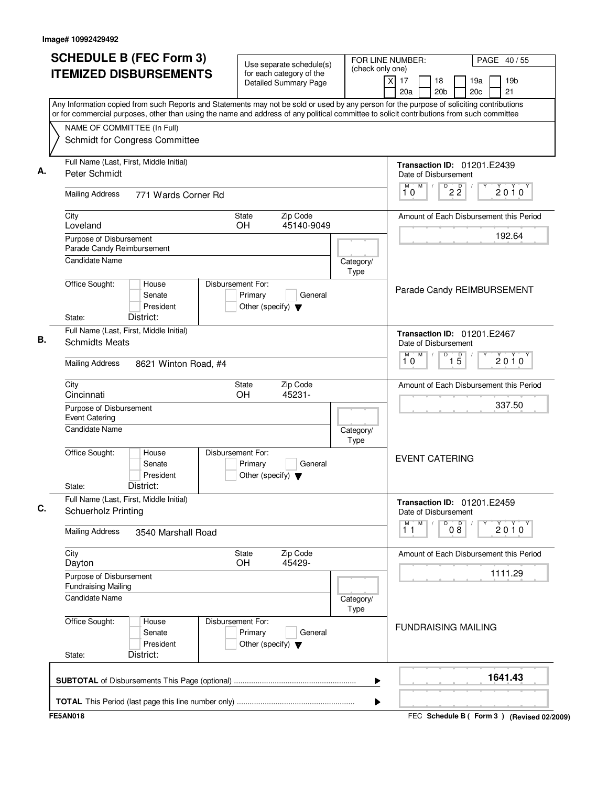| <b>SCHEDULE B (FEC Form 3)</b>                                                                                                                                                                                                                                                         | Use separate schedule(s)                                                        | FOR LINE NUMBER:  |                                                            | PAGE 40/55            |
|----------------------------------------------------------------------------------------------------------------------------------------------------------------------------------------------------------------------------------------------------------------------------------------|---------------------------------------------------------------------------------|-------------------|------------------------------------------------------------|-----------------------|
| <b>ITEMIZED DISBURSEMENTS</b>                                                                                                                                                                                                                                                          | for each category of the<br>Detailed Summary Page                               | (check only one)  | x<br>17<br>18<br>19a<br>20c<br>20a<br>20 <sub>b</sub>      | 19 <sub>b</sub><br>21 |
| Any Information copied from such Reports and Statements may not be sold or used by any person for the purpose of soliciting contributions<br>or for commercial purposes, other than using the name and address of any political committee to solicit contributions from such committee |                                                                                 |                   |                                                            |                       |
| NAME OF COMMITTEE (In Full)                                                                                                                                                                                                                                                            |                                                                                 |                   |                                                            |                       |
| Schmidt for Congress Committee                                                                                                                                                                                                                                                         |                                                                                 |                   |                                                            |                       |
| Full Name (Last, First, Middle Initial)<br>Peter Schmidt                                                                                                                                                                                                                               |                                                                                 |                   | <b>Transaction ID: 01201.E2439</b><br>Date of Disbursement |                       |
| <b>Mailing Address</b><br>771 Wards Corner Rd                                                                                                                                                                                                                                          |                                                                                 |                   | M<br>M<br>D<br>$\overline{2}$ $\overline{2}$<br>10         | 2010                  |
| City<br>Loveland                                                                                                                                                                                                                                                                       | Zip Code<br>State<br><b>OH</b><br>45140-9049                                    |                   | Amount of Each Disbursement this Period                    |                       |
| Purpose of Disbursement<br>Parade Candy Reimbursement                                                                                                                                                                                                                                  |                                                                                 |                   |                                                            | 192.64                |
| <b>Candidate Name</b>                                                                                                                                                                                                                                                                  |                                                                                 | Category/<br>Type |                                                            |                       |
| Office Sought:<br>House<br>Senate<br>President<br>District:<br>State:                                                                                                                                                                                                                  | Disbursement For:<br>Primary<br>General<br>Other (specify) $\blacktriangledown$ |                   | Parade Candy REIMBURSEMENT                                 |                       |
| Full Name (Last, First, Middle Initial)                                                                                                                                                                                                                                                |                                                                                 |                   | <b>Transaction ID: 01201.E2467</b>                         |                       |
| <b>Schmidts Meats</b>                                                                                                                                                                                                                                                                  |                                                                                 |                   | Date of Disbursement<br>M<br>M<br>D                        |                       |
| <b>Mailing Address</b><br>8621 Winton Road, #4                                                                                                                                                                                                                                         |                                                                                 |                   | $\overline{15}$<br>10                                      | $2010^y$              |
| City<br>Cincinnati                                                                                                                                                                                                                                                                     | Zip Code<br>State<br>OH<br>45231-                                               |                   | Amount of Each Disbursement this Period                    |                       |
| Purpose of Disbursement<br><b>Event Catering</b>                                                                                                                                                                                                                                       |                                                                                 |                   |                                                            | 337.50                |
| <b>Candidate Name</b>                                                                                                                                                                                                                                                                  |                                                                                 | Category/<br>Type |                                                            |                       |
| Office Sought:<br>House<br>Senate<br>President<br>District:<br>State:                                                                                                                                                                                                                  | Disbursement For:<br>Primary<br>General<br>Other (specify) $\blacktriangledown$ |                   | <b>EVENT CATERING</b>                                      |                       |
| Full Name (Last, First, Middle Initial)<br><b>Schuerholz Printing</b>                                                                                                                                                                                                                  |                                                                                 |                   | <b>Transaction ID: 01201.E2459</b><br>Date of Disbursement |                       |
| <b>Mailing Address</b><br>3540 Marshall Road                                                                                                                                                                                                                                           |                                                                                 |                   | M<br>M<br>D<br>08<br>11                                    | $2010^y$              |
| City<br>Dayton                                                                                                                                                                                                                                                                         | Zip Code<br>State<br>45429-<br><b>OH</b>                                        |                   | Amount of Each Disbursement this Period                    |                       |
| Purpose of Disbursement<br><b>Fundraising Mailing</b>                                                                                                                                                                                                                                  |                                                                                 |                   |                                                            | 1111.29               |
| <b>Candidate Name</b>                                                                                                                                                                                                                                                                  |                                                                                 | Category/<br>Type |                                                            |                       |
| Office Sought:<br>House<br>Senate<br>President<br>District:<br>State:                                                                                                                                                                                                                  | Disbursement For:<br>Primary<br>General<br>Other (specify) $\blacktriangledown$ |                   | <b>FUNDRAISING MAILING</b>                                 |                       |
|                                                                                                                                                                                                                                                                                        |                                                                                 | ▶                 |                                                            | 1641.43               |
|                                                                                                                                                                                                                                                                                        |                                                                                 | ▶                 |                                                            |                       |
| <b>FE5AN018</b>                                                                                                                                                                                                                                                                        |                                                                                 |                   | FEC Schedule B ( Form 3 ) (Revised 02/2009)                |                       |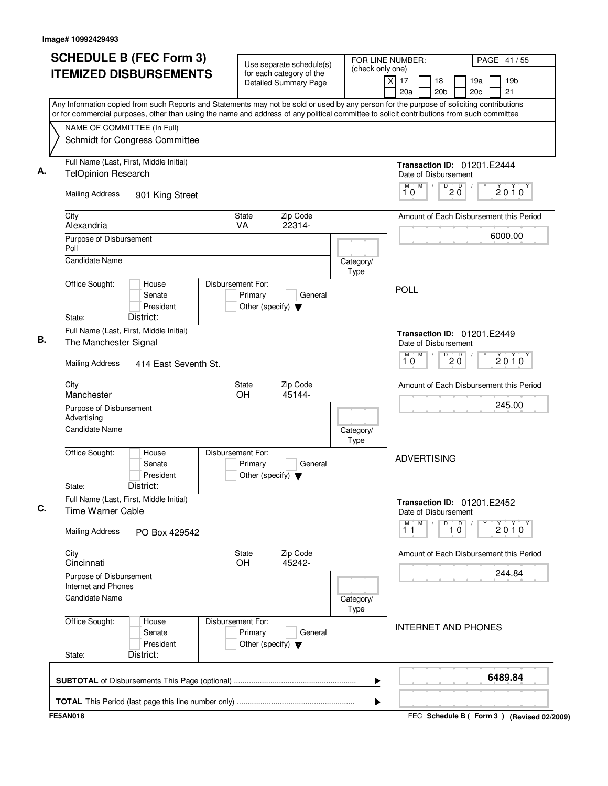| <b>SCHEDULE B (FEC Form 3)</b>                                                                                                                                                                                                                                                         | Use separate schedule(s)                                                        |                   | FOR LINE NUMBER:<br>PAGE 41/55                                                 |
|----------------------------------------------------------------------------------------------------------------------------------------------------------------------------------------------------------------------------------------------------------------------------------------|---------------------------------------------------------------------------------|-------------------|--------------------------------------------------------------------------------|
| <b>ITEMIZED DISBURSEMENTS</b>                                                                                                                                                                                                                                                          | for each category of the<br>Detailed Summary Page                               | (check only one)  | 19 <sub>b</sub><br>x<br>17<br>18<br>19a<br>20a<br>20c<br>21<br>20 <sub>b</sub> |
| Any Information copied from such Reports and Statements may not be sold or used by any person for the purpose of soliciting contributions<br>or for commercial purposes, other than using the name and address of any political committee to solicit contributions from such committee |                                                                                 |                   |                                                                                |
| NAME OF COMMITTEE (In Full)<br>Schmidt for Congress Committee                                                                                                                                                                                                                          |                                                                                 |                   |                                                                                |
| Full Name (Last, First, Middle Initial)<br><b>TelOpinion Research</b>                                                                                                                                                                                                                  |                                                                                 |                   | <b>Transaction ID: 01201.E2444</b><br>Date of Disbursement                     |
| <b>Mailing Address</b><br>901 King Street                                                                                                                                                                                                                                              |                                                                                 |                   | M<br>D<br>M<br>D<br>2010<br>2 Ŏ<br>10                                          |
| City<br>Alexandria                                                                                                                                                                                                                                                                     | Zip Code<br>State<br>22314-<br>VA                                               |                   | Amount of Each Disbursement this Period                                        |
| Purpose of Disbursement<br>Poll<br><b>Candidate Name</b>                                                                                                                                                                                                                               |                                                                                 |                   | 6000.00                                                                        |
| Office Sought:<br>House<br>Senate                                                                                                                                                                                                                                                      | Disbursement For:<br>Primary<br>General                                         | Category/<br>Type | POLL                                                                           |
| President<br>District:<br>State:                                                                                                                                                                                                                                                       | Other (specify) $\blacktriangledown$                                            |                   |                                                                                |
| Full Name (Last, First, Middle Initial)<br>The Manchester Signal                                                                                                                                                                                                                       |                                                                                 |                   | <b>Transaction ID: 01201.E2449</b><br>Date of Disbursement<br>M<br>D<br>М<br>D |
| <b>Mailing Address</b><br>414 East Seventh St.                                                                                                                                                                                                                                         |                                                                                 |                   | $2010^y$<br>2 Ŏ<br>10                                                          |
| City<br>Manchester                                                                                                                                                                                                                                                                     | Zip Code<br>State<br>OH<br>45144-                                               |                   | Amount of Each Disbursement this Period                                        |
| Purpose of Disbursement<br>Advertising                                                                                                                                                                                                                                                 |                                                                                 |                   | 245.00                                                                         |
| <b>Candidate Name</b>                                                                                                                                                                                                                                                                  |                                                                                 | Category/<br>Type |                                                                                |
| Office Sought:<br>House<br>Senate<br>President<br>District:<br>State:                                                                                                                                                                                                                  | Disbursement For:<br>Primary<br>General<br>Other (specify) $\blacktriangledown$ |                   | <b>ADVERTISING</b>                                                             |
| Full Name (Last, First, Middle Initial)<br>Time Warner Cable                                                                                                                                                                                                                           |                                                                                 |                   | <b>Transaction ID: 01201.E2452</b><br>Date of Disbursement                     |
| <b>Mailing Address</b><br>PO Box 429542                                                                                                                                                                                                                                                |                                                                                 |                   | $M$ .<br>M<br>$\overline{10}$<br>$2010^y$<br>11                                |
| City<br>Cincinnati                                                                                                                                                                                                                                                                     | Zip Code<br>State<br><b>OH</b><br>45242-                                        |                   | Amount of Each Disbursement this Period                                        |
| Purpose of Disbursement<br>Internet and Phones                                                                                                                                                                                                                                         |                                                                                 |                   | 244.84                                                                         |
| Candidate Name                                                                                                                                                                                                                                                                         |                                                                                 | Category/<br>Type |                                                                                |
| Office Sought:<br>House<br>Senate<br>President<br>District:<br>State:                                                                                                                                                                                                                  | Disbursement For:<br>Primary<br>General<br>Other (specify) $\blacktriangledown$ |                   | <b>INTERNET AND PHONES</b>                                                     |
|                                                                                                                                                                                                                                                                                        |                                                                                 |                   |                                                                                |
|                                                                                                                                                                                                                                                                                        |                                                                                 | ▶                 | 6489.84                                                                        |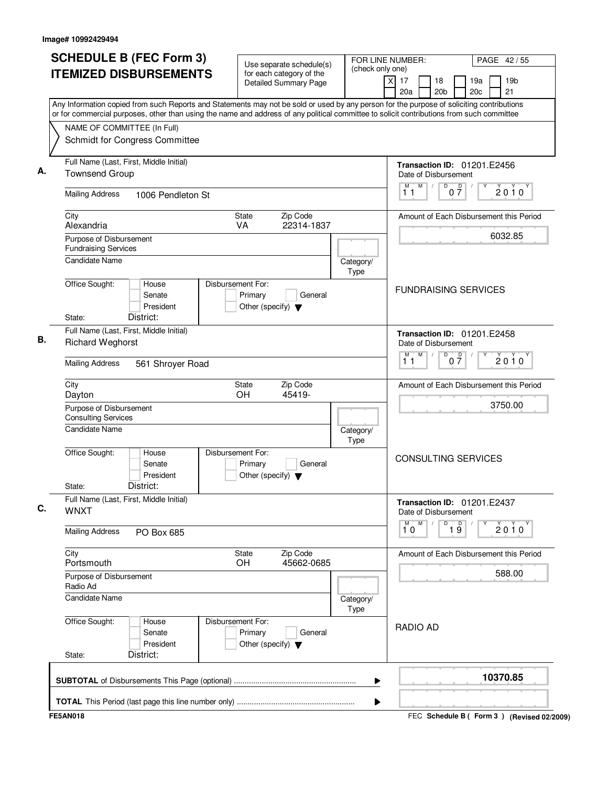| <b>SCHEDULE B (FEC Form 3)</b>                                                                                                                                                                                                                                                         | Use separate schedule(s)                                                        | FOR LINE NUMBER:  | PAGE 42/55                                                                     |
|----------------------------------------------------------------------------------------------------------------------------------------------------------------------------------------------------------------------------------------------------------------------------------------|---------------------------------------------------------------------------------|-------------------|--------------------------------------------------------------------------------|
| <b>ITEMIZED DISBURSEMENTS</b>                                                                                                                                                                                                                                                          | for each category of the<br>Detailed Summary Page                               | (check only one)  | 19 <sub>b</sub><br>x<br>17<br>18<br>19a<br>20a<br>20c<br>21<br>20 <sub>b</sub> |
| Any Information copied from such Reports and Statements may not be sold or used by any person for the purpose of soliciting contributions<br>or for commercial purposes, other than using the name and address of any political committee to solicit contributions from such committee |                                                                                 |                   |                                                                                |
| NAME OF COMMITTEE (In Full)<br>Schmidt for Congress Committee                                                                                                                                                                                                                          |                                                                                 |                   |                                                                                |
| Full Name (Last, First, Middle Initial)<br><b>Townsend Group</b>                                                                                                                                                                                                                       |                                                                                 |                   | <b>Transaction ID: 01201.E2456</b><br>Date of Disbursement                     |
| <b>Mailing Address</b><br>1006 Pendleton St                                                                                                                                                                                                                                            |                                                                                 |                   | $M$ /<br>$0\overline{7}$<br>М<br>D<br>2010<br>11                               |
| City<br>Alexandria                                                                                                                                                                                                                                                                     | Zip Code<br>State<br>VA<br>22314-1837                                           |                   | Amount of Each Disbursement this Period                                        |
| Purpose of Disbursement<br><b>Fundraising Services</b><br><b>Candidate Name</b>                                                                                                                                                                                                        |                                                                                 |                   | 6032.85                                                                        |
| Office Sought:<br>House                                                                                                                                                                                                                                                                | Disbursement For:                                                               | Category/<br>Type |                                                                                |
| Senate<br>President<br>District:<br>State:                                                                                                                                                                                                                                             | Primary<br>General<br>Other (specify) $\blacktriangledown$                      |                   | <b>FUNDRAISING SERVICES</b>                                                    |
| Full Name (Last, First, Middle Initial)<br><b>Richard Weghorst</b>                                                                                                                                                                                                                     |                                                                                 |                   | <b>Transaction ID: 01201.E2458</b><br>Date of Disbursement                     |
| <b>Mailing Address</b><br>561 Shroyer Road                                                                                                                                                                                                                                             |                                                                                 |                   | M<br>M<br>D<br>$0\overline{7}$<br>$2010^y$<br>11                               |
| City<br>Dayton                                                                                                                                                                                                                                                                         | Zip Code<br>State<br>OH<br>45419-                                               |                   | Amount of Each Disbursement this Period                                        |
| Purpose of Disbursement<br><b>Consulting Services</b>                                                                                                                                                                                                                                  |                                                                                 |                   | 3750.00                                                                        |
| <b>Candidate Name</b>                                                                                                                                                                                                                                                                  |                                                                                 | Category/<br>Type |                                                                                |
| Office Sought:<br>House<br>Senate<br>President<br>District:<br>State:                                                                                                                                                                                                                  | Disbursement For:<br>Primary<br>General<br>Other (specify) $\blacktriangledown$ |                   | <b>CONSULTING SERVICES</b>                                                     |
| Full Name (Last, First, Middle Initial)<br><b>WNXT</b>                                                                                                                                                                                                                                 |                                                                                 |                   | <b>Transaction ID: 01201.E2437</b><br>Date of Disbursement                     |
| <b>Mailing Address</b><br>PO Box 685                                                                                                                                                                                                                                                   |                                                                                 |                   | M.<br>M<br>D<br>$\overline{19}$<br>2010<br>10                                  |
| City<br>Portsmouth                                                                                                                                                                                                                                                                     | Zip Code<br>State<br>45662-0685<br><b>OH</b>                                    |                   | Amount of Each Disbursement this Period                                        |
| Purpose of Disbursement<br>Radio Ad                                                                                                                                                                                                                                                    |                                                                                 |                   | 588.00                                                                         |
| <b>Candidate Name</b>                                                                                                                                                                                                                                                                  |                                                                                 | Category/<br>Type |                                                                                |
| Office Sought:<br>House<br>Senate<br>President<br>District:<br>State:                                                                                                                                                                                                                  | Disbursement For:<br>Primary<br>General<br>Other (specify) $\blacktriangledown$ |                   | <b>RADIO AD</b>                                                                |
|                                                                                                                                                                                                                                                                                        |                                                                                 | ▶                 | 10370.85                                                                       |
|                                                                                                                                                                                                                                                                                        |                                                                                 | ▶                 |                                                                                |
| <b>FE5AN018</b>                                                                                                                                                                                                                                                                        |                                                                                 |                   | FEC Schedule B ( Form 3 ) (Revised 02/2009)                                    |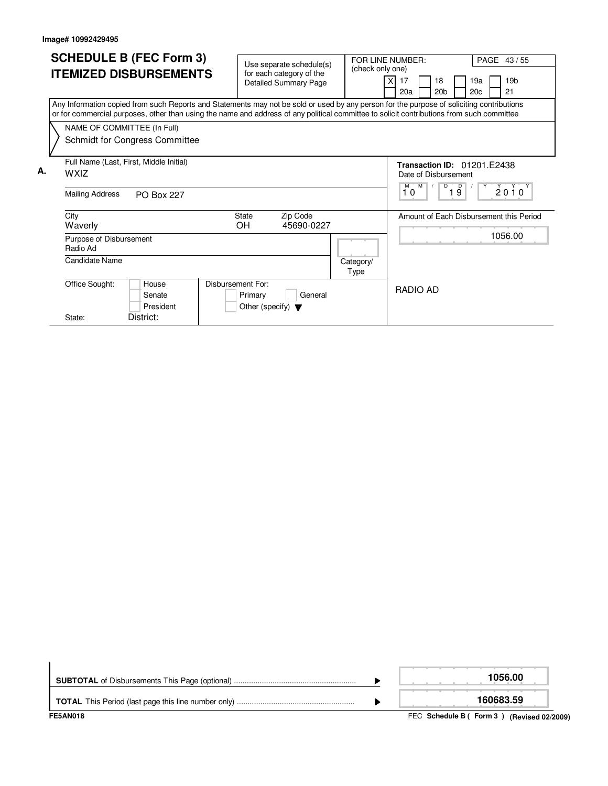|    | <b>SCHEDULE B (FEC Form 3)</b>                                                                                                                                                                                                                                                         | Use separate schedule(s)<br>(check only one)                                    |                   | FOR LINE NUMBER:<br>PAGE 43/55                                                                    |  |  |  |  |  |
|----|----------------------------------------------------------------------------------------------------------------------------------------------------------------------------------------------------------------------------------------------------------------------------------------|---------------------------------------------------------------------------------|-------------------|---------------------------------------------------------------------------------------------------|--|--|--|--|--|
|    | <b>ITEMIZED DISBURSEMENTS</b>                                                                                                                                                                                                                                                          | for each category of the<br><b>Detailed Summary Page</b>                        |                   | 19 <sub>b</sub><br>19a<br>17<br>18<br>20 <sub>b</sub><br>20c<br>21<br>20a                         |  |  |  |  |  |
|    | Any Information copied from such Reports and Statements may not be sold or used by any person for the purpose of soliciting contributions<br>or for commercial purposes, other than using the name and address of any political committee to solicit contributions from such committee |                                                                                 |                   |                                                                                                   |  |  |  |  |  |
|    | NAME OF COMMITTEE (In Full)<br>Schmidt for Congress Committee                                                                                                                                                                                                                          |                                                                                 |                   |                                                                                                   |  |  |  |  |  |
| А. | Full Name (Last, First, Middle Initial)<br><b>WXIZ</b>                                                                                                                                                                                                                                 |                                                                                 |                   | Transaction ID: 01201.E2438<br>Date of Disbursement<br>M<br>D<br>D<br>M <sup>-1</sup><br>$2010^y$ |  |  |  |  |  |
|    | Mailing Address<br><b>PO Box 227</b>                                                                                                                                                                                                                                                   |                                                                                 |                   | $1\overline{9}$<br>10                                                                             |  |  |  |  |  |
|    | City<br>Waverly                                                                                                                                                                                                                                                                        | <b>State</b><br>Zip Code<br><b>OH</b><br>45690-0227                             |                   | Amount of Each Disbursement this Period                                                           |  |  |  |  |  |
|    | Purpose of Disbursement<br>Radio Ad                                                                                                                                                                                                                                                    |                                                                                 |                   | 1056.00                                                                                           |  |  |  |  |  |
|    | Candidate Name                                                                                                                                                                                                                                                                         |                                                                                 | Category/<br>Type |                                                                                                   |  |  |  |  |  |
|    | Office Sought:<br>House<br>Senate<br>President                                                                                                                                                                                                                                         | Disbursement For:<br>Primary<br>General<br>Other (specify) $\blacktriangledown$ |                   | RADIO AD                                                                                          |  |  |  |  |  |
|    | District:<br>State:                                                                                                                                                                                                                                                                    |                                                                                 |                   |                                                                                                   |  |  |  |  |  |

| <b>FE5AN018</b> | FEC Schedule B (Form 3) (Revised 02/2009) |
|-----------------|-------------------------------------------|
|                 | 160683.59                                 |
|                 | 1056.00                                   |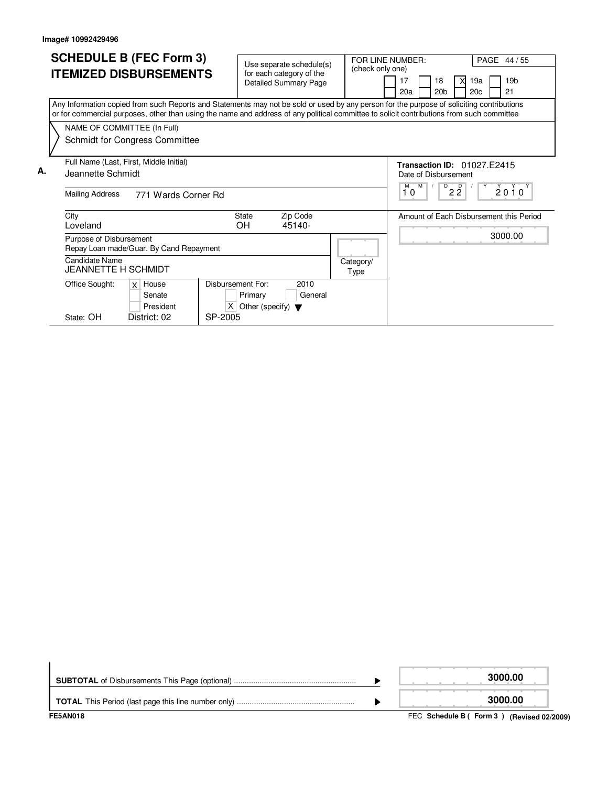|    | <b>SCHEDULE B (FEC Form 3)</b>                                                                                                                                                                                                                                                         | Use separate schedule(s)                                                  |                    | FOR LINE NUMBER:<br>(check only one) |         |                           |                           |                                    |            | PAGE 44 / 55                            |
|----|----------------------------------------------------------------------------------------------------------------------------------------------------------------------------------------------------------------------------------------------------------------------------------------|---------------------------------------------------------------------------|--------------------|--------------------------------------|---------|---------------------------|---------------------------|------------------------------------|------------|-----------------------------------------|
|    | <b>ITEMIZED DISBURSEMENTS</b>                                                                                                                                                                                                                                                          | for each category of the<br><b>Detailed Summary Page</b>                  |                    | 17<br>20a                            |         |                           | 20 <sub>b</sub>           | 19a<br>X<br>20 <sub>c</sub>        |            | 19 <sub>b</sub><br>21                   |
|    | Any Information copied from such Reports and Statements may not be sold or used by any person for the purpose of soliciting contributions<br>or for commercial purposes, other than using the name and address of any political committee to solicit contributions from such committee |                                                                           |                    |                                      |         |                           |                           |                                    |            |                                         |
|    | NAME OF COMMITTEE (In Full)<br>Schmidt for Congress Committee                                                                                                                                                                                                                          |                                                                           |                    |                                      |         |                           |                           |                                    |            |                                         |
| А. | Full Name (Last, First, Middle Initial)<br>Jeannette Schmidt<br><b>Mailing Address</b><br>771 Wards Corner Rd                                                                                                                                                                          |                                                                           |                    |                                      | м<br>10 | Date of Disbursement<br>M | D<br>$\overline{D}$<br>22 | <b>Transaction ID: 01027 F2415</b> | $Y^{\sim}$ | $2010^y$                                |
|    | City<br>Loveland                                                                                                                                                                                                                                                                       | <b>State</b><br>ΟH                                                        | Zip Code<br>45140- |                                      |         |                           |                           |                                    |            | Amount of Each Disbursement this Period |
|    | Purpose of Disbursement<br>Repay Loan made/Guar. By Cand Repayment                                                                                                                                                                                                                     |                                                                           |                    |                                      |         |                           |                           |                                    |            | 3000.00                                 |
|    | Candidate Name<br><b>JEANNETTE H SCHMIDT</b>                                                                                                                                                                                                                                           |                                                                           |                    | Category/<br>Type                    |         |                           |                           |                                    |            |                                         |
|    | Office Sought:<br>$x$ House<br>Senate<br>President                                                                                                                                                                                                                                     | Disbursement For:<br>Primary<br>X<br>Other (specify) $\blacktriangledown$ | 2010<br>General    |                                      |         |                           |                           |                                    |            |                                         |
|    | State: OH<br>District: 02                                                                                                                                                                                                                                                              | SP-2005                                                                   |                    |                                      |         |                           |                           |                                    |            |                                         |

| <b>FE5AN018</b> | FEC Schedule B (Form 3) (Revised 02/2009) |
|-----------------|-------------------------------------------|
|                 | 3000.00                                   |
|                 | 3000.00                                   |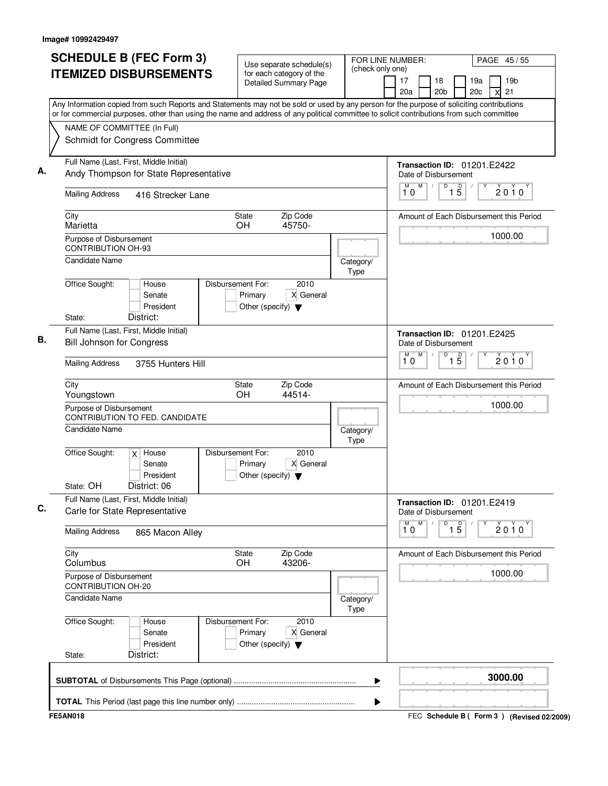|                                                      | <b>SCHEDULE B (FEC Form 3)</b>                                                    |                                                                      | Use separate schedule(s)                                 |                   | FOR LINE NUMBER:<br>PAGE 45 / 55                                                                                                                                                                                                                                                       |
|------------------------------------------------------|-----------------------------------------------------------------------------------|----------------------------------------------------------------------|----------------------------------------------------------|-------------------|----------------------------------------------------------------------------------------------------------------------------------------------------------------------------------------------------------------------------------------------------------------------------------------|
|                                                      | <b>ITEMIZED DISBURSEMENTS</b>                                                     |                                                                      | for each category of the<br><b>Detailed Summary Page</b> | (check only one)  | 19 <sub>b</sub><br>17<br>18<br>19a<br>20a<br>20 <sub>b</sub><br>20c<br>21<br>X                                                                                                                                                                                                         |
|                                                      |                                                                                   |                                                                      |                                                          |                   | Any Information copied from such Reports and Statements may not be sold or used by any person for the purpose of soliciting contributions<br>or for commercial purposes, other than using the name and address of any political committee to solicit contributions from such committee |
|                                                      | NAME OF COMMITTEE (In Full)                                                       |                                                                      |                                                          |                   |                                                                                                                                                                                                                                                                                        |
|                                                      | Schmidt for Congress Committee                                                    |                                                                      |                                                          |                   |                                                                                                                                                                                                                                                                                        |
|                                                      | Full Name (Last, First, Middle Initial)<br>Andy Thompson for State Representative |                                                                      |                                                          |                   | Transaction ID: 01201.E2422<br>Date of Disbursement                                                                                                                                                                                                                                    |
| <b>Mailing Address</b>                               | 416 Strecker Lane                                                                 |                                                                      |                                                          |                   | M<br>D<br>M<br>$\overline{1\phantom{1}5}$<br>2010<br>10                                                                                                                                                                                                                                |
| City<br>Marietta                                     |                                                                                   | State<br>OH.                                                         | Zip Code<br>45750-                                       |                   | Amount of Each Disbursement this Period                                                                                                                                                                                                                                                |
| Purpose of Disbursement<br><b>CONTRIBUTION OH-93</b> |                                                                                   |                                                                      |                                                          |                   | 1000.00                                                                                                                                                                                                                                                                                |
| <b>Candidate Name</b>                                |                                                                                   |                                                                      |                                                          | Category/<br>Type |                                                                                                                                                                                                                                                                                        |
| Office Sought:                                       | House<br>Senate<br>President                                                      | Disbursement For:<br>Primary<br>Other (specify) $\blacktriangledown$ | 2010<br>X General                                        |                   |                                                                                                                                                                                                                                                                                        |
| State:                                               | District:                                                                         |                                                                      |                                                          |                   |                                                                                                                                                                                                                                                                                        |
|                                                      | Full Name (Last, First, Middle Initial)<br><b>Bill Johnson for Congress</b>       |                                                                      |                                                          |                   | <b>Transaction ID: 01201.E2425</b><br>Date of Disbursement                                                                                                                                                                                                                             |
| <b>Mailing Address</b>                               | 3755 Hunters Hill                                                                 |                                                                      |                                                          |                   | D<br>$\overline{5}$<br>M<br>M<br>Υ<br>$2010^y$<br>10<br>$\mathbf{1}$                                                                                                                                                                                                                   |
| City<br>Youngstown                                   |                                                                                   | State<br>OH                                                          | Zip Code<br>44514-                                       |                   | Amount of Each Disbursement this Period                                                                                                                                                                                                                                                |
| Purpose of Disbursement                              | CONTRIBUTION TO FED. CANDIDATE                                                    |                                                                      |                                                          |                   | 1000.00                                                                                                                                                                                                                                                                                |
| Candidate Name                                       |                                                                                   |                                                                      |                                                          | Category/<br>Type |                                                                                                                                                                                                                                                                                        |
| Office Sought:                                       | $x$ House<br>Senate<br>President                                                  | Disbursement For:<br>Primary<br>Other (specify) $\blacktriangledown$ | 2010<br>X General                                        |                   |                                                                                                                                                                                                                                                                                        |
| State: OH                                            | District: 06<br>Full Name (Last, First, Middle Initial)                           |                                                                      |                                                          |                   |                                                                                                                                                                                                                                                                                        |
|                                                      | Carle for State Representative                                                    |                                                                      |                                                          |                   | <b>Transaction ID: 01201.E2419</b><br>Date of Disbursement<br>M<br>M<br>D                                                                                                                                                                                                              |
| <b>Mailing Address</b>                               | 865 Macon Alley                                                                   |                                                                      |                                                          |                   | $\overline{1\,5}$<br>$2010^y$<br>10                                                                                                                                                                                                                                                    |
| City<br>Columbus                                     |                                                                                   | State<br>OH                                                          | Zip Code<br>43206-                                       |                   | Amount of Each Disbursement this Period                                                                                                                                                                                                                                                |
| Purpose of Disbursement<br><b>CONTRIBUTION OH-20</b> |                                                                                   |                                                                      |                                                          |                   | 1000.00                                                                                                                                                                                                                                                                                |
| <b>Candidate Name</b>                                |                                                                                   |                                                                      |                                                          | Category/<br>Type |                                                                                                                                                                                                                                                                                        |
| Office Sought:                                       | House<br>Senate<br>President                                                      | Disbursement For:<br>Primary<br>Other (specify) $\blacktriangledown$ | 2010<br>X General                                        |                   |                                                                                                                                                                                                                                                                                        |
| State:                                               | District:                                                                         |                                                                      |                                                          |                   |                                                                                                                                                                                                                                                                                        |
|                                                      |                                                                                   |                                                                      |                                                          | ▶                 | 3000.00                                                                                                                                                                                                                                                                                |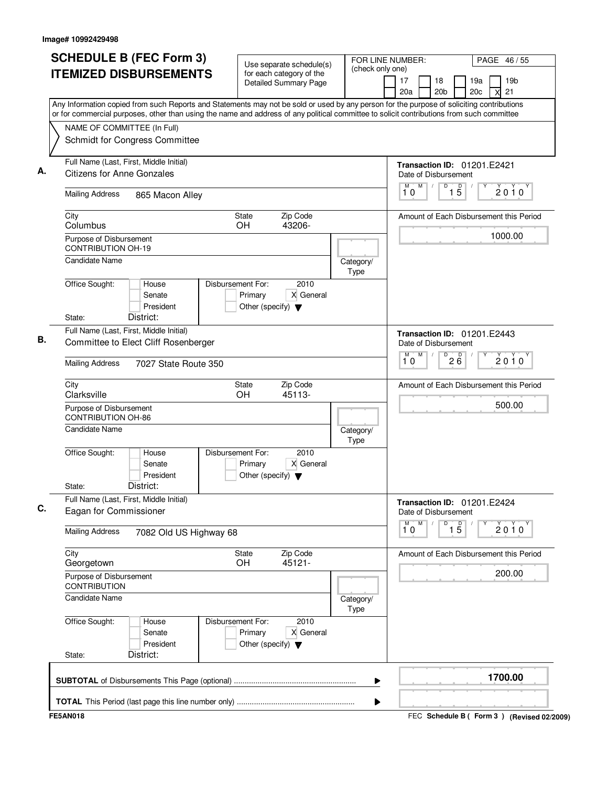| <b>SCHEDULE B (FEC Form 3)</b>                                                                                                                                                                                                                                                         | Use separate schedule(s)                                                                  | FOR LINE NUMBER:<br>(check only one) |                                                     |                            |            | PAGE 46/55                              |
|----------------------------------------------------------------------------------------------------------------------------------------------------------------------------------------------------------------------------------------------------------------------------------------|-------------------------------------------------------------------------------------------|--------------------------------------|-----------------------------------------------------|----------------------------|------------|-----------------------------------------|
| <b>ITEMIZED DISBURSEMENTS</b>                                                                                                                                                                                                                                                          | for each category of the<br><b>Detailed Summary Page</b>                                  |                                      | 17<br>20a                                           | 18<br>20 <sub>b</sub>      | 19a<br>20c | 19 <sub>b</sub><br>21<br>X              |
| Any Information copied from such Reports and Statements may not be sold or used by any person for the purpose of soliciting contributions<br>or for commercial purposes, other than using the name and address of any political committee to solicit contributions from such committee |                                                                                           |                                      |                                                     |                            |            |                                         |
| NAME OF COMMITTEE (In Full)<br>Schmidt for Congress Committee                                                                                                                                                                                                                          |                                                                                           |                                      |                                                     |                            |            |                                         |
| Full Name (Last, First, Middle Initial)                                                                                                                                                                                                                                                |                                                                                           |                                      | Transaction ID: 01201.E2421                         |                            |            |                                         |
| <b>Citizens for Anne Gonzales</b>                                                                                                                                                                                                                                                      |                                                                                           |                                      | Date of Disbursement<br>M<br>M<br>$\sqrt{ }$        | $\overline{D}$             |            |                                         |
| <b>Mailing Address</b><br>865 Macon Alley                                                                                                                                                                                                                                              |                                                                                           |                                      | 10                                                  | $\overline{1\phantom{1}5}$ |            | $2010^y$                                |
| City<br>Columbus                                                                                                                                                                                                                                                                       | Zip Code<br><b>State</b><br>OH<br>43206-                                                  |                                      |                                                     |                            |            | Amount of Each Disbursement this Period |
| Purpose of Disbursement<br><b>CONTRIBUTION OH-19</b>                                                                                                                                                                                                                                   |                                                                                           |                                      |                                                     |                            |            | 1000.00                                 |
| <b>Candidate Name</b>                                                                                                                                                                                                                                                                  |                                                                                           | Category/<br>Type                    |                                                     |                            |            |                                         |
| Office Sought:<br>House<br>Senate<br>President                                                                                                                                                                                                                                         | Disbursement For:<br>2010<br>X General<br>Primary<br>Other (specify) $\blacktriangledown$ |                                      |                                                     |                            |            |                                         |
| District:<br>State:<br>Full Name (Last, First, Middle Initial)<br>Committee to Elect Cliff Rosenberger                                                                                                                                                                                 |                                                                                           |                                      | Transaction ID: 01201.E2443<br>Date of Disbursement |                            |            |                                         |
| <b>Mailing Address</b><br>7027 State Route 350                                                                                                                                                                                                                                         |                                                                                           |                                      | M<br>М<br>10                                        | D<br>26                    |            | 2010                                    |
| City<br>Clarksville                                                                                                                                                                                                                                                                    | Zip Code<br>State<br>OH<br>45113-                                                         |                                      |                                                     |                            |            | Amount of Each Disbursement this Period |
| Purpose of Disbursement<br><b>CONTRIBUTION OH-86</b>                                                                                                                                                                                                                                   |                                                                                           |                                      |                                                     |                            |            | 500.00                                  |
| <b>Candidate Name</b>                                                                                                                                                                                                                                                                  |                                                                                           | Category/<br>Type                    |                                                     |                            |            |                                         |
| Office Sought:<br>House<br>Senate<br>President<br>District:<br>State:                                                                                                                                                                                                                  | Disbursement For:<br>2010<br>X General<br>Primary<br>Other (specify) $\blacktriangledown$ |                                      |                                                     |                            |            |                                         |
| Full Name (Last, First, Middle Initial)<br>Eagan for Commissioner                                                                                                                                                                                                                      |                                                                                           |                                      | Transaction ID: 01201.E2424<br>Date of Disbursement |                            |            |                                         |
| <b>Mailing Address</b><br>7082 Old US Highway 68                                                                                                                                                                                                                                       |                                                                                           |                                      | M<br>M<br>10                                        | D<br>$\overline{1\,5}$     |            | $2010^y$                                |
| City<br>Georgetown                                                                                                                                                                                                                                                                     | Zip Code<br>State<br>45121-<br>OH.                                                        |                                      |                                                     |                            |            | Amount of Each Disbursement this Period |
| Purpose of Disbursement<br><b>CONTRIBUTION</b>                                                                                                                                                                                                                                         |                                                                                           |                                      |                                                     |                            |            | 200.00                                  |
| <b>Candidate Name</b>                                                                                                                                                                                                                                                                  |                                                                                           | Category/<br>Type                    |                                                     |                            |            |                                         |
| Office Sought:<br>House                                                                                                                                                                                                                                                                | 2010<br>Disbursement For:<br>Primary<br>X General                                         |                                      |                                                     |                            |            |                                         |
| Senate<br>President                                                                                                                                                                                                                                                                    | Other (specify) $\blacktriangledown$                                                      |                                      |                                                     |                            |            |                                         |
| District:<br>State:                                                                                                                                                                                                                                                                    |                                                                                           | ▶                                    |                                                     |                            |            | 1700.00                                 |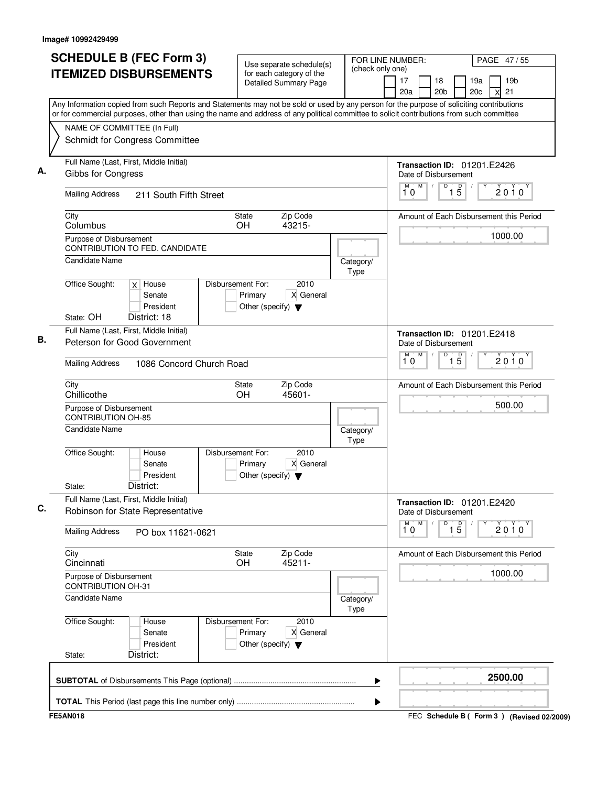|                          | <b>SCHEDULE B (FEC Form 3)</b>                                               |                                                                                           |                   | FOR LINE NUMBER:<br>PAGE 47/55                                                                                                            |
|--------------------------|------------------------------------------------------------------------------|-------------------------------------------------------------------------------------------|-------------------|-------------------------------------------------------------------------------------------------------------------------------------------|
|                          | <b>ITEMIZED DISBURSEMENTS</b>                                                | Use separate schedule(s)<br>for each category of the                                      | (check only one)  |                                                                                                                                           |
|                          |                                                                              | <b>Detailed Summary Page</b>                                                              |                   | 17<br>19 <sub>b</sub><br>18<br>19a<br>21<br>20a<br>20 <sub>b</sub><br>20 <sub>c</sub><br>X                                                |
|                          |                                                                              |                                                                                           |                   | Any Information copied from such Reports and Statements may not be sold or used by any person for the purpose of soliciting contributions |
|                          |                                                                              |                                                                                           |                   | or for commercial purposes, other than using the name and address of any political committee to solicit contributions from such committee |
|                          | NAME OF COMMITTEE (In Full)                                                  |                                                                                           |                   |                                                                                                                                           |
|                          | Schmidt for Congress Committee                                               |                                                                                           |                   |                                                                                                                                           |
|                          | Full Name (Last, First, Middle Initial)<br>Gibbs for Congress                |                                                                                           |                   | <b>Transaction ID: 01201.E2426</b><br>Date of Disbursement                                                                                |
| <b>Mailing Address</b>   | 211 South Fifth Street                                                       |                                                                                           |                   | M<br>D<br>$\overline{1\phantom{1}5}$<br>М<br>$2010^y$<br>10                                                                               |
|                          |                                                                              |                                                                                           |                   |                                                                                                                                           |
| City<br>Columbus         |                                                                              | Zip Code<br><b>State</b><br>OH<br>43215-                                                  |                   | Amount of Each Disbursement this Period                                                                                                   |
|                          | Purpose of Disbursement                                                      |                                                                                           |                   | 1000.00                                                                                                                                   |
|                          | CONTRIBUTION TO FED. CANDIDATE                                               |                                                                                           |                   |                                                                                                                                           |
|                          | Candidate Name                                                               |                                                                                           | Category/<br>Type |                                                                                                                                           |
| Office Sought:           | $x$ House                                                                    | Disbursement For:<br>2010                                                                 |                   |                                                                                                                                           |
|                          | Senate                                                                       | X General<br>Primary                                                                      |                   |                                                                                                                                           |
| State: OH                | President<br>District: 18                                                    | Other (specify) $\blacktriangledown$                                                      |                   |                                                                                                                                           |
|                          | Full Name (Last, First, Middle Initial)                                      |                                                                                           |                   | <b>Transaction ID: 01201.E2418</b>                                                                                                        |
|                          | Peterson for Good Government                                                 |                                                                                           |                   | Date of Disbursement                                                                                                                      |
| <b>Mailing Address</b>   | 1086 Concord Church Road                                                     |                                                                                           |                   | M<br>D<br>м<br>$\overline{15}$<br>2010<br>10                                                                                              |
| City<br>Chillicothe      |                                                                              | Zip Code<br>State<br><b>OH</b><br>45601-                                                  |                   | Amount of Each Disbursement this Period                                                                                                   |
|                          | Purpose of Disbursement<br><b>CONTRIBUTION OH-85</b>                         |                                                                                           |                   | 500.00                                                                                                                                    |
|                          | Candidate Name                                                               |                                                                                           | Category/<br>Type |                                                                                                                                           |
| Office Sought:<br>State: | House<br>Senate<br>President<br>District:                                    | Disbursement For:<br>2010<br>X General<br>Primary<br>Other (specify) $\blacktriangledown$ |                   |                                                                                                                                           |
|                          | Full Name (Last, First, Middle Initial)<br>Robinson for State Representative |                                                                                           |                   | <b>Transaction ID: 01201.E2420</b><br>Date of Disbursement                                                                                |
| <b>Mailing Address</b>   | PO box 11621-0621                                                            |                                                                                           |                   | ${\sf M}$<br>M<br>D<br>$\overline{1\,5}$<br>$2010^y$<br>10                                                                                |
| City<br>Cincinnati       |                                                                              | Zip Code<br>State<br><b>OH</b><br>45211-                                                  |                   | Amount of Each Disbursement this Period                                                                                                   |
|                          | Purpose of Disbursement<br><b>CONTRIBUTION OH-31</b>                         |                                                                                           |                   | 1000.00                                                                                                                                   |
|                          | Candidate Name                                                               |                                                                                           | Category/<br>Type |                                                                                                                                           |
| Office Sought:           | House<br>Senate<br>President                                                 | Disbursement For:<br>2010<br>Primary<br>X General<br>Other (specify) $\blacktriangledown$ |                   |                                                                                                                                           |
| State:                   | District:                                                                    |                                                                                           |                   |                                                                                                                                           |
|                          |                                                                              |                                                                                           | ▶                 | 2500.00                                                                                                                                   |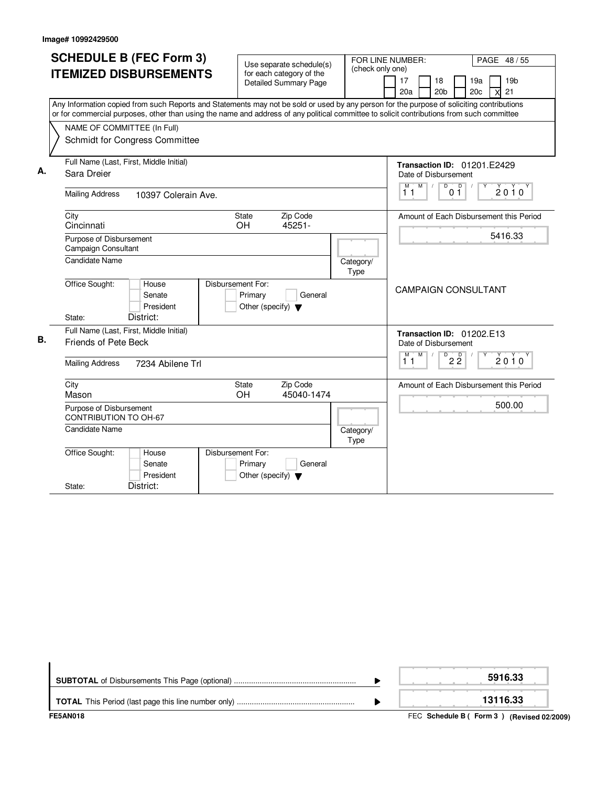|    | <b>SCHEDULE B (FEC Form 3)</b>                                                                                                            |                                                          |                  |                                                           |
|----|-------------------------------------------------------------------------------------------------------------------------------------------|----------------------------------------------------------|------------------|-----------------------------------------------------------|
|    |                                                                                                                                           | Use separate schedule(s)                                 | (check only one) | FOR LINE NUMBER:<br>PAGE 48 / 55                          |
|    | <b>ITEMIZED DISBURSEMENTS</b>                                                                                                             | for each category of the<br><b>Detailed Summary Page</b> |                  | 19 <sub>b</sub><br>17<br>19a<br>18                        |
|    |                                                                                                                                           |                                                          |                  | 20a<br>20 <sub>b</sub><br>20c<br>21                       |
|    | Any Information copied from such Reports and Statements may not be sold or used by any person for the purpose of soliciting contributions |                                                          |                  |                                                           |
|    | or for commercial purposes, other than using the name and address of any political committee to solicit contributions from such committee |                                                          |                  |                                                           |
|    | NAME OF COMMITTEE (In Full)                                                                                                               |                                                          |                  |                                                           |
|    | Schmidt for Congress Committee                                                                                                            |                                                          |                  |                                                           |
|    |                                                                                                                                           |                                                          |                  |                                                           |
|    | Full Name (Last, First, Middle Initial)                                                                                                   |                                                          |                  | Transaction ID: 01201.E2429                               |
| А. | Sara Dreier                                                                                                                               |                                                          |                  | Date of Disbursement                                      |
|    |                                                                                                                                           |                                                          |                  | $M$ $M$ /<br>$\overline{D}$<br>$\Box$<br>2010             |
|    | <b>Mailing Address</b><br>10397 Colerain Ave.                                                                                             |                                                          |                  | 11<br>01                                                  |
|    | City                                                                                                                                      | <b>State</b><br>Zip Code                                 |                  | Amount of Each Disbursement this Period                   |
|    | Cincinnati                                                                                                                                | OH<br>45251-                                             |                  |                                                           |
|    | Purpose of Disbursement                                                                                                                   |                                                          |                  | 5416.33                                                   |
|    | Campaign Consultant                                                                                                                       |                                                          |                  |                                                           |
|    | <b>Candidate Name</b>                                                                                                                     |                                                          | Category/        |                                                           |
|    |                                                                                                                                           |                                                          | Type             |                                                           |
|    | Office Sought:<br>House                                                                                                                   | Disbursement For:                                        |                  | <b>CAMPAIGN CONSULTANT</b>                                |
|    | Senate                                                                                                                                    | Primary<br>General                                       |                  |                                                           |
|    | President                                                                                                                                 | Other (specify) $\blacktriangledown$                     |                  |                                                           |
|    | District:<br>State:                                                                                                                       |                                                          |                  |                                                           |
|    | Full Name (Last, First, Middle Initial)                                                                                                   |                                                          |                  | Transaction ID: 01202.E13                                 |
| В. | Friends of Pete Beck                                                                                                                      |                                                          |                  | Date of Disbursement                                      |
|    | <b>Mailing Address</b>                                                                                                                    |                                                          |                  | M<br>$\overline{D}$<br>$2\overline{2}$<br>м<br>2010<br>11 |
|    | 7234 Abilene Trl                                                                                                                          |                                                          |                  |                                                           |
|    | City                                                                                                                                      | <b>State</b><br>Zip Code                                 |                  | Amount of Each Disbursement this Period                   |
|    | Mason                                                                                                                                     | 45040-1474<br><b>OH</b>                                  |                  |                                                           |
|    | Purpose of Disbursement                                                                                                                   |                                                          |                  | 500.00                                                    |
|    | <b>CONTRIBUTION TO OH-67</b>                                                                                                              |                                                          |                  |                                                           |
|    | <b>Candidate Name</b>                                                                                                                     |                                                          | Category/        |                                                           |
|    |                                                                                                                                           |                                                          | Type             |                                                           |
|    | Office Sought:<br>House                                                                                                                   | Disbursement For:                                        |                  |                                                           |
|    | Senate                                                                                                                                    | Primary<br>General                                       |                  |                                                           |
|    | President                                                                                                                                 | Other (specify) $\blacktriangledown$                     |                  |                                                           |
|    | District:<br>State:                                                                                                                       |                                                          |                  |                                                           |

| FE5AN018 | FEC Schedule B (Form 3) (Revised 02/2009) |
|----------|-------------------------------------------|
|          | 13116.33                                  |
|          | 5916.33                                   |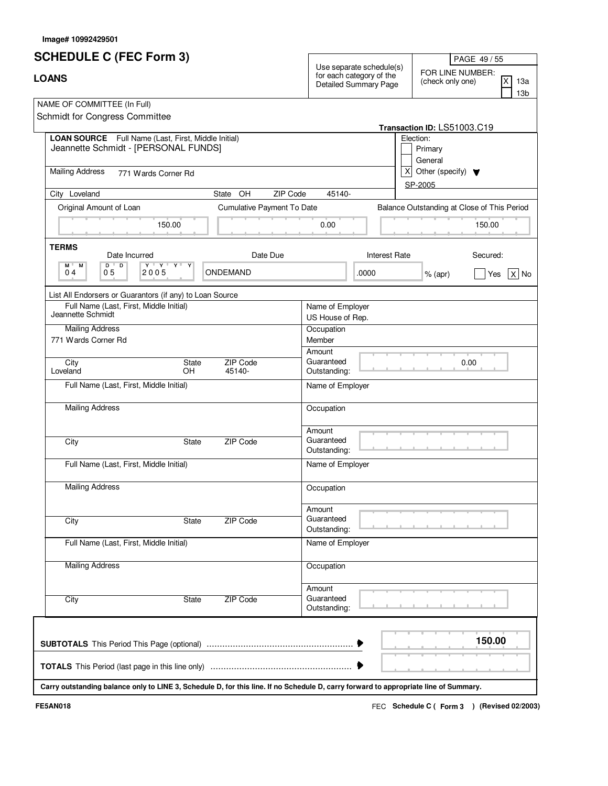|  | lmage# 10992429501 |
|--|--------------------|
|--|--------------------|

| <b>SCHEDULE C (FEC Form 3)</b>                                                                                                       |                            | Use separate schedule(s)             | PAGE 49 / 55                                                        |  |
|--------------------------------------------------------------------------------------------------------------------------------------|----------------------------|--------------------------------------|---------------------------------------------------------------------|--|
| <b>LOANS</b>                                                                                                                         |                            |                                      | FOR LINE NUMBER:<br>X<br>(check only one)<br>13a<br>13 <sub>b</sub> |  |
| NAME OF COMMITTEE (In Full)<br>Schmidt for Congress Committee                                                                        |                            |                                      |                                                                     |  |
| <b>LOAN SOURCE</b> Full Name (Last, First, Middle Initial)                                                                           |                            |                                      | Transaction ID: LS51003.C19<br>Election:                            |  |
| Jeannette Schmidt - [PERSONAL FUNDS]                                                                                                 |                            |                                      | Primary<br>General                                                  |  |
| <b>Mailing Address</b><br>771 Wards Corner Rd                                                                                        |                            |                                      | $\mathsf{x}$<br>Other (specify) $\blacktriangledown$<br>SP-2005     |  |
| City Loveland                                                                                                                        | ZIP Code<br>State OH       | 45140-                               |                                                                     |  |
| Original Amount of Loan                                                                                                              | Cumulative Payment To Date |                                      | Balance Outstanding at Close of This Period                         |  |
| 150.00                                                                                                                               |                            | 0.00                                 | 150.00                                                              |  |
| <b>TERMS</b><br>Date Incurred                                                                                                        | Date Due                   | <b>Interest Rate</b>                 | Secured:                                                            |  |
| $D$ <sup><math>\Box</math></sup><br>$\mathbf{Y} + \mathbf{Y} + \mathbf{Y} + \mathbf{X}$<br>M .<br>M<br>05<br>04<br>2005              | ONDEMAND                   | .0000                                | $ X $ No<br>$%$ (apr)<br>Yes                                        |  |
| List All Endorsers or Guarantors (if any) to Loan Source                                                                             |                            |                                      |                                                                     |  |
| Full Name (Last, First, Middle Initial)<br>Jeannette Schmidt                                                                         |                            | Name of Employer<br>US House of Rep. |                                                                     |  |
| <b>Mailing Address</b>                                                                                                               |                            | Occupation                           |                                                                     |  |
| 771 Wards Corner Rd                                                                                                                  |                            | Member                               |                                                                     |  |
|                                                                                                                                      | ZIP Code                   | Amount<br>Guaranteed                 |                                                                     |  |
| City<br>State<br>Loveland<br>OH                                                                                                      | 45140-                     | Outstanding:                         | 0.00                                                                |  |
| Full Name (Last, First, Middle Initial)                                                                                              |                            | Name of Employer                     |                                                                     |  |
| <b>Mailing Address</b>                                                                                                               |                            | Occupation                           |                                                                     |  |
| City<br>State                                                                                                                        | ZIP Code                   | Amount<br>Guaranteed<br>Outstanding: |                                                                     |  |
| Full Name (Last, First, Middle Initial)                                                                                              |                            | Name of Employer                     |                                                                     |  |
| <b>Mailing Address</b>                                                                                                               |                            | Occupation                           |                                                                     |  |
| City<br>State                                                                                                                        | <b>ZIP Code</b>            | Amount<br>Guaranteed<br>Outstanding: |                                                                     |  |
| Full Name (Last, First, Middle Initial)                                                                                              |                            | Name of Employer                     |                                                                     |  |
| <b>Mailing Address</b>                                                                                                               |                            | Occupation                           |                                                                     |  |
| City<br>State                                                                                                                        | <b>ZIP Code</b>            | Amount<br>Guaranteed<br>Outstanding: |                                                                     |  |
|                                                                                                                                      |                            |                                      | 150.00                                                              |  |
|                                                                                                                                      |                            |                                      |                                                                     |  |
| Carry outstanding balance only to LINE 3, Schedule D, for this line. If no Schedule D, carry forward to appropriate line of Summary. |                            |                                      |                                                                     |  |

FEC **Schedule C ( ) Form 3 FE5AN018 (Revised 02/2003)**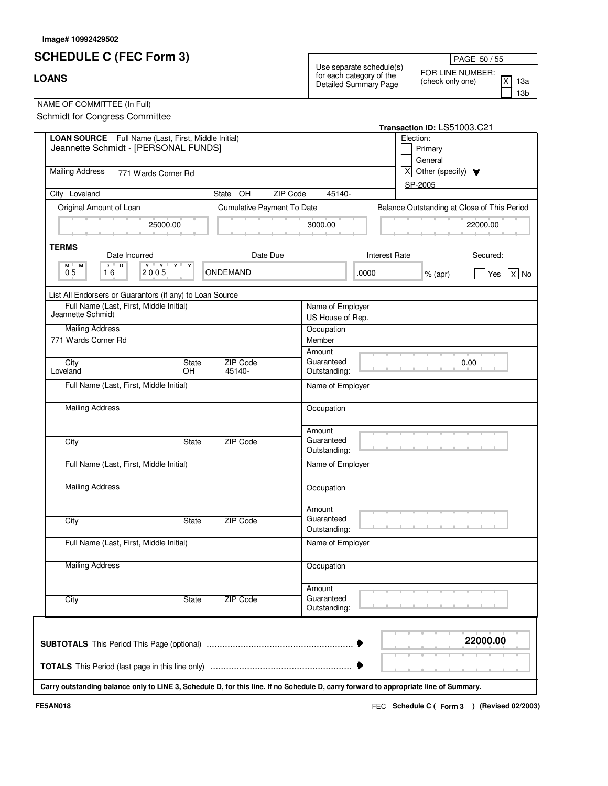|  | lmage# 10992429502 |  |
|--|--------------------|--|
|--|--------------------|--|

| <b>SCHEDULE C (FEC Form 3)</b>                                                                                                                       |                            | Use separate schedule(s)             | PAGE 50 / 55                                                        |  |
|------------------------------------------------------------------------------------------------------------------------------------------------------|----------------------------|--------------------------------------|---------------------------------------------------------------------|--|
| <b>LOANS</b>                                                                                                                                         |                            |                                      | FOR LINE NUMBER:<br>X<br>(check only one)<br>13a<br>13 <sub>b</sub> |  |
| NAME OF COMMITTEE (In Full)<br>Schmidt for Congress Committee                                                                                        |                            |                                      |                                                                     |  |
|                                                                                                                                                      |                            |                                      | Transaction ID: LS51003.C21                                         |  |
| <b>LOAN SOURCE</b> Full Name (Last, First, Middle Initial)<br>Jeannette Schmidt - [PERSONAL FUNDS]                                                   |                            |                                      | Election:<br>Primary<br>General                                     |  |
| <b>Mailing Address</b><br>771 Wards Corner Rd                                                                                                        |                            |                                      | $\mathsf{x}$<br>Other (specify) $\blacktriangledown$<br>SP-2005     |  |
| City Loveland                                                                                                                                        | ZIP Code<br>State OH       | 45140-                               |                                                                     |  |
| Original Amount of Loan                                                                                                                              | Cumulative Payment To Date |                                      | Balance Outstanding at Close of This Period                         |  |
| 25000.00                                                                                                                                             |                            | 3000.00                              | 22000.00                                                            |  |
| <b>TERMS</b><br>Date Incurred                                                                                                                        | Date Due                   | <b>Interest Rate</b>                 | Secured:                                                            |  |
| $D$ <sup><math>\Box</math></sup><br>$\mathbf{Y} + \mathbf{Y} + \mathbf{Y} + \mathbf{X}$<br>$M$ <sup><math>\Box</math></sup><br>М<br>05<br>16<br>2005 | ONDEMAND                   | .0000                                | $ X $ No<br>$%$ (apr)<br>Yes                                        |  |
| List All Endorsers or Guarantors (if any) to Loan Source                                                                                             |                            |                                      |                                                                     |  |
| Full Name (Last, First, Middle Initial)<br>Jeannette Schmidt                                                                                         |                            | Name of Employer<br>US House of Rep. |                                                                     |  |
| <b>Mailing Address</b>                                                                                                                               |                            | Occupation                           |                                                                     |  |
| 771 Wards Corner Rd                                                                                                                                  |                            | Member                               |                                                                     |  |
| City                                                                                                                                                 | ZIP Code<br>State          | Amount<br>Guaranteed                 | 0.00                                                                |  |
| Loveland<br>OH                                                                                                                                       | 45140-                     | Outstanding:                         |                                                                     |  |
| Full Name (Last, First, Middle Initial)                                                                                                              |                            | Name of Employer                     |                                                                     |  |
| <b>Mailing Address</b>                                                                                                                               |                            | Occupation                           |                                                                     |  |
| City                                                                                                                                                 | ZIP Code<br>State          | Amount<br>Guaranteed<br>Outstanding: |                                                                     |  |
| Full Name (Last, First, Middle Initial)                                                                                                              |                            | Name of Employer                     |                                                                     |  |
| <b>Mailing Address</b>                                                                                                                               |                            | Occupation                           |                                                                     |  |
| City                                                                                                                                                 | <b>ZIP Code</b><br>State   | Amount<br>Guaranteed<br>Outstanding: |                                                                     |  |
| Full Name (Last, First, Middle Initial)                                                                                                              |                            | Name of Employer                     |                                                                     |  |
| <b>Mailing Address</b>                                                                                                                               |                            | Occupation                           |                                                                     |  |
| City                                                                                                                                                 | <b>ZIP Code</b><br>State   | Amount<br>Guaranteed<br>Outstanding: |                                                                     |  |
|                                                                                                                                                      |                            |                                      | 22000.00                                                            |  |
|                                                                                                                                                      |                            |                                      |                                                                     |  |
| Carry outstanding balance only to LINE 3, Schedule D, for this line. If no Schedule D, carry forward to appropriate line of Summary.                 |                            |                                      |                                                                     |  |

FEC **Schedule C ( ) Form 3 FE5AN018 (Revised 02/2003)**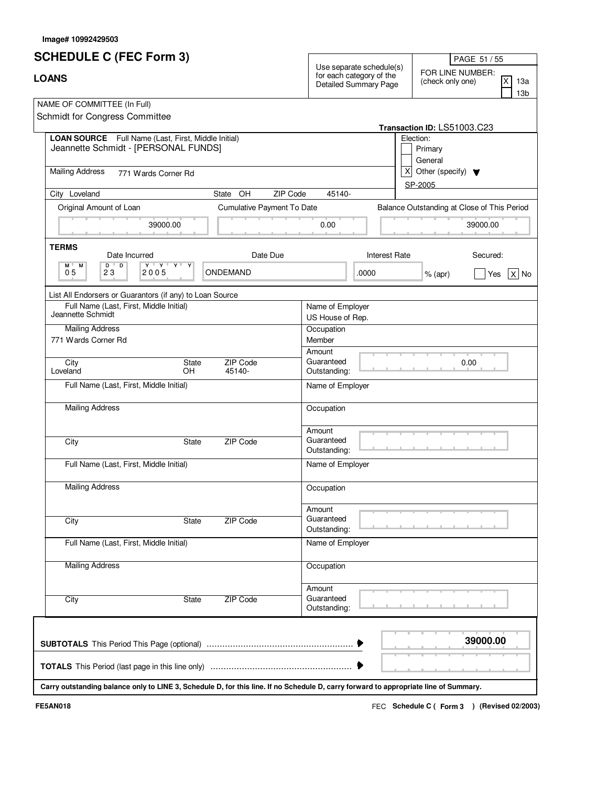|  | lmage# 10992429503 |  |
|--|--------------------|--|
|--|--------------------|--|

| <b>SCHEDULE C (FEC Form 3)</b>                                                                                                                                   | PAGE 51 / 55                                                                                                                                         |
|------------------------------------------------------------------------------------------------------------------------------------------------------------------|------------------------------------------------------------------------------------------------------------------------------------------------------|
| <b>LOANS</b>                                                                                                                                                     | Use separate schedule(s)<br>FOR LINE NUMBER:<br>for each category of the<br>X<br>(check only one)<br>13a<br>Detailed Summary Page<br>13 <sub>b</sub> |
| NAME OF COMMITTEE (In Full)<br>Schmidt for Congress Committee                                                                                                    |                                                                                                                                                      |
|                                                                                                                                                                  | Transaction ID: LS51003.C23                                                                                                                          |
| <b>LOAN SOURCE</b> Full Name (Last, First, Middle Initial)<br>Jeannette Schmidt - [PERSONAL FUNDS]                                                               | Election:<br>Primary<br>General                                                                                                                      |
| <b>Mailing Address</b><br>771 Wards Corner Rd                                                                                                                    | $\mathsf{x}$<br>Other (specify) $\blacktriangledown$<br>SP-2005                                                                                      |
| City Loveland<br>State OH                                                                                                                                        | ZIP Code<br>45140-                                                                                                                                   |
| Cumulative Payment To Date<br>Original Amount of Loan                                                                                                            | Balance Outstanding at Close of This Period                                                                                                          |
| 39000.00                                                                                                                                                         | 0.00<br>39000.00                                                                                                                                     |
| <b>TERMS</b><br>Date Due<br>Date Incurred                                                                                                                        | <b>Interest Rate</b><br>Secured:                                                                                                                     |
| $D$ <sup><math>\Box</math></sup><br>$\mathbf{Y} + \mathbf{Y} + \mathbf{Y} + \mathbf{X}$<br>$M$ <sup><math>\Box</math></sup><br>М<br>05<br>23<br>ONDEMAND<br>2005 | .0000<br>$ X $ No<br>$%$ (apr)<br>Yes                                                                                                                |
| List All Endorsers or Guarantors (if any) to Loan Source                                                                                                         |                                                                                                                                                      |
| Full Name (Last, First, Middle Initial)<br>Jeannette Schmidt                                                                                                     | Name of Employer<br>US House of Rep.                                                                                                                 |
| <b>Mailing Address</b><br>771 Wards Corner Rd                                                                                                                    | Occupation<br>Member                                                                                                                                 |
| ZIP Code<br>City<br>State<br>Loveland<br>OH<br>45140-                                                                                                            | Amount<br>Guaranteed<br>0.00<br>Outstanding:                                                                                                         |
| Full Name (Last, First, Middle Initial)                                                                                                                          | Name of Employer                                                                                                                                     |
| <b>Mailing Address</b>                                                                                                                                           | Occupation                                                                                                                                           |
| ZIP Code<br>City<br>State                                                                                                                                        | Amount<br>Guaranteed<br>Outstanding:                                                                                                                 |
| Full Name (Last, First, Middle Initial)                                                                                                                          | Name of Employer                                                                                                                                     |
| <b>Mailing Address</b>                                                                                                                                           | Occupation                                                                                                                                           |
| City<br>ZIP Code<br>State                                                                                                                                        | Amount<br>Guaranteed<br>Outstanding:                                                                                                                 |
| Full Name (Last, First, Middle Initial)                                                                                                                          | Name of Employer                                                                                                                                     |
| <b>Mailing Address</b>                                                                                                                                           | Occupation                                                                                                                                           |
| <b>ZIP Code</b><br>City<br>State                                                                                                                                 | Amount<br>Guaranteed<br>Outstanding:                                                                                                                 |
| Carry outstanding balance only to LINE 3, Schedule D, for this line. If no Schedule D, carry forward to appropriate line of Summary.                             | 39000.00                                                                                                                                             |

FEC **Schedule C ( ) Form 3 FE5AN018 (Revised 02/2003)**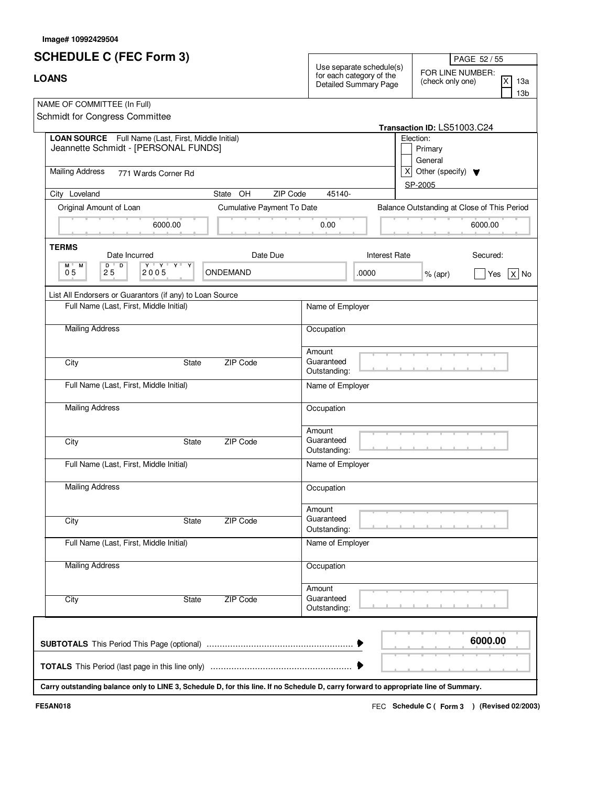|  | lmage# 10992429504 |  |
|--|--------------------|--|
|--|--------------------|--|

| <b>SCHEDULE C (FEC Form 3)</b><br><b>LOANS</b>                                                                                       |                            |                                                                               | PAGE 52 / 55                                                                      |  |
|--------------------------------------------------------------------------------------------------------------------------------------|----------------------------|-------------------------------------------------------------------------------|-----------------------------------------------------------------------------------|--|
|                                                                                                                                      |                            | Use separate schedule(s)<br>for each category of the<br>Detailed Summary Page | FOR LINE NUMBER:<br>IX.<br>13a<br>(check only one)<br>13 <sub>b</sub>             |  |
| NAME OF COMMITTEE (In Full)<br>Schmidt for Congress Committee                                                                        |                            |                                                                               |                                                                                   |  |
| LOAN SOURCE Full Name (Last, First, Middle Initial)<br>Jeannette Schmidt - [PERSONAL FUNDS]                                          |                            |                                                                               | Transaction ID: LS51003.C24<br>Election:<br>Primary<br>General<br>$\vert X \vert$ |  |
| <b>Mailing Address</b><br>771 Wards Corner Rd                                                                                        |                            |                                                                               | Other (specify) $\blacktriangledown$<br>SP-2005                                   |  |
| City Loveland                                                                                                                        | State OH<br>ZIP Code       | 45140-                                                                        |                                                                                   |  |
| Original Amount of Loan                                                                                                              | Cumulative Payment To Date |                                                                               | Balance Outstanding at Close of This Period                                       |  |
| 6000.00                                                                                                                              |                            | 0.00                                                                          | 6000.00                                                                           |  |
| <b>TERMS</b><br>Date Incurred                                                                                                        | Date Due                   | <b>Interest Rate</b>                                                          | Secured:                                                                          |  |
| $D$ $D$<br>$\mathbf{Y} + \mathbf{Y} + \mathbf{Y} + \mathbf{X}$<br>M M<br>05<br>25<br>2005                                            | ONDEMAND                   | .0000                                                                         | $X $ No<br>$%$ (apr)<br>Yes                                                       |  |
| List All Endorsers or Guarantors (if any) to Loan Source                                                                             |                            |                                                                               |                                                                                   |  |
| Full Name (Last, First, Middle Initial)                                                                                              |                            | Name of Employer                                                              |                                                                                   |  |
| <b>Mailing Address</b>                                                                                                               |                            | Occupation                                                                    |                                                                                   |  |
| City                                                                                                                                 | ZIP Code<br>State          | Amount<br>Guaranteed<br>Outstanding:                                          |                                                                                   |  |
| Full Name (Last, First, Middle Initial)                                                                                              |                            | Name of Employer                                                              |                                                                                   |  |
| <b>Mailing Address</b>                                                                                                               |                            | Occupation                                                                    |                                                                                   |  |
| City                                                                                                                                 | ZIP Code<br>State          | Amount<br>Guaranteed<br>Outstanding:                                          |                                                                                   |  |
| Full Name (Last, First, Middle Initial)                                                                                              |                            | Name of Employer                                                              |                                                                                   |  |
| <b>Mailing Address</b>                                                                                                               |                            | Occupation                                                                    |                                                                                   |  |
| City                                                                                                                                 | <b>ZIP Code</b><br>State   | Amount<br>Guaranteed<br>Outstanding:                                          |                                                                                   |  |
| Full Name (Last, First, Middle Initial)                                                                                              |                            | Name of Employer                                                              |                                                                                   |  |
| <b>Mailing Address</b>                                                                                                               |                            | Occupation                                                                    |                                                                                   |  |
| City                                                                                                                                 | ZIP Code<br>State          | Amount<br>Guaranteed<br>Outstanding:                                          |                                                                                   |  |
|                                                                                                                                      |                            |                                                                               | 6000.00                                                                           |  |
| Carry outstanding balance only to LINE 3, Schedule D, for this line. If no Schedule D, carry forward to appropriate line of Summary. |                            |                                                                               |                                                                                   |  |

FEC **Schedule C ( ) Form 3 FE5AN018 (Revised 02/2003)**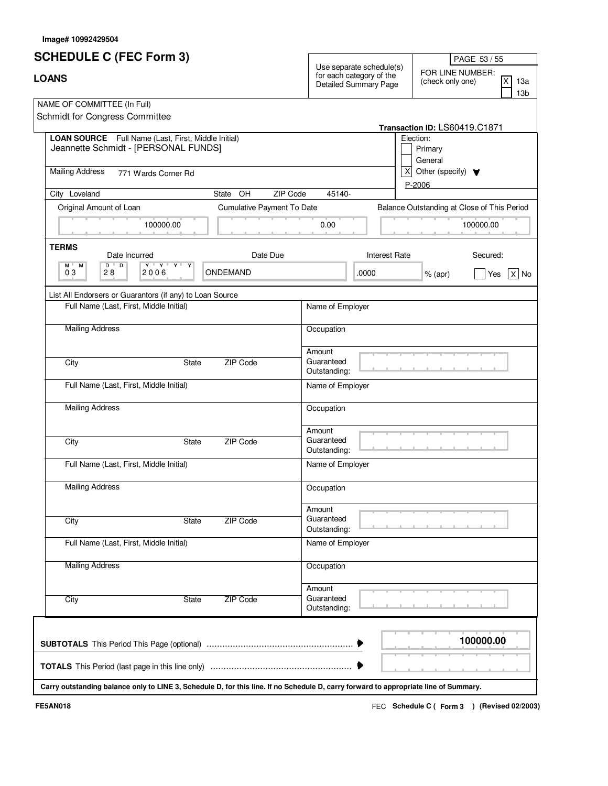|  | lmage# 10992429504 |  |
|--|--------------------|--|
|--|--------------------|--|

| <b>SCHEDULE C (FEC Form 3)</b><br><b>LOANS</b>                                                                                       |                          |                            | Use separate schedule(s)<br>for each category of the<br>Detailed Summary Page |                      | PAGE 53 / 55                                                     |                                             |
|--------------------------------------------------------------------------------------------------------------------------------------|--------------------------|----------------------------|-------------------------------------------------------------------------------|----------------------|------------------------------------------------------------------|---------------------------------------------|
|                                                                                                                                      |                          |                            |                                                                               |                      | FOR LINE NUMBER:<br>(check only one)                             | <b>X</b><br>13a<br>13b                      |
| NAME OF COMMITTEE (In Full)<br>Schmidt for Congress Committee                                                                        |                          |                            |                                                                               |                      |                                                                  |                                             |
| LOAN SOURCE Full Name (Last, First, Middle Initial)<br>Jeannette Schmidt - [PERSONAL FUNDS]                                          |                          |                            |                                                                               |                      | Transaction ID: LS60419.C1871<br>Election:<br>Primary<br>General |                                             |
| <b>Mailing Address</b><br>771 Wards Corner Rd                                                                                        |                          |                            |                                                                               | x <sub>l</sub>       | Other (specify) $\blacktriangledown$<br>$P-2006$                 |                                             |
| City Loveland                                                                                                                        | State OH                 | ZIP Code                   | 45140-                                                                        |                      |                                                                  |                                             |
| Original Amount of Loan                                                                                                              |                          | Cumulative Payment To Date |                                                                               |                      |                                                                  | Balance Outstanding at Close of This Period |
| 100000.00                                                                                                                            |                          |                            | 0.00                                                                          |                      |                                                                  | 100000.00                                   |
| <b>TERMS</b><br>Date Incurred                                                                                                        |                          | Date Due                   |                                                                               | <b>Interest Rate</b> |                                                                  | Secured:                                    |
| $D$ $D$<br>$\mathbf{Y} + \mathbf{Y} + \mathbf{Y} + \mathbf{X}$<br>M .<br>М<br>03<br>28<br>2006                                       | ONDEMAND                 |                            |                                                                               | .0000                | $%$ (apr)                                                        | $ X $ No<br>Yes                             |
| List All Endorsers or Guarantors (if any) to Loan Source                                                                             |                          |                            |                                                                               |                      |                                                                  |                                             |
| Full Name (Last, First, Middle Initial)                                                                                              |                          |                            | Name of Employer                                                              |                      |                                                                  |                                             |
| <b>Mailing Address</b>                                                                                                               |                          |                            | Occupation                                                                    |                      |                                                                  |                                             |
| City                                                                                                                                 | ZIP Code<br><b>State</b> |                            | Amount<br>Guaranteed<br>Outstanding:                                          |                      |                                                                  |                                             |
| Full Name (Last, First, Middle Initial)                                                                                              |                          |                            | Name of Employer                                                              |                      |                                                                  |                                             |
| <b>Mailing Address</b>                                                                                                               |                          |                            | Occupation                                                                    |                      |                                                                  |                                             |
| City                                                                                                                                 | ZIP Code<br><b>State</b> |                            | Amount<br>Guaranteed<br>Outstanding:                                          |                      |                                                                  |                                             |
| Full Name (Last, First, Middle Initial)                                                                                              |                          |                            | Name of Employer                                                              |                      |                                                                  |                                             |
| <b>Mailing Address</b>                                                                                                               |                          |                            | Occupation                                                                    |                      |                                                                  |                                             |
| City                                                                                                                                 | ZIP Code<br><b>State</b> |                            | Amount<br>Guaranteed<br>Outstanding:                                          |                      |                                                                  |                                             |
| Full Name (Last, First, Middle Initial)                                                                                              |                          |                            | Name of Employer                                                              |                      |                                                                  |                                             |
| <b>Mailing Address</b>                                                                                                               |                          |                            | Occupation                                                                    |                      |                                                                  |                                             |
| City                                                                                                                                 | ZIP Code<br><b>State</b> |                            | Amount<br>Guaranteed<br>Outstanding:                                          |                      |                                                                  |                                             |
|                                                                                                                                      |                          |                            |                                                                               |                      |                                                                  | 100000.00                                   |
|                                                                                                                                      |                          |                            |                                                                               |                      |                                                                  |                                             |
| Carry outstanding balance only to LINE 3, Schedule D, for this line. If no Schedule D, carry forward to appropriate line of Summary. |                          |                            |                                                                               |                      |                                                                  |                                             |

FEC **Schedule C ( ) Form 3 FE5AN018 (Revised 02/2003)**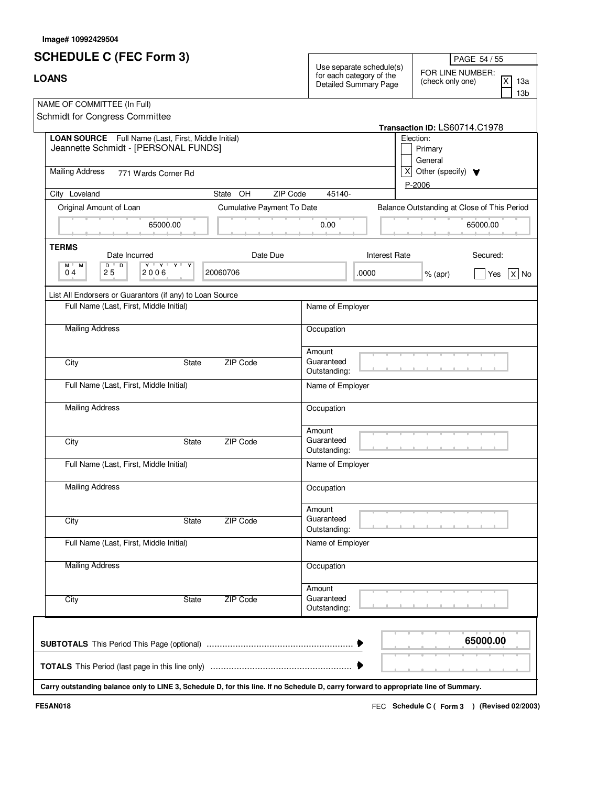|  | lmage# 10992429504 |  |
|--|--------------------|--|
|--|--------------------|--|

| <b>SCHEDULE C (FEC Form 3)</b><br><b>LOANS</b>                                                                                            |                                 |                                      |                                                                                      | PAGE 54 / 55<br>FOR LINE NUMBER:<br><b>X</b><br>(check only one)<br>13a<br>13b |  |
|-------------------------------------------------------------------------------------------------------------------------------------------|---------------------------------|--------------------------------------|--------------------------------------------------------------------------------------|--------------------------------------------------------------------------------|--|
|                                                                                                                                           |                                 |                                      | Use separate schedule(s)<br>for each category of the<br><b>Detailed Summary Page</b> |                                                                                |  |
| NAME OF COMMITTEE (In Full)<br>Schmidt for Congress Committee                                                                             |                                 |                                      |                                                                                      | Transaction ID: LS60714.C1978                                                  |  |
| LOAN SOURCE Full Name (Last, First, Middle Initial)<br>Jeannette Schmidt - [PERSONAL FUNDS]                                               |                                 |                                      |                                                                                      | Election:<br>Primary<br>General                                                |  |
| <b>Mailing Address</b><br>771 Wards Corner Rd                                                                                             |                                 |                                      | x <sub>l</sub>                                                                       | Other (specify) $\blacktriangledown$<br>$P-2006$                               |  |
| City Loveland                                                                                                                             | State OH                        | ZIP Code<br>45140-                   |                                                                                      |                                                                                |  |
| Original Amount of Loan                                                                                                                   | Cumulative Payment To Date      |                                      |                                                                                      | Balance Outstanding at Close of This Period                                    |  |
| 65000.00                                                                                                                                  |                                 | 0.00                                 |                                                                                      | 65000.00                                                                       |  |
| <b>TERMS</b><br>Date Incurred                                                                                                             | Date Due                        |                                      | <b>Interest Rate</b>                                                                 | Secured:                                                                       |  |
| $\overline{D}$<br>$\mathbf{Y} + \mathbf{Y} + \mathbf{Y} + \mathbf{X}$<br>$D$ <sup><math>\top</math></sup><br>M .<br>М<br>25<br>04<br>2006 | 20060706                        |                                      | .0000                                                                                | $ X $ No<br>$%$ (apr)<br>Yes                                                   |  |
| List All Endorsers or Guarantors (if any) to Loan Source                                                                                  |                                 |                                      |                                                                                      |                                                                                |  |
| Full Name (Last, First, Middle Initial)                                                                                                   |                                 | Name of Employer                     |                                                                                      |                                                                                |  |
| <b>Mailing Address</b>                                                                                                                    |                                 | Occupation                           |                                                                                      |                                                                                |  |
| City                                                                                                                                      | ZIP Code<br><b>State</b>        | Amount<br>Guaranteed<br>Outstanding: |                                                                                      |                                                                                |  |
| Full Name (Last, First, Middle Initial)                                                                                                   |                                 | Name of Employer                     |                                                                                      |                                                                                |  |
| <b>Mailing Address</b>                                                                                                                    |                                 | Occupation                           |                                                                                      |                                                                                |  |
| City                                                                                                                                      | ZIP Code<br><b>State</b>        | Amount<br>Guaranteed<br>Outstanding: |                                                                                      |                                                                                |  |
| Full Name (Last, First, Middle Initial)                                                                                                   |                                 | Name of Employer                     |                                                                                      |                                                                                |  |
| <b>Mailing Address</b>                                                                                                                    |                                 | Occupation                           |                                                                                      |                                                                                |  |
| City                                                                                                                                      | ZIP Code<br>State               | Amount<br>Guaranteed<br>Outstanding: |                                                                                      |                                                                                |  |
| Full Name (Last, First, Middle Initial)                                                                                                   |                                 | Name of Employer                     |                                                                                      |                                                                                |  |
| <b>Mailing Address</b>                                                                                                                    |                                 | Occupation                           |                                                                                      |                                                                                |  |
| City                                                                                                                                      | <b>ZIP Code</b><br><b>State</b> | Amount<br>Guaranteed<br>Outstanding: |                                                                                      |                                                                                |  |
|                                                                                                                                           |                                 |                                      |                                                                                      | 65000.00                                                                       |  |
|                                                                                                                                           |                                 |                                      |                                                                                      |                                                                                |  |
| Carry outstanding balance only to LINE 3, Schedule D, for this line. If no Schedule D, carry forward to appropriate line of Summary.      |                                 |                                      |                                                                                      |                                                                                |  |

FEC **Schedule C ( ) Form 3 FE5AN018 (Revised 02/2003)**